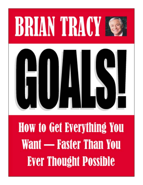

**How to Get Everything You** Want — Faster Than You **Ever Thought Possible**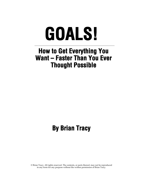# **GOALS!**

# **How to Get Everything You Want – Faster Than You Ever Thought Possible**

# **By Brian Tracy**

© Brian Tracy. All rights reserved. The contents, or parts thereof, may not be reproduced in any form for any purpose without the written permission of Brian Tracy.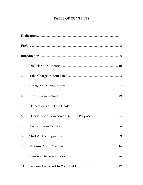# **TABLE OF CONTENTS**

| 1.  |  |
|-----|--|
| 2.  |  |
| 3.  |  |
| 4.  |  |
| 5.  |  |
| 6.  |  |
| 7.  |  |
| 8.  |  |
| 9.  |  |
| 10. |  |
| 11. |  |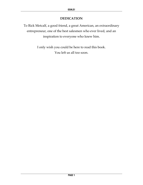# **DEDICATION**

To Rick Metcalf, a good friend, a great American, an extraordinary entrepreneur, one of the best salesmen who ever lived, and an inspiration to everyone who knew him.

> I only wish you could be here to read this book. You left us all too soon.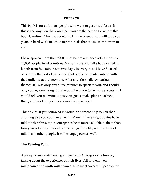#### **PREFACE**

This book is for ambitious people who want to get ahead faster. If this is the way you think and feel, you are the person for whom this book is written. The ideas contained in the pages ahead will save you years of hard work in achieving the goals that are most important to you.

I have spoken more than 2000 times before audiences of as many as 23,000 people, in 24 countries. My seminars and talks have varied in length from five minutes to five days. In every case, I have focused on sharing the best ideas I could find on the particular subject with that audience at that moment. After countless talks on various themes, if I was only given five minutes to speak to you, and I could only convey one thought that would help you to be more successful, I would tell you to "write down your goals, make plans to achieve them, and work on your plans every single day."

This advice, if you followed it, would be of more help to you than anything else you could ever learn. Many university graduates have told me that this simple concept has been more valuable to them than four years of study. This idea has changed my life, and the lives of millions of other people. It will change yours as well.

# **The Turning Point**

A group of successful men got together in Chicago some time ago, talking about the experiences of their lives. All of them were millionaires and multi-millionaires. Like most successful people, they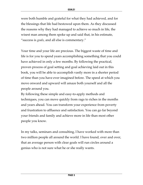were both humble and grateful for what they had achieved, and for the blessings that life had bestowed upon them. As they discussed the reasons why they had managed to achieve so much in life, the wisest man among them spoke up and said that, in his estimate, "success is *goals*, and all else is commentary."

Your time and your life are precious. The biggest waste of time and life is for you to spend years accomplishing something that you could have achieved in only a few months. By following the practical, proven process of goal setting and goal achieving laid out in this book, you will be able to accomplish vastly more in a shorter period of time than you have ever imagined before. The speed at which you move onward and upward will amaze both yourself and all the people around you.

By following these simple and easy-to-apply methods and techniques, you can move quickly from rags to riches in the months and years ahead. You can transform your experience from poverty and frustration to affluence and satisfaction. You can go far beyond your friends and family and achieve more in life than most other people you know.

In my talks, seminars and consulting, I have worked with more than two million people all around the world. I have found, over and over, that an average person with clear goals will run circles around a genius who is not sure what he or she really wants.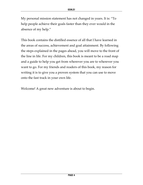My personal mission statement has not changed in years. It is: "To help people achieve their goals faster than they ever would in the absence of my help."

This book contains the distilled essence of all that I have learned in the areas of success, achievement and goal attainment. By following the steps explained in the pages ahead, you will move to the front of the line in life. For my children, this book is meant to be a road map and a guide to help you get from wherever you are to wherever you want to go. For my friends and readers of this book, my reason for writing it is to give you a proven system that you can use to move onto the fast track in your own life.

Welcome! A great new adventure is about to begin.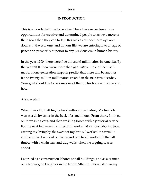#### **INTRODUCTION**

This is a wonderful time to be alive. There have never been more opportunities for creative and determined people to achieve more of their goals than they can today. Regardless of short-term ups and downs in the economy and in your life, we are entering into an age of peace and prosperity superior to any previous era in human history.

In the year 1900, there were five thousand millionaires in America. By the year 2000, there were more than *five million*, most of them selfmade, in one generation. Experts predict that there will be another ten to twenty million millionaires created in the next two decades. Your goal should be to become one of them. This book will show you how.

# **A Slow Start**

When I was 18, I left high school without graduating. My first job was as a dishwasher in the back of a small hotel. From there, I moved on to washing cars, and then washing floors with a janitorial service. For the next few years, I drifted and worked at various laboring jobs, earning my living by the sweat of my brow. I worked in sawmills and factories. I worked on farms and ranches. I worked in the tall timber with a chain saw and dug wells when the logging season ended.

I worked as a construction laborer on tall buildings, and as a seaman on a Norwegian Freighter in the North Atlantic. Often I slept in my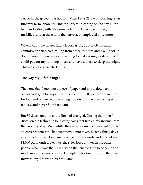car, or in cheap rooming houses. When I was 23, I was working as an itinerant farm laborer during the harvest, sleeping on the hay in the barn and eating with the farmer's family. I was uneducated, unskilled, and at the end of the harvest, unemployed once more.

When I could no longer find a laboring job, I got a job in straight commission sales, cold calling from office-to-office and from door-todoor. I would often work all day long to make a single sale so that I could pay for my rooming house and have a place to sleep that night. This was not a great start at life.

# **The Day My Life Changed**

Then one day, I took out a piece of paper and wrote down an outrageous goal for myself. It was to earn \$1,000 per month in doorto-door and office-to-office selling. I folded up the piece of paper, put it away and never found it again.

But 30 days later, my entire life had changed. During that time, I discovered a technique for closing sales that tripled my income from the very first day. Meanwhile, the owner of my company sold out to an entrepreneur who had just moved into town. Exactly thirty days after I had written down my goal, he took me aside and offered me \$1,000 per month to head up the sales force and teach the other people what it was that I was doing that enabled me to be selling so much more than anyone else. I accepted his offer and from that day forward, my life was never the same.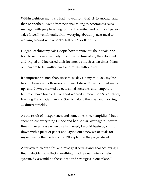Within eighteen months, I had moved from that job to another, and then to another. I went from personal selling to becoming a sales manager with people selling for me. I recruited and built a 95 person sales force. I went literally from worrying about my next meal to walking around with a pocket full of \$20 dollar bills.

I began teaching my salespeople how to write out their goals, and how to sell more effectively. In almost no time at all, they doubled and tripled and increased their incomes as much as ten times. Many of them are today millionaires and multi-millionaires.

It's important to note that, since those days in my mid-20s, my life has not been a smooth series of upward steps. It has included many ups and downs, marked by occasional successes and temporary failures. I have traveled, lived and worked in more than 80 countries, learning French, German and Spanish along the way, and working in 22 different fields.

As the result of inexperience, and sometimes sheer stupidity, I have spent or lost everything I made and had to start over again - several times. In every case when this happened, I would begin by sitting down with a piece of paper and laying out a new set of goals for myself, using the methods that I'll explain in the pages ahead.

After several years of hit and miss goal setting and goal achieving, I finally decided to collect everything I had learned into a single system. By assembling these ideas and strategies in one place, I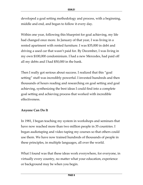developed a goal setting methodology and process, with a beginning, middle and end, and began to follow it every day.

Within one year, following this blueprint for goal achieving, my life had changed once more. In January of that year, I was living in a rented apartment with rented furniture. I was \$35,000 in debt and driving a used car that wasn't paid for. By December, I was living in my own \$100,000 condominium. I had a new Mercedes, had paid off all my debts and I had \$50,000 in the bank.

Then I really got serious about success. I realized that this "goal setting" stuff was incredibly powerful. I invested hundreds and then thousands of hours reading and researching on goal setting and goal achieving, synthesizing the best ideas I could find into a complete goal setting and achieving process that worked with incredible effectiveness.

# **Anyone Can Do It**

In 1981, I began teaching my system in workshops and seminars that have now reached more than two million people in 35 countries. I began audiotaping and video taping my courses so that others could use them. We have now trained hundreds of thousands of people in these principles, in multiple languages, all over the world.

What I found was that these ideas work everywhere, for everyone, in virtually every country, no matter what your education, experience or background may be when you begin.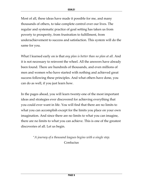Most of all, these ideas have made it possible for me, and many thousands of others, to take complete control over our lives. The regular and systematic practice of goal setting has taken us from poverty to prosperity, from frustration to fulfillment, from underachievement to success and satisfaction. This system will do the same for you.

What I learned early on is that *any plan is better than no plan at all*. And it is not necessary to reinvent the wheel. All the answers have already been found. There are hundreds of thousands, and even millions of men and women who have started with nothing and achieved great success following these principles. And what others have done, you can do as well, if you just learn how.

In the pages ahead, you will learn twenty-one of the most important ideas and strategies ever discovered for achieving everything that you could ever want in life. You will find that there are no limits to what you can accomplish except for the limits you place on your own imagination. And since there are no limits to what you can imagine, there are no limits to what you can achieve. This is one of the greatest discoveries of all. Let us begin.

> *"A journey of a thousand leagues begins with a single step.* Confucius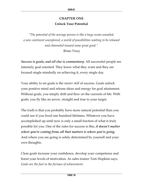# **CHAPTER ONE Unlock Your Potential**

*"The potential of the average person is like a huge ocean unsailed, a new continent unexplored, a world of possibilities waiting to be released and channeled toward some great good."*

Brian Tracy

*Success is goals, and all else is commentary*. All successful people are intensely goal oriented. They know what they want and they are focused single mindedly on achieving it, every single day.

Your ability to set goals is the *master skill* of success. Goals unlock your positive mind and release ideas and energy for goal attainment. Without goals, you simply drift and flow on the currents of life. With goals, you fly like an arrow, straight and true to your target.

The truth is that you probably have more natural potential than you could use if you lived one hundred lifetimes. Whatever you have accomplished up until now is only a small fraction of what is truly possible for you. One of the rules for success is this, *it doesn't matter where you're coming from; all that matters is where you're going*. And where you are going is solely determined by yourself and your own thoughts.

Clear goals increase your confidence, develop your competence and boost your levels of motivation. As sales trainer Tom Hopkins says, *Goals are the fuel in the furnace of achievement*.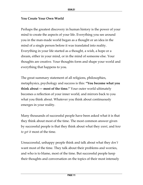#### **You Create Your Own World**

Perhaps the greatest discovery in human history is the power of your mind to create the aspects of your life. Everything you see around you in the man-made world began as a thought or an idea in the mind of a single person before it was translated into reality. Everything in your life started as a thought, a wish, a hope or a dream, either in your mind, or in the mind of someone else. Your thoughts are creative. Your thoughts form and shape your world and everything that happens to you.

The great summary statement of all religions, philosophies, metaphysics, psychology and success is this: **"You become what you think about — most of the time."** Your outer world ultimately becomes a reflection of your inner world, and mirrors back to you what you think about. Whatever you think about continuously emerges in your reality.

Many thousands of successful people have been asked what it is that they think about most of the time. The most common answer given by successful people is that they think about what they *want*, and *how to get it* most of the time.

Unsuccessful, unhappy people think and talk about what they *don't* want most of the time. They talk about their problems and worries, and who is to blame, most of the time. But successful people keep their thoughts and conversation on the topics of their most intensely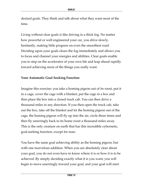desired goals. They think and talk about what they want most of the time.

Living without clear goals is like driving in a thick fog. No matter how powerful or well engineered your car, you drive slowly, hesitantly, making little progress on even the smoothest road. Deciding upon your goals clears the fog immediately and allows you to focus and channel your energies and abilities. Clear goals enable you to step on the accelerator of your own life and leap ahead rapidly toward achieving more of the things you really want.

# **Your Automatic Goal Seeking Function**

Imagine this exercise: you take a homing pigeon out of its roost, put it in a cage, cover the cage with a blanket, put the cage in a box and then place the box into a closed truck cab. You can then drive a thousand miles in any direction. If you then open the truck cab, take out the box, take off the blanket and let the homing pigeon out of the cage, the homing pigeon will fly up into the air, circle three times and then fly unerringly back to its home roost a thousand miles away. This is the only creature on earth that has this incredible cybernetic, goal-seeking function, except for man.

You have the same goal achieving ability as the homing pigeon, but with one marvelous addition. When you are absolutely clear about your goal, you do not even have to know where it is or how it is to be achieved. By simply deciding exactly what it is you want, you will begin to move unerringly toward your goal, and your goal will start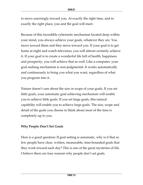to move unerringly toward you. At exactly the right time, and in exactly the right place, you and the goal will meet.

Because of this incredible cybernetic mechanism located deep within your mind, you always achieve your goals, whatever they are. You move toward them and they move toward you. If your goal is to get home at night and watch television, you will almost certainly achieve it. If your goal is to create a wonderful life full of health, happiness and prosperity, you will achieve that as well. Like a computer, your goal seeking mechanism is non-judgmental. It works automatically and continuously to bring you what you want, regardless of what you program into it.

Nature doesn't care about the size or scope of your goals. If you set little goals, your automatic goal achieving mechanism will enable you to achieve little goals. If you set large goals, this natural capability will enable you to achieve large goals. The size, scope and detail of the goals you choose to think about most of the time is completely up to you.

# **Why People Don't Set Goals**

Here is a good question: If goal setting is automatic, why is it that so few people have clear, written, measurable, time-bounded goals that they work toward each day? This is one of the great mysteries of life. I believe there are four reasons why people don't set goals.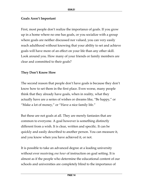# **Goals Aren't Important**

First, most people don't realize the importance of goals. If you grow up in a home where no one has goals, or you socialize with a group where goals are neither discussed nor valued, you can very easily reach adulthood without knowing that your ability to set and achieve goals will have more of an effect on your life than any other skill. Look around you. How many of your friends or family members are clear and committed to their goals?

# **They Don't Know How**

The second reason that people don't have goals is because they don't know how to set them in the first place. Even worse, many people think that they already have goals, when in reality, what they actually have are a series of wishes or dreams like, "Be happy," or "Make a lot of money," or "Have a nice family life."

But these are not goals at all. They are merely fantasies that are common to everyone. A goal however is something distinctly different from a wish. It is clear, written and specific. It can be quickly and easily described to another person. You can measure it, and you know when you have achieved it, or not.

It is possible to take an advanced degree at a leading university without ever receiving *one hour* of instruction on goal setting. It is almost as if the people who determine the educational content of our schools and universities are completely blind to the importance of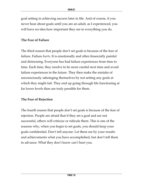goal setting in achieving success later in life. And of course, if you never hear about goals until you are an adult, as I experienced, you will have no idea how important they are to everything you do.

# **The Fear of Failure**

The third reason that people don't set goals is because of the fear of failure. Failure *hurts*. It is emotionally and often financially painful and distressing. Everyone has had failure experiences from time to time. Each time, they resolve to be more careful next time and avoid failure experiences in the future. They then make the mistake of unconsciously sabotaging themselves by not setting any goals at which they might fail. They end up going through life functioning at far lower levels than are truly possible for them.

# **The Fear of Rejection**

The fourth reason that people don't set goals is because of the fear of rejection. People are afraid that if they set a goal and are not successful, others will criticize or ridicule them. This is one of the reasons why, when you begin to set goals, you should keep your goals confidential. Don't tell anyone. Let them see by your results and achievements what you have accomplished, but don't tell them in advance. What they don't know can't hurt you.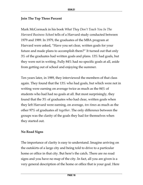# **Join The Top Three Percent**

Mark McCormack in his book *What They Don't Teach You In The Harvard Business School* tells of a Harvard study conducted between 1979 and 1989. In 1979, the graduates of the MBA program at Harvard were asked, "Have you set clear, written goals for your future and made plans to accomplish them?" It turned out that only 3% of the graduates had written goals and plans. 13% had goals, but they were not in writing. Fully 84% had no specific goals at all, aside from getting out of school and enjoying the summer.

Ten years later, in 1989, they interviewed the members of that class again. They found that the 13% who had goals, but which were not in writing were earning on average twice as much as the 84% of students who had had no goals at all. But most surprisingly, they found that the 3% of graduates who had clear, written goals when they left Harvard were earning, on average, *ten times* as much as the other 97% of graduates *all together*. The only difference between the groups was the clarity of the goals they had for themselves when they started out.

# **No Road Signs**

The importance of clarity is easy to understand. Imagine arriving on the outskirts of a large city and being told to drive to a particular home or office in that city. But here's the catch. There are no road signs and you have no map of the city. In fact, all you are given is a very general description of the home or office that is your goal. Here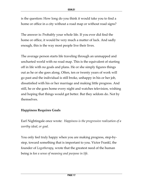is the question: How long do you think it would take you to find a home or office in a city without a road map or without road signs?

The answer is: Probably your whole life. If you ever did find the home or office, it would be very much a matter of luck. And sadly enough, this is the way most people live their lives.

The average person starts life traveling through an unmapped and uncharted world with no road map. This is the equivalent of starting off in life with no goals and plans. He or she simply figures things out as he or she goes along. Often, ten or twenty years of work will go past and the individual is still broke, unhappy in his or her job, dissatisfied with his or her marriage and making little progress. And still, he or she goes home every night and watches television, wishing and hoping that things would get better. But they seldom do. Not by themselves.

# **Happiness Requires Goals**

Earl Nightingale once wrote: *Happiness is the progressive realization of a worthy ideal, or goal.*

You only feel truly happy when you are making progress, step-bystep, toward something that is important to you. Victor Frankl, the founder of *Logotherapy*, wrote that the greatest need of the human being is for *a sense of meaning and purpose in life.*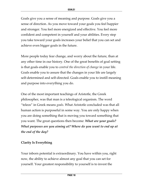Goals give you a sense of meaning and purpose. Goals give you a sense of direction. As you move toward your goals you feel happier and stronger. You feel more energized and effective. You feel more confident and competent in yourself and your abilities. Every step you take toward your goals increases your belief that you can set and achieve even bigger goals in the future.

More people today fear change, and worry about the future, than at any other time in our history. One of the great benefits of goal setting is that goals enable you to *control the direction of change* in your life. Goals enable you to assure that the changes in your life are largely self-determined and self-directed. Goals enable you to instill meaning and purpose into everything you do.

One of the most important teachings of Aristotle, the Greek philosopher, was that man is a teleological organism. The word "teleos" in Greek means *goals*. What Aristotle concluded was that all human action is purposeful in some way. You are only happy when you are doing something that is moving you toward something that you want. The great questions then become: *What are your goals? What purposes are you aiming at? Where do you want to end up at the end of the day?*

# **Clarity Is Everything**

Your inborn potential is extraordinary. You have within you, right now, the ability to achieve almost any goal that you can set for yourself. Your greatest responsibility to yourself is to invest the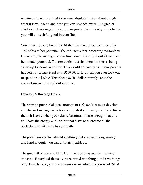whatever time is required to become absolutely clear about exactly what it is you want, and how you can best achieve it. The greater clarity you have regarding your true goals, the more of your potential you will unleash for good in your life.

You have probably heard it said that the average person uses only 10% of his or her potential. The sad fact is that, according to Stanford University, the average person functions with only about 2% of his or her mental potential. The remainder just sits there in reserve, being saved up for some later time. This would be exactly as if your parents had left you a trust fund with \$100,000 in it, but all you ever took out to spend was \$2,000. The other \$98,000 dollars simply sat in the account unused throughout your life.

# **Develop A Burning Desire**

The starting point of all goal attainment is *desire*. You must develop an intense, burning desire for your goals if you really want to achieve them. It is only when your desire becomes intense enough that you will have the energy and the internal drive to overcome all the obstacles that will arise in your path.

The good news is that almost anything that you want long enough and hard enough, you can ultimately achieve.

The great oil billionaire, H. L. Hunt, was once asked the "secret of success." He replied that success required two things, and two things only. First, he said, you must know *exactly* what it is you want. Most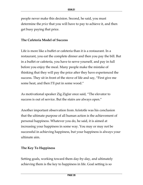people never make this decision. Second, he said, you must determine the *price* that you will have to pay to achieve it, and then get busy paying that price.

# **The Cafeteria Model of Success**

Life is more like a buffet or cafeteria than it is a restaurant. In a restaurant, you eat the complete dinner and then you pay the bill. But in a buffet or cafeteria, you have to serve yourself, and pay in full before you enjoy the meal. Many people make the mistake of thinking that they will pay the price after they have experienced the success. They sit in front of the stove of life and say, "First give me some heat, and then I'll put in some wood."

As motivational speaker Zig Ziglar once said, "The elevator to success is out of service. But the stairs are always open."

Another important observation from Aristotle was his conclusion that the ultimate purpose of all human action is the achievement of personal happiness. Whatever you do, he said, it is aimed at increasing your happiness in some way. You may or may not be successful in achieving happiness, but your happiness is always your ultimate aim.

# **The Key To Happiness**

Setting goals, working toward them day-by-day, and ultimately achieving them is the key to happiness in life. Goal setting is so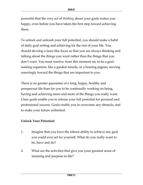powerful that the very act of *thinking* about your goals makes you happy, even before you have taken the first step toward achieving them.

To unlock and unleash your full potential, you should make a habit of daily goal setting and achieving for the rest of your life. You should develop a laser-like focus so that you are always thinking and talking about the things you want rather than the things that you don't want. You must resolve, from this moment on, to be a goalseeking organism, like a guided missile, or a homing pigeon, moving unerringly toward the things that are important to you.

There is no greater guarantee of a long, happy, healthy and prosperous life than for you to be continually working on being, having and achieving more and more of the things you really want. Clear goals enable you to release your full potential for personal and professional success. Goals enable you to overcome any obstacle, and to make your future unlimited.

# **Unlock Your Potential:**

- 1. Imagine that you have the inborn ability to achieve any goal you could ever set for yourself. What do you really want to be, have and do?
- 2. What are the activities that give you your greatest sense of meaning and purpose in life?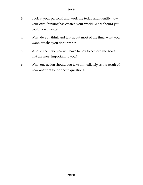- 3. Look at your personal and work life today and identify how your own thinking has created your world. What should you, could you change?
- 4. What do you think and talk about most of the time, what you want, or what you don't want?
- 5. What is the price you will have to pay to achieve the goals that are most important to you?
- 6. What one action should you take immediately as the result of your answers to the above questions?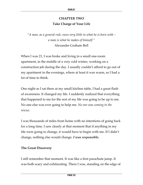# **CHAPTER TWO Take Charge of Your Life**

*"A man, as a general rule, owes very little to what he is born with – a man is what he makes of himself."* Alexander Graham Bell

When I was 21, I was broke and living in a small one-room apartment, in the middle of a very cold winter, working on a construction job during the day. I usually couldn't afford to go out of my apartment in the evenings, where at least it was warm, so I had a lot of time to think.

One night as I sat there at my small kitchen table, I had a great flash of awareness. It changed my life. I suddenly realized that everything that happened to me for the rest of my life was going to be up to me. No one else was ever going to help me. *No one was coming to the rescue.*

I was thousands of miles from home with no intentions of going back for a long time. I saw clearly at that moment that if anything in my life were going to change, it would have to begin with me. If I didn't change, nothing else would change. *I was responsible.*

# **The Great Discovery**

I still remember that moment. It was like a first parachute jump. It was both scary and exhilarating. There I was, standing on the edge of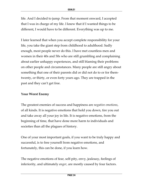life. And I decided to jump. From that moment onward, I accepted that I was in charge of my life. I knew that if I wanted things to be different, I would have to be different. Everything was up to me.

I later learned that when you accept complete responsibility for your life, you take the giant step from childhood to adulthood. Sadly enough, most people never do this. I have met countless men and women in their 40s and 50s who are still grumbling and complaining about earlier unhappy experiences, and still blaming their problems on other people and circumstances. Many people are still angry about something that one of their parents did or did not do to or for themtwenty, or thirty, or even forty years ago. They are trapped in the past and they can't get free.

# **Your Worst Enemy**

The greatest enemies of success and happiness are *negative emotions*, of all kinds. It is negative emotions that hold you down, tire you out and take away all your joy in life. It is negative emotions, from the beginning of time, that have done more harm to individuals and societies than all the plagues of history.

One of your most important goals, if you want to be truly happy and successful, is to free yourself from negative emotions, and fortunately, this can be done, if you learn how.

The negative emotions of fear, self-pity, envy, jealousy, feelings of inferiority, and ultimately *anger*, are mostly caused by four factors.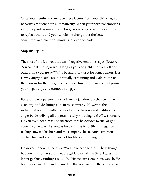Once you identify and remove these factors from your thinking, your negative emotions stop automatically. When your negative emotions stop, the positive emotions of love, peace, joy and enthusiasm flow in to replace them, and your whole life changes for the better, sometimes in a matter of minutes, or even seconds.

# **Stop Justifying**

The first of the four root causes of negative emotions is *justification*. You can only be negative as long as you can justify, to yourself and others, that you are *entitled* to be angry or upset for some reason. This is why angry people are continually explaining and elaborating on the reasons for their negative feelings. However, if you cannot *justify* your negativity, you cannot be angry.

For example, a person is laid off from a job due to a change in the economy and declining sales in the company. However, the individual is angry with his boss for this decision and justifies his anger by describing all the reasons why his being laid off was unfair. He can even get himself so incensed that he decides to sue, or get even in some way. As long as he continues to justify his negative feelings toward his boss and the company, his negative emotions control him and absorb much of his life and thinking.

However, as soon as he says, "Well, I've been laid off. These things happen. It's not personal. People get laid off all the time. I guess I'd better get busy finding a new job." His negative emotions vanish. He becomes calm, clear and focused on the goal, and on the steps he can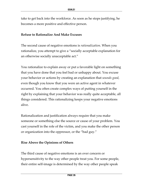take to get back into the workforce. As soon as he stops justifying, he becomes a more positive and effective person.

# **Refuse to Rationalize And Make Excuses**

The second cause of negative emotions is *rationalization*. When you rationalize, you attempt to give a "socially acceptable explanation for an otherwise socially unacceptable act."

You rationalize to explain away or put a favorable light on something that you have done that you feel bad or unhappy about. You excuse your behavior or actions by creating an explanation that *sounds good*, even though you know that you were an active agent in whatever occurred. You often create complex ways of putting yourself in the right by explaining that your behavior was really quite acceptable, all things considered. This rationalizing keeps your negative emotions alive.

Rationalization and justification always require that you make someone or something else the source or cause of your problem. You cast yourself in the role of the victim, and you make the other person or organization into the oppressor, or the "bad guy."

# **Rise Above the Opinions of Others**

The third cause of negative emotions is an over concern or hypersensitivity to the way other people treat you. For some people, their entire self-image is determined by the way other people speak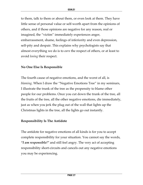to them, talk to them or about them, or even look at them. They have little sense of personal value or self-worth apart from the opinions of others, and if those opinions are negative for any reason, real or imagined, the "victim" immediately experiences anger, embarrassment, shame, feelings of inferiority and even depression, self-pity and despair. This explains why psychologists say that almost everything we do is to *earn* the respect of others, or at least to avoid *losing* their respect.

# **No One Else Is Responsible**

The fourth cause of negative emotions, and the worst of all, is *blaming*. When I draw the "Negative Emotions Tree" in my seminars, I illustrate the trunk of the tree as the propensity to blame other people for our problems. Once you cut down the trunk of the tree, all the fruits of the tree, all the other negative emotions, die immediately, just as when you jerk the plug out of the wall that lights up the Christmas lights in the tree, all the lights go out instantly.

# **Responsibility Is The Antidote**

The antidote for negative emotions of all kinds is for you to accept complete responsibility for your situation. You cannot say the words, *"I am responsible!"* and still feel angry. The very act of accepting responsibility short-circuits and cancels out any negative emotions you may be experiencing.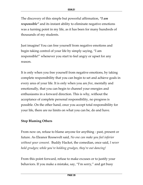The discovery of this simple but powerful affirmation, *"I am responsible"* and its instant ability to eliminate negative emotions was a turning point in my life, as it has been for many hundreds of thousands of my students.

Just imagine! You can free yourself from negative emotions and begin taking control of your life by simply saying, "I am responsible!" whenever you start to feel angry or upset for any reason.

It is only when you free yourself from negative emotions, by taking complete responsibility that you can begin to set and achieve goals in every area of your life. It is only when you are *free*, mentally and emotionally, that you can begin to channel your energies and enthusiasms in a forward direction. This is why, without the acceptance of complete personal responsibility, no progress is possible. On the other hand, once you accept total responsibility for your life, there are no limits on what you can be, do and have.

# **Stop Blaming Others**

From now on, refuse to blame anyone for anything - past, present or future. As Eleanor Roosevelt said, *No one can make you feel inferior without your consent.* Buddy Hacket, the comedian, once said, *I never hold grudges; while you're holding grudges, they're out dancing!*

From this point forward, refuse to make excuses or to justify your behaviors. If you make a mistake, say, "I'm sorry," and get busy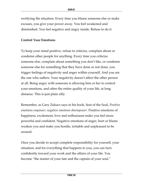rectifying the situation. Every time you blame someone else or make excuses, you give your power away. You feel weakened and diminished. You feel negative and angry inside. Refuse to do it.

# **Control Your Emotions**

To keep your mind positive, refuse to criticize, complain about or condemn other people for anything. Every time you criticize someone else, complain about something you don't like, or condemn someone else for something that they have done or not done, you trigger feelings of negativity and anger within yourself. And you are the one who suffers. Your negativity doesn't affect the other person at all. Being angry with someone is allowing him or her to control your emotions, and often the entire quality of your life, at long distance. This is just plain silly.

Remember, as Gary Zukacs says in his book, Seat of the Soul, *Positive emotions empower; negative emotions disempower.* Positive emotions of happiness, excitement, love and enthusiasm make you feel more powerful and confident. Negative emotions of anger, hurt or blame weaken you and make you hostile, irritable and unpleasant to be around.

Once you decide to accept complete responsibility for yourself, your situation, and for everything that happens to you, you can turn confidently toward your work and the affairs of your life. You become "the master of your fate and the captain of your soul."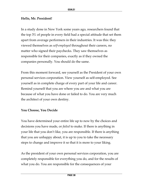# **Hello, Mr. President!**

In a study done in New York some years ago, researchers found that the top 3% of people in every field had a special attitude that set them apart from average performers in their industries. It was this: they viewed themselves as *self-employed* throughout their careers, no matter who signed their paychecks. They saw themselves as responsible for their companies, exactly as if they owned the companies personally. You should do the same.

From this moment forward, see yourself as the President of your own personal services corporation. View yourself as self-employed. See yourself as in complete charge of every part of your life and career. Remind yourself that you are where you are and what you are because of what you have done or failed to do. You are very much the architect of your own destiny.

# **You Choose, You Decide**

You have determined your entire life up to now by the choices and decisions you have made, or *failed* to make. If there is anything in your life that you don't like, you are responsible. If there is anything that you are unhappy about, it is up to you to take the necessary steps to change and improve it so that it is more to your liking.

As the president of your own personal services corporation, you are completely responsible for everything you do, and for the results of what you do. You are responsible for the consequences of your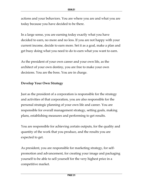actions and your behaviors. You are where you are and what you are today because you have decided to be there.

In a large sense, you are earning today exactly what you have decided to earn, no more and no less. If you are not happy with your current income, decide to earn more. Set it as a goal, make a plan and get busy doing what you need to do to earn what you want to earn.

As the president of your own career and your own life, as the architect of your own destiny, you are free to make your own decisions. You are the boss. You are in charge.

# **Develop Your Own Strategy**

Just as the president of a corporation is responsible for the strategy and activities of that corporation, you are also responsible for the personal strategic planning of your own life and career. You are responsible for overall management strategy, setting goals, making plans, establishing measures and performing to get results.

You are responsible for achieving certain outputs, for the quality and quantity of the work that you produce, and the results you are expected to get.

As president, you are responsible for marketing strategy, for selfpromotion and advancement, for creating your image and packaging yourself to be able to sell yourself for the very highest price in a competitive market.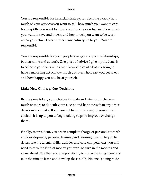You are responsible for financial strategy, for deciding exactly how much of your services you want to sell, how much you want to earn, how rapidly you want to grow your income year by year, how much you want to save and invest, and how much you want to be worth when you retire. These numbers are entirely up to you. You are responsible.

You are responsible for your people strategy and your relationships, both at home and at work. One piece of advice I give my students is to "choose your boss with care." Your choice of a boss is going to have a major impact on how much you earn, how fast you get ahead, and how happy you will be at your job.

# **Make New Choices, New Decisions**

By the same token, your choice of a mate and friends will have as much or more to do with your success and happiness than any other decisions you make. If you are not happy with any of your current choices, it is up to you to begin taking steps to improve or change them.

Finally, as president, you are in complete charge of personal research and development, personal training and learning. It is up to you to determine the talents, skills, abilities and core competencies you will need to earn the kind of money you want to earn in the months and years ahead. It is then your responsibility to make the investment and take the time to learn and develop these skills. No one is going to do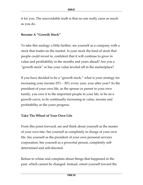it for you. The unavoidable truth is that no one really cares as much as you do.

### **Become A "Growth Stock"**

To take this analogy a little further, see yourself as a company with a stock that trades on the market. Is your stock the kind of stock that people could invest in, confident that it will continue to grow in value and profitability in the months and years ahead? Are you a "growth stock" or has your value leveled off in the marketplace?

If you have decided to be a "growth stock," what is your strategy for increasing your income 25% - 30% every year, year after year? As the president of your own life, as the spouse or parent in your own family, you owe it to the important people in your life, to be on a growth curve, to be continually increasing in value, income and profitability as the years progress.

### **Take The Wheel of Your Own Life**

From this point forward, see and think about yourself as the master of your own fate. See yourself as completely in charge of your own life. See yourself as the president of your own personal services corporation. See yourself as a powerful person, completely selfdetermined and self-directed.

Refuse to whine and complain about things that happened in the past, which cannot be changed. Instead, orient yourself toward the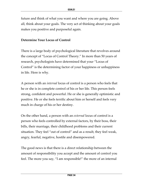future and think of what you want and where you are going. Above all, think about your goals. The very act of thinking about your goals makes you positive and purposeful again.

### **Determine Your Locus of Control**

There is a large body of psychological literature that revolves around the concept of "Locus of Control Theory." In more than 50 years of research, psychologists have determined that your "Locus of Control" is the determining factor of your happiness or unhappiness in life. Here is why.

A person with an *internal* locus of control is a person who feels that he or she is in complete control of his or her life. This person feels strong, confident and powerful. He or she is generally optimistic and positive. He or she feels terrific about him or herself and feels very much in charge of his or her destiny.

On the other hand, a person with an *external* locus of control is a person who feels controlled by external factors, by their boss, their bills, their marriage, their childhood problems and their current situation. They feel "out of control" and as a result, they feel weak, angry, fearful, negative, hostile and disempowered.

The good news is that there is a direct relationship between the amount of responsibility you accept and the amount of control you feel. The more you say, "I am responsible!" the more of an internal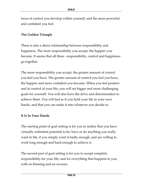locus of control you develop within yourself, and the more powerful and confident you feel.

## **The Golden Triangle**

There is also a direct relationship between responsibility and happiness. The more responsibility you accept, the happier you become. It seems that all three –responsibility, control and happinessgo together.

The more responsibility you accept, the greater amount of control you feel you have. The greater amount of control you feel you have, the happier and more confident you become. When you feel positive and in control of your life, you will set bigger and more challenging goals for yourself. You will also have the drive and determination to achieve them. You will feel as if you hold your life in your own hands, and that you can make it into whatever you decide to.

## **It Is In Your Hands**

The starting point of goal setting is for you to realize that you have virtually unlimited potential to be, have or do anything you really want in life, if you simply want it badly enough, and are willing to work long enough and hard enough to achieve it.

The second part of goal setting is for you to accept complete responsibility for your life, and for everything that happens to you, with no blaming and no excuses.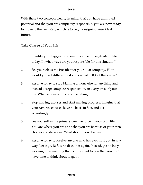With these two concepts clearly in mind, that you have unlimited potential and that you are completely responsible, you are now ready to move to the next step, which is to begin designing your ideal future.

## **Take Charge of Your Life:**

- 1. Identify your biggest problem or source of negativity in life today. In what ways are you responsible for this situation?
- 2. See yourself as the President of your own company. How would you act differently if you owned 100% of the shares?
- 3. Resolve today to stop blaming anyone else for anything and instead accept complete responsibility in every area of your life. What actions should you be taking?
- 4. Stop making excuses and start making progress. Imagine that your favorite excuses have no basis in fact, and act accordingly.
- 5. See yourself as the primary creative force in your own life. You are where you are and what you are because of your own choices and decisions. What should you change?
- 6. Resolve today to forgive anyone who has ever hurt you in any way. Let it go. Refuse to discuss it again. Instead, get so busy working on something that is important to you that you don't have time to think about it again.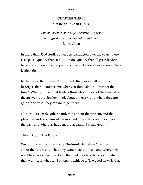# **CHAPTER THREE Create Your Own Future**

*"You will become large as your controlling desire; or as great as your dominant aspiration."* James Allen

In more than 3300 studies of leaders conducted over the years, there is a special quality that stands out, one quality that all great leaders have in common. It is the quality of vision. Leaders have vision. Nonleaders do not.

Earlier I said that the most important discovery in all of human history is that, "You become what you think about — most of the time." What is it then that leaders think about, most of the time? And the answer is that leaders think about the *future* and where they are going, and what they can do to get there.

Non-leaders, on the other hand, think about the present, and the pleasures and problems of the moment. They think and worry about the past, and what has happened that cannot be changed.

### **Think About The Future**

We call this leadership quality **"Future-Orientation."** Leaders think about the future and what they want to accomplish, and where they want to arrive sometime down the road. Leaders think about what they want, and what can be done to achieve it. The good news is that,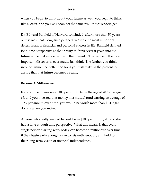when you begin to think about your future as well, you begin to think like a *leader*, and you will soon get the same results that leaders get.

Dr. Edward Banfield of Harvard concluded, after more than 50 years of research, that "long-time perspective" was the most important determinant of financial and personal success in life. Banfield defined long-time perspective as the "ability to think several years into the future while making decisions in the present." This is one of the most important discoveries ever made. Just think! The further you think into the future, the better decisions you will make in the present to assure that that future becomes a reality.

## **Become A Millionaire**

For example, if you save \$100 per month from the age of 20 to the age of 65, and you invested that money in a mutual fund earning an average of 10% per annum over time, you would be worth more than \$1,118,000 dollars when you retired.

Anyone who really wanted to could save \$100 per month, if he or she had a long enough time perspective. What this means is that every single person starting work today can become a millionaire over time if they begin early enough, save consistently enough, and hold to their long-term vision of financial independence.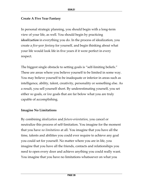#### **Create A Five Year Fantasy**

In personal strategic planning, you should begin with a long-term view of your life, as well. You should begin by practicing *idealization* in everything you do. In the process of idealization, you create a *five*-*year fantasy* for yourself, and begin thinking about what your life would look life in five years if it were perfect in every respect.

The biggest single obstacle to setting goals is "self-limiting beliefs." These are areas where you believe yourself to be limited in some way. You may believe yourself to be inadequate or inferior in areas such as intelligence, ability, talent, creativity, personality or something else. As a result, you sell yourself short. By underestimating yourself, you set either *no* goals, or *low* goals that are far below what you are truly capable of accomplishing.

### **Imagine No Limitations**

By combining *idealization* and *future-orientation*, you cancel or neutralize this process of self-limitation. You imagine for the moment that you have *no limitations* at all. You imagine that you have all the time, talents and abilities you could ever require to achieve any goal you could set for yourself. No matter where you are in life, you imagine that you have all the friends, contacts and relationships you need to open every door and achieve anything you could really want. You imagine that you have no limitations whatsoever on what you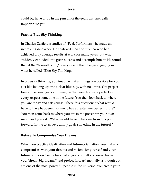could be, have or do in the pursuit of the goals that are really important to you.

## **Practice Blue Sky Thinking**

In Charles Garfield's studies of "Peak Performers," he made an interesting discovery. He analyzed men and women who had achieved only average results at work for many years, but who suddenly exploded into great success and accomplishment. He found that at the "take-off point," every one of them began engaging in what he called "Blue Sky Thinking."

In blue-sky thinking, you imagine that all things are possible for you, just like looking up into a clear blue sky, with no limits. You project forward several years and imagine that your life were perfect in every respect sometime in the future. You then look back to where you are today and ask yourself these this question: "What would have to have happened for me to have created my perfect future?" You then come back to where you are in the present in your own mind, and you ask, "What would have to happen from this point forward for me to achieve all my goals sometime in the future?"

### **Refuse To Compromise Your Dreams**

When you practice idealization and future-orientation, you make no compromises with your dreams and visions for yourself and your future. You don't settle for smaller goals or half successes. Instead, you "dream big dreams" and project forward mentally as though you are one of the most powerful people in the universe. You create your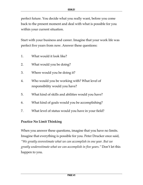perfect future. You decide what you really want, before you come back to the present moment and deal with what is possible for you within your current situation.

Start with your business and career. Imagine that your work life was perfect five years from now. Answer these questions:

- 1. What would it look like?
- 2. What would you be doing?
- 3. Where would you be doing it?
- 4. Who would you be working with? What level of responsibility would you have?
- 5. What kind of skills and abilities would you have?
- 6. What kind of goals would you be accomplishing?
- 7. What level of status would you have in your field?

### **Practice No Limit Thinking**

When you answer these questions, imagine that you have no limits. Imagine that everything is possible for you. Peter Drucker once said, *"We greatly overestimate what we can accomplish in one year. But we greatly underestimate what we can accomplish in five years."* Don't let this happen to you.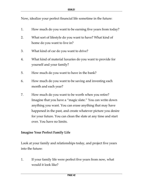Now, idealize your perfect financial life sometime in the future:

- 1. How much do you want to be earning five years from today?
- 2. What sort of lifestyle do you want to have? What kind of home do you want to live in?
- 3. What kind of car do you want to drive?
- 4. What kind of material luxuries do you want to provide for yourself and your family?
- 5. How much do you want to have in the bank?
- 6. How much do you want to be saving and investing each month and each year?
- 7. How much do you want to be worth when you retire? Imagine that you have a "magic slate." You can write down anything you want. You can erase anything that may have happened in the past, and create whatever picture you desire for your future. You can clean the slate at any time and start over. You have no limits.

## **Imagine Your Perfect Family Life**

Look at your family and relationships today, and project five years into the future:

1. If your family life were perfect five years from now, what would it look like?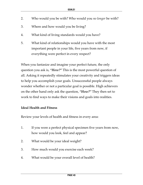- 2. Who would you be with? Who would you *no longer* be with?
- 3. Where and how would you be living?
- 4. What kind of living standards would you have?
- 5. What kind of relationships would you have with the most important people in your life, five years from now, if everything were perfect in every respect?

When you fantasize and imagine your perfect future, the only question you ask is, *"How?"* This is the most powerful question of all. Asking it repeatedly stimulates your creativity and triggers ideas to help you accomplish your goals. Unsuccessful people always wonder whether or not a particular goal is possible. High achievers on the other hand only ask the question, *"How?"* They then set to work to find ways to make their visions and goals into realities.

## **Ideal Health and Fitness**

Review your levels of health and fitness in every area:

- 1. If you were a perfect physical specimen five years from now, how would you look, feel and appear?
- 2. What would be your ideal weight?
- 3. How much would you exercise each week?
- 4. What would be your overall level of health?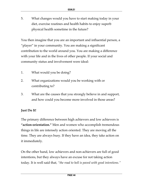5. What changes would you have to start making today in your diet, exercise routines and health habits to enjoy superb physical health sometime in the future?

You then imagine that you are an important and influential person, a "player" in your community. You are making a significant contribution to the world around you. You are making a difference with your life and in the lives of other people. If your social and community status and involvement were ideal:

- 1. What would you be doing?
- 2. What organizations would you be working with or contributing to?
- 3. What are the causes that you strongly believe in and support, and how could you become more involved in those areas?

# **Just Do It!**

The primary difference between high achievers and low achievers is **"action-orientation."** Men and women who accomplish tremendous things in life are intensely action oriented. They are moving all the time. They are always busy. If they have an idea, they take action on it immediately.

On the other hand, low achievers and non-achievers are full of good intentions, but they always have an excuse for not taking action today. It is well said that*, "the road to hell is paved with good intentions."*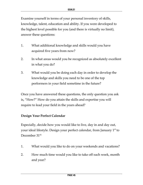Examine yourself in terms of your personal inventory of skills, knowledge, talent, education and ability. If you were developed to the highest level possible for you (and there is virtually no limit), answer these questions:

- 1. What additional knowledge and skills would you have acquired five years from now?
- 2. In what areas would you be recognized as absolutely excellent in what you do?
- 3. What would you be doing each day in order to develop the knowledge and skills you need to be one of the top performers in your field sometime in the future?

Once you have answered these questions, the only question you ask is, "How?" How do you attain the skills and expertise you will require to lead your field in the years ahead?

## **Design Your Perfect Calendar**

Especially, decide how you would like to live, day in and day out, your ideal lifestyle. Design your perfect calendar, from January 1<sup>st</sup> to December 31<sup>st:</sup>

- 1. What would you like to do on your weekends and vacations?
- 2. How much time would you like to take off each week, month and year?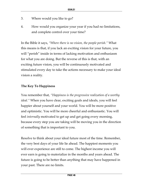- 3. Where would you like to go?
- 4. How would you organize your year if you had no limitations, and complete control over your time?

In the Bible it says, *"Where there is no vision, the people perish."* What this means is that, if you lack an exciting vision for your future, you will "perish" inside in terms of lacking motivation and enthusiasm for what you are doing. But the reverse of this is that, with an exciting future vision, you will be continuously motivated and stimulated every day to take the actions necessary to make your ideal vision a reality.

# **The Key To Happiness**

You remember that, *"Happiness is the progressive realization of a worthy ideal."* When you have clear, exciting goals and ideals, you will feel happier about yourself and your world. You will be more positive and optimistic. You will be more cheerful and enthusiastic. You will feel *internally* motivated to get up and get going every morning, because every step you are taking will be moving you in the direction of something that is important to you.

Resolve to think about your ideal future most of the time. Remember, the very best days of your life lie ahead. The happiest moments you will ever experience are still to come. The highest income you will ever earn is going to materialize in the months and years ahead. The future is going to be better than anything that may have happened in your past. There are no limits.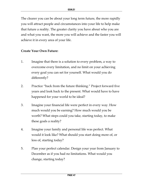The clearer you can be about your long term future, the more rapidly you will attract people and circumstances into your life to help make that future a reality. The greater clarity you have about who you are and what you want, the more you will achieve and the faster you will achieve it in every area of your life.

#### **Create Your Own Future:**

- 1. Imagine that there is a solution to every problem, a way to overcome every limitation, and no limit on your achieving every goal you can set for yourself. What would you do differently?
- 2. Practice "back from the future thinking." Project forward five years and look back to the present. What would have to have happened for your world to be ideal?
- 3. Imagine your financial life were perfect in every way. How much would you be earning? How much would you be worth? What steps could you take, starting today, to make these goals a reality?
- 4. Imagine your family and personal life was perfect. What would it look like? What should you start doing more of, or less of, starting today?
- 5. Plan your perfect calendar. Design your year from January to December as if you had no limitations. What would you change, starting today?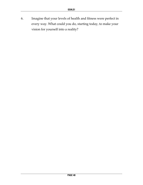6. Imagine that your levels of health and fitness were perfect in every way. What could you do, starting today, to make your vision for yourself into a reality?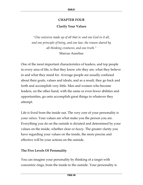## **CHAPTER FOUR**

## **Clarify Your Values**

*"One universe made up of all that is: and one God in it all, and one principle of being, and one law, the reason shared by all thinking creatures, and one truth."* Marcus Aurelius

One of the most important characteristics of leaders, and top people in every area of life, is that they know *who* they are, what they believe in and what they stand for. Average people are usually confused about their goals, values and ideals, and as a result, they go back and forth and accomplish very little. Men and women who become leaders, on the other hand, with the same or even fewer abilities and opportunities, go onto accomplish great things in whatever they attempt.

Life is lived from the inside out. The very core of your personality is your *values*. Your values are what make you the person you are. Everything you do on the outside is dictated and determined by your values on the inside, whether clear or fuzzy. The greater clarity you have regarding your values on the inside, the more precise and effective will be your actions on the outside.

## **The Five Levels Of Personality**

You can imagine your personality by thinking of a target with concentric rings, from the inside to the outside. Your personality is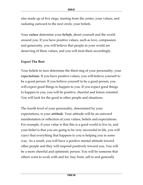also made up of five rings, starting from the center, your values, and radiating outward to the next circle, your beliefs.

Your *values* determine your *beliefs*, about yourself and the world around you. If you have positive values, such as love, compassion and generosity, you will believe that people in your world are deserving of these values, and you will treat them accordingly.

## **Expect The Best**

Your beliefs in turn determine the third ring of your personality, your *expectations*. If you have positive values, you will believe yourself to be a good person. If you believe yourself to be a good person, you will expect good things to happen to you. If you expect good things to happen to you, you will be positive, cheerful and future oriented. You will look for the good in other people and situations.

The fourth level of your personality, determined by your expectations, is your *attitude*. Your attitude will be an outward manifestation or reflection of your values, beliefs and expectations. For example, if your value is that this is a good world to live in, and your belief is that you are going to be very successful in life, you will *expect* that everything that happens to you is helping you in some way. As a result, you will have a positive mental attitude toward other people and they will respond positively toward you. You will be a more cheerful and optimistic person. You will be someone that others want to work with and for, buy from, sell to and generally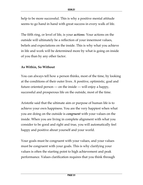help to be more successful. This is why a positive mental attitude seems to go hand in hand with great success in every walk of life.

The fifth ring, or level of life, is your *actions*. Your actions on the outside will ultimately be a reflection of your innermost values, beliefs and expectations on the inside. This is why what you achieve in life and work will be determined more by what is going on inside of you than by any other factor.

## **As Within, So Without**

You can always tell how a person thinks, most of the time, by looking at the conditions of their outer lives. A positive, optimistic, goal and future oriented person — on the inside — will enjoy a happy, successful and prosperous life on the outside, most of the time.

Aristotle said that the ultimate aim or purpose of human life is to achieve your own happiness. You are the very happiest when what you are doing on the outside is *congruent* with your values on the inside. When you are living in complete alignment with what you consider to be good and right and true, you will automatically feel happy and positive about yourself and your world.

Your goals must be congruent with your values, and your values must be congruent with your goals. This is why clarifying your values is often the starting point to high achievement and peak performance. Values clarification requires that you think through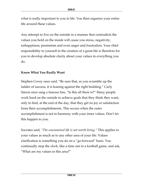what is really important to you in life. You then organize your entire life around these values.

Any attempt to live on the outside in a manner that contradicts the values you hold on the inside will cause you stress, negativity, unhappiness, pessimism and even anger and frustration. Your chief responsibility to yourself in the creation of a great life is therefore for you to develop absolute clarity about your values in everything you do.

## **Know What You Really Want**

Stephen Covey once said, "Be sure that, as you scramble up the ladder of success, it is leaning against the right building." Carly Simon once sang a famous line, "Is this all there is?" Many people work hard on the outside to achieve goals that they think they want, only to find, at the end of the day, that they get no joy or satisfaction from their accomplishments. This occurs when the outer accomplishment is not in harmony with your inner values. Don't let this happen to you.

Socrates said, *"The unexamined life is not worth living."* This applies to your values as much as to any other area of your life. Values clarification is something you do on a "go-forward" basis. You continually stop the clock, like a time out in a football game, and ask, "What are my values in this area?"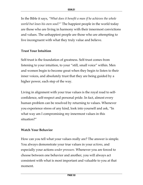In the Bible it says, *"What does it benefit a man if he achieves the whole world but loses his own soul?"* The happiest people in the world today are those who are living in harmony with their innermost convictions and values. The unhappiest people are those who are attempting to live incongruent with what they truly value and believe.

#### **Trust Your Intuition**

Self-trust is the foundation of greatness. Self-trust comes from listening to your intuition, to your "still, small voice" within. Men and women begin to become great when they begin to listen to their inner voices, and absolutely trust that they are being guided by a higher power, each step of the way.

Living in alignment with your true values is the royal road to selfconfidence, self-respect and personal pride. In fact, almost every human problem can be resolved by returning to values. Whenever you experience stress of any kind, look into yourself and ask, "In what way am I compromising my innermost values in this situation?"

### **Watch Your Behavior**

How can you tell what your values really are? The answer is simple. You always demonstrate your true values in your *actions*, and especially your actions *under pressure*. Whenever you are forced to choose between one behavior and another, you will always act consistent with what is most important and valuable to you at that moment.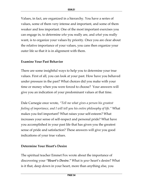Values, in fact, are organized in a hierarchy. You have a series of values, some of them very intense and important, and some of them weaker and less important. One of the most important exercises you can engage in, to determine *who* you really are, and *what* you really want, is to organize your values by priority. Once you are clear about the relative importance of your values, you cans then organize your outer life so that it is in alignment with them.

## **Examine Your Past Behavior**

There are some insightful ways to help you to determine your true values. First of all, you can look at your past. How have you behaved under pressure in the past? What choices did you make with your time or money when you were forced to choose? Your answers will give you an indication of your predominant values at that time.

Dale Carnegie once wrote, *"Tell me what gives a person his greatest feeling of importance, and I will tell you his entire philosophy of life."* What makes you feel important? What raises your self-esteem? What increases your sense of self-respect and personal pride? What have you accomplished in your past life that has given you the greatest sense of pride and satisfaction? These answers will give you good indications of your true values.

# **Determine Your Heart's Desire**

The spiritual teacher Emmet Fox wrote about the importance of discovering your *"Heart's Desire."* What is *your* heart's desire? What is it that, deep down in your heart, more than anything else, you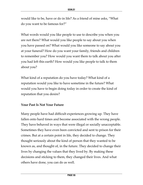would like to be, have or do in life? As a friend of mine asks, "What do you want to be famous for?"

What words would you like people to use to describe you when you are not there? What would you like people to say about you when you have passed on? What would you like someone to say about you at your funeral? How do you want your family, friends and children to remember you? How would you want them to talk about you after you had left this earth? How would you like people to talk to them about you?

What kind of a reputation do you have today? What kind of a reputation would you like to have sometime in the future? What would you have to begin doing today in order to create the kind of reputation that you desire?

#### **Your Past Is Not Your Future**

Many people have had difficult experiences growing up. They have fallen onto hard times and become associated with the wrong people. They have behaved in ways that were illegal or socially unacceptable. Sometimes they have even been convicted and sent to prison for their crimes. But at a certain point in life, they decided to change. They thought seriously about the kind of person that they wanted to be known as, and thought of, in the future. They decided to change their lives by changing the values that they lived by. By making these decisions and sticking to them, they changed their lives. And what others have done, you can do as well.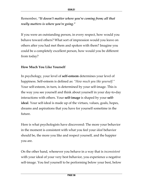Remember, *"It doesn't matter where you're coming from; all that really matters is where you're going."*

If you were an outstanding person, in every respect, how would you behave toward others? What sort of impression would you leave on others after you had met them and spoken with them? Imagine you could be a completely excellent person, how would you be different from today?

## **How Much You Like Yourself**

In psychology, your level of **self-esteem** determines your level of happiness. Self-esteem is defined as: *"How much you like yourself."* Your self-esteem, in turn, is determined by your self-image. This is the way you see yourself and think about yourself in your day-to-day interactions with others. Your **self-image** is shaped by your **selfideal**. Your self-ideal is made up of the virtues, values, goals, hopes, dreams and aspirations that you have for yourself sometime in the future.

Here is what psychologists have discovered: The more your behavior in the moment is consistent with what you feel your *ideal* behavior should be, the more you like and respect yourself, and the happier you are.

On the other hand, whenever you behave in a way that is *inconsistent* with your ideal of your very best behavior, you experience a negative self-image. You feel yourself to be performing below your best, below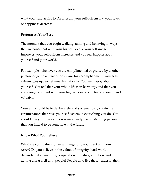what you truly aspire to. As a result, your self-esteem and your level of happiness decrease.

## **Perform At Your Best**

The moment that you begin walking, talking and behaving in ways that are consistent with your highest ideals, your self-image improves, your self-esteem increases and you feel happier about yourself and your world.

For example, whenever you are complimented or praised by another person, or given a prize or an award for accomplishment, your selfesteem goes up, sometimes dramatically. You feel happy about yourself. You feel that your whole life is in harmony, and that you are living congruent with your highest ideals. You feel successful and valuable.

Your aim should be to deliberately and systematically create the circumstances that raise your self-esteem in everything you do. You should live your life as if you were already the outstanding person that you intend to be sometime in the future.

## **Know What You Believe**

What are your values today with regard to your *work* and your *career?* Do you believe in the values of integrity, hard work, dependability, creativity, cooperation, initiative, ambition, and getting along well with people? People who live these values in their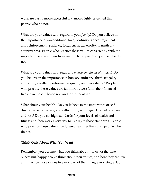work are vastly more successful and more highly esteemed than people who do not.

What are your values with regard to your *family*? Do you believe in the importance of unconditional love, continuous encouragement and reinforcement, patience, forgiveness, generosity, warmth and attentiveness? People who practice these values consistently with the important people in their lives are much happier than people who do not.

What are your values with regard to *money and financial success?* Do you believe in the importance of honesty, industry, thrift, frugality, education, excellent performance, quality and persistence? People who practice these values are far more successful in their financial lives than those who do not, and far faster as well.

What about your health? Do you believe in the importance of selfdiscipline, self-mastery, and self-control, with regard to diet, exercise and rest? Do you set high standards for your levels of health and fitness and then work every day to live up to those standards? People who practice these values live longer, healthier lives than people who do not.

### **Think Only About What You Want**

Remember, you become what you think about — most of the time. Successful, happy people think about their values, and how they can live and practice those values in every part of their lives, every single day.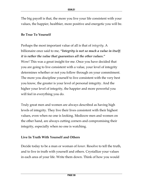The big payoff is that, the more you live your life consistent with your values, the happier, healthier, more positive and energetic you will be.

### **Be True To Yourself**

Perhaps the most important value of all is that of *integrity*. A billionaire once said to me, *"Integrity is not so much a value in itself; it is rather the value that guarantees all the other values."* Wow! This was a great insight for me. Once you have decided that you are going to live consistent with a value, your level of integrity determines whether or not you follow through on your commitment. The more you discipline yourself to live consistent with the very best you know, the greater is your level of personal integrity. And the higher your level of integrity, the happier and more powerful you will feel in everything you do.

Truly great men and women are always described as having high levels of integrity. They live their lives consistent with their highest values, even when no one is looking. Mediocre men and women on the other hand, are always cutting corners and compromising their integrity, especially when no one is watching.

## **Live In Truth With Yourself and Others**

Decide today to be a man or woman of *honor*. Resolve to tell the truth, and to live in truth with yourself and others. Crystallize your values in each area of your life. Write them down. Think of how you would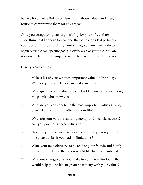behave if you were living consistent with those values, and then, refuse to compromise them for any reason.

Once you accept complete responsibility for your life, and for everything that happens to you, and then create an ideal picture of your perfect future and clarify your values, you are now ready to begin setting clear, specific goals in every area of your life. You are now on the launching ramp and ready to take off toward the stars.

## **Clarify Your Values:**

- 1. Make a list of your 3-5 most important values in life today. What do you really believe in, and stand for?
- 2. What qualities and values are you best known for today among the people who know you?
- 3. What do you consider to be the most important values guiding your relationships with others in your life?
- 4. What are your values regarding money and financial success? Are you practicing these values daily?
- 5. Describe your picture of an ideal person, the person you would most want to be, if you had no limitations?
- 6. Write your own obituary, to be read to your friends and family at your funeral, exactly as you would like to be remembered.
- 7. What one change could you make in your behavior today that would help you to live in greater harmony with your values?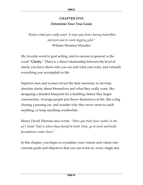# **CHAPTER FIVE Determine Your True Goals**

*"Realize what you really want. It stops you from chasing butterflies and puts you to work digging gold."* William Moulton Marsden

My favorite word in goal setting, and in success in general, is the word "**Clarity**." There is a direct relationship between the level of clarity you have about who you are and what you want, and virtually everything you accomplish in life.

Superior men and women invest the time necessary to develop absolute clarity about themselves and what they really want, like designing a detailed blueprint for a building, before they begin construction. Average people just throw themselves at life, like a dog chasing a passing car, and wonder why they never seem to catch anything, or keep anything worthwhile.

Henry David Thoreau once wrote, *"Have you built your castles in the air? Good. That is where they should be built. Now, go to work and build foundations under them."*

In this chapter, you begin to crystallize your visions and values into concrete goals and objectives that you can work on, every single day.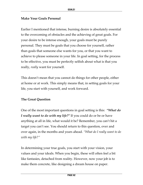### **Make Your Goals Personal**

Earlier I mentioned that intense, burning desire is absolutely essential to the overcoming of obstacles and the achieving of great goals. For your desire to be intense enough, your goals must be purely personal. They must be goals that you choose for yourself, rather than goals that someone else wants for you, or that you want to achieve to please someone in your life. In goal setting, for the process to be effective, you must be perfectly selfish about what is that you really, *really* want for yourself.

This doesn't mean that you cannot do things for other people, either at home or at work. This simply means that, in setting goals for your life, you start with yourself, and work forward.

## **The Great Question**

One of the most important questions in goal setting is this: *"What do I really want to do with my life?"* If you could do or be or have anything at all in life, what would it be? Remember, you can't hit a target you can't see. You should return to this question, over and over again, in the months and years ahead. *"What do I really want to do with my life?"*

In determining your true goals, you start with your vision, your values and your ideals. When you begin, these will often feel a bit like fantasies, detached from reality. However, now your job is to make them concrete, like designing a dream house on paper.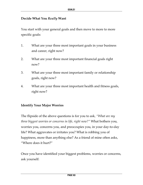## **Decide What You** *Really* **Want**

You start with your general goals and then move to more to more specific goals:

- 1. What are your three most important goals in your business and career, right now?
- 2. What are your three most important financial goals right now?
- 3. What are your three most important family or relationship goals, right now?
- 4. What are your three most important health and fitness goals, right now?

# **Identify Your Major Worries**

The flipside of the above questions is for you to ask*, "What are my three biggest worries or concerns in life, right now?"* What bothers you, worries you, concerns you, and preoccupies you, in your day-to-day life? What aggravates or irritates you? What is robbing you of happiness, more than anything else? As a friend of mine often asks, "Where does it hurt?"

Once you have identified your biggest problems, worries or concerns, ask yourself: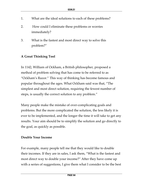- 1. What are the ideal solutions to each of these problems?
- 2. How could I eliminate these problems or worries immediately?
- 3. What is the fastest and most direct way to solve this problem?"

## **A Great Thinking Tool**

In 1142, William of Ockham, a British philosopher, proposed a method of problem solving that has come to be referred to as "Ockham's Razor." This way of thinking has become famous and popular throughout the ages. What Ockham said was that, "The simplest and most direct solution, requiring the fewest number of steps, is usually the correct solution to any problem."

Many people make the mistake of over-complicating goals and problems. But the more complicated the solution, the less likely it is ever to be implemented, and the longer the time it will take to get any results. Your aim should be to simplify the solution and go directly to the goal, as quickly as possible.

## **Double Your Income**

For example, many people tell me that they would like to double their incomes. If they are in sales, I ask them, "What is the fastest and most direct way to double your income?" After they have come up with a series of suggestions, I give them what I consider to be the best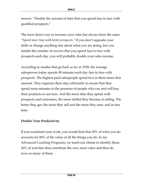answer. "Double the amount of time that you spend face to face with qualified prospects."

The most direct way to increase your sales has always been the same. *"Spend more time with better prospects."* If you don't upgrade your skills or change anything else about what you are doing, but you double the number of *minutes* that you spend face to face with prospects each day, you will probably double your sales income.

According to studies that go back as far as 1928, the average salesperson today spends 90 minutes each day face to face with prospects. The highest paid salespeople spend two or three times that amount. They organize their days efficiently to assure that they spend more minutes in the presence of people who can and will buy their products or services. And the more time they spend with prospects and customers, the more skilled they become at selling. The better they get, the more they sell and the more they earn, and in less time.

## **Double Your Productivity**

If you examined your work, you would find that 20% of what you do accounts for 80% of the value of all the things you do. In my Advanced Coaching Programs, we teach our clients to identify those 20% of activities that contribute the very most value and then do *twice* as many of them.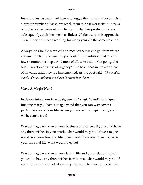Instead of using their intelligence to juggle their time and accomplish a greater number of tasks, we teach them to do fewer tasks, but tasks of higher value. Some of our clients double their productivity, and subsequently, their income in as little as 30 days with this approach, even if they have been working for many years in the same position.

Always look for the simplest and most direct way to get from where you are to where you want to go. Look for the solution that has the fewest number of steps. And most of all, take action! Get going. Get busy. Develop a "sense of urgency." The best ideas in the world are of no value until they are implemented. As the poet said, *"The saddest words of mice and men are these: it might have been."*

## **Wave A Magic Wand**

In determining your true goals, use the "Magic Wand" technique. Imagine that you have a magic wand that you can wave over a particular area of your life. When you wave this magic wand, your wishes come true!

Wave a magic wand over your business and career. If you could have any three wishes in your work, what would they be? Wave a magic wand over your financial life. If you could have any three wishes in your financial life, what would they be?

Wave a magic wand over your family life and your relationships. If you could have any three wishes in this area, what would they be? If your family life were ideal in every respect, what would it look like?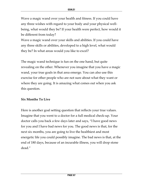Wave a magic wand over your health and fitness. If you could have any three wishes with regard to your body and your physical wellbeing, what would they be? If your health were perfect, how would it be different from today?

Wave a magic wand over your skills and abilities. If you could have any three skills or abilities, developed to a high level, what would they be? In what areas would you like to excel?

The magic wand technique is fun on the one hand, but quite revealing on the other. Whenever you imagine that you have a magic wand, your true goals in that area emerge. You can also use this exercise for other people who are not sure about what they want or where they are going. It is amazing what comes out when you ask this question.

## **Six Months To Live**

Here is another goal setting question that reflects your true values. Imagine that you went to a doctor for a full medical check-up. Your doctor calls you back a few days later and says, "I have good news for you and I have bad news for you. The good news is that, for the next six months, you are going to live the healthiest and most energetic life you could possibly imagine. The bad news is that, at the end of 180 days, because of an incurable illness, you will drop stone dead."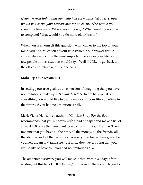*If you learned today that you only had six months left to live, how would you spend your last six months on earth?* Who would you spend the time with? Where would you go? What would you strive to complete? What would you do more of, or less of?

When you ask yourself this question, what comes to the top of your mind will be a reflection of your true values. Your answer would almost always include the most important people in your life. Very few people in this situation would say, "Well, I'd like to get back to the office and return a few phone calls."

## **Make Up Your Dream List**

In setting your true goals as an extension of imagining that you have no limitations, make up a *"Dream List."* A dream list is a list of everything you would like to be, have or do in your life, sometime in the future, if you had no limitations at all.

Mark Victor Hansen, co-author of Chicken Soup For the Soul, recommends that you sit down with a pad of paper and make a list of at least 100 goals that you want to accomplish in your lifetime. Then imagine that you have all the time, all the money, all the friends, all the abilities and all the resources necessary to achieve these goals. Let yourself dream and fantasize. Just write down everything that you would like to have as if you had no limitations at all.

The amazing discovery you will make is that, within 30 days after writing out this list of 100 "Dreams," remarkable things will begin to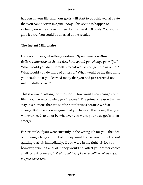happen in your life, and your goals will start to be achieved, at a rate that you cannot even imagine today. This seems to happen to virtually once they have written down at least 100 goals. You should give it a try. You could be amazed at the results.

# **The Instant Millionaire**

Here is another goal setting question*; "If you won a million dollars tomorrow, cash, tax free, how would you change your life?"* What would you do differently? What would you get into or out of? What would you do more of or less of? What would be the first thing you would do if you learned today that you had just received one million dollars cash?

This is a way of asking the question, "How would you change your life if you were completely *free to choose?* The primary reason that we stay in situations that are not the best for us is because we fear change. But when you imagine that you have all the money that you will ever need, to do or be whatever you want, your true goals often emerge.

For example, if you were currently in the wrong job for you, the idea of winning a large amount of money would cause you to think about quitting that job immediately. If you were in the right job for you however, winning a lot of money would not affect your career choice at all. So ask yourself, *"What would I do if I won a million dollars cash, tax free, tomorrow?"*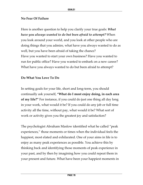### **No Fear Of Failure**

Here is another question to help you clarify your true goals: *What have you always wanted to do but been afraid to attempt?* When you look around your world, and you look at other people who are doing things that you admire, what have you always wanted to do as well, but you have been afraid of taking the chance? Have you wanted to start your own business? Have you wanted to run for public office? Have you wanted to embark on a new career? What have you always wanted to do but been afraid to attempt?

### **Do What You Love To Do**

In setting goals for your life, short and long-term, you should continually ask yourself, **"What do I most enjoy doing, in each area of my life?"** For instance, if you could do just one thing all day long in your work, what would it be? If you could do any job or full time activity all the time, without pay, what would it be? What sort of work or activity gives you the greatest joy and satisfaction?

The psychologist Abraham Maslow identified what he called "peak experiences," those moments or times when the individual feels the happiest, most elated and exhilarated. One of your aims in life is to enjoy as many peak experiences as possible. You achieve this by thinking back and identifying those moments of peak experience in your past, and by then by imagining how you could repeat them in your present and future. What have been your happiest moments in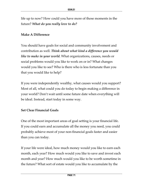life up to now? How could you have more of those moments in the future? *What do you really love to do?*

#### **Make A Difference**

You should have goals for social and community involvement and contribution as well. *Think about what kind a difference you would like to make in your world.* What organizations, causes, needs or social problems would you like to work on or in? What changes would you like to see? Who is there who is less fortunate than you that you would like to help?

If you were independently wealthy, what causes would you support? Most of all, what could you do today to begin making a difference in your world? Don't wait until some future date when everything will be ideal. Instead, start today in some way.

# **Set Clear Financial Goals**

One of the most important areas of goal setting is your financial life. If you could earn and accumulate all the money you need, you could probably achieve most of your non-financial goals faster and easier than you can today.

If your life were ideal, how much money would you like to earn each month, each year? How much would you like to save and invest each month and year? How much would you like to be worth sometime in the future? What sort of estate would you like to accumulate by the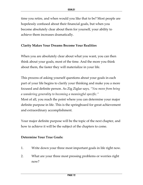time you retire, and when would you like that to be? Most people are hopelessly confused about their financial goals, but when you become absolutely clear about them for yourself, your ability to achieve them increases dramatically.

### **Clarity Makes Your Dreams Become Your Realities**

When you are absolutely clear about what you want, you can then think about your goals, most of the time. And the more you think about them, the faster they will materialize in your life.

This process of asking yourself questions about your goals in each part of your life begins to clarify your thinking and make you a more focused and definite person. As Zig Ziglar says*, "You move from being a wandering generality to becoming a meaningful specific."*

Most of all, you reach the point where you can determine your major definite purpose in life. This is the springboard for great achievement and extraordinary accomplishment.

Your major definite purpose will be the topic of the next chapter, and how to achieve it will be the subject of the chapters to come.

#### **Determine Your True Goals:**

- 1. Write down your three most important goals in life right now.
- 2. What are your three most pressing problems or worries right now?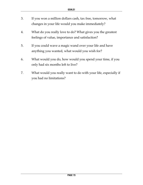- 3. If you won a million dollars cash, tax free, tomorrow, what changes in your life would you make immediately?
- 4. What do you really love to do? What gives you the greatest feelings of value, importance and satisfaction?
- 5. If you could wave a magic wand over your life and have anything you wanted, what would you wish for?
- 6. What would you do, how would you spend your time, if you only had six months left to live?
- 7. What would you really want to do with your life, especially if you had no limitations?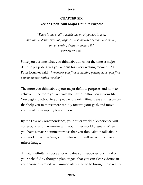# **CHAPTER SIX Decide Upon Your Major Definite Purpose**

*"There is one quality which one must possess to win, and that is definiteness of purpose, the knowledge of what one wants, and a burning desire to possess it."* Napoleon Hill

Since you become what you think about most of the time, a major definite purpose gives you a focus for every waking moment. As Peter Drucker said, *"Whenever you find something getting done, you find a monomaniac with a mission."*

The more you think about your major definite purpose, and how to achieve it, the more you activate the Law of Attraction in your life. You begin to attract to you people, opportunities, ideas and resources that help you to move more rapidly toward your goal, and move your goal more rapidly toward you.

By the Law of Correspondence, your outer world of experience will correspond and harmonize with your inner world of goals. When you have a major definite purpose that you think about, talk about and work on all the time, your outer world will reflect this, like a mirror image.

A major definite purpose also activates your subconscious mind on your behalf. Any thought, plan or goal that you can clearly define in your conscious mind, will immediately start to be brought into reality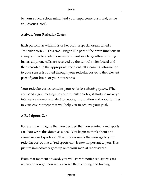by your subconscious mind (and your superconscious mind, as we will discuss later).

### **Activate Your Reticular Cortex**

Each person has within his or her brain a special organ called a "reticular cortex." This small finger-like part of the brain functions in a way similar to a telephone switchboard in a large office building. Just as all phone calls are received by the central switchboard and then rerouted to the appropriate recipient, all incoming information to your senses is routed through your reticular cortex to the relevant part of your brain, or your awareness.

Your reticular cortex contains your *reticular activating system*. When you send a goal message to your reticular cortex, it starts to make you intensely aware of and alert to people, information and opportunities in your environment that will help you to achieve your goal.

# **A Red Sports Car**

For example, imagine that you decided that you wanted a red sports car. You write this down as a goal. You begin to think about and visualize a red sports car. This process sends the message to your reticular cortex that a "red sports car" is now important to you. This picture immediately goes up onto your mental radar screen.

From that moment onward, you will start to notice red sports cars wherever you go. You will even see them driving and turning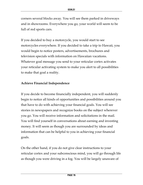corners several blocks away. You will see them parked in driveways and in showrooms. Everywhere you go, your world will seem to be full of red sports cars.

If you decided to buy a motorcycle, you would start to see motorcycles everywhere. If you decided to take a trip to Hawaii, you would begin to notice posters, advertisements, brochures and television specials with information on Hawaiian vacations. Whatever goal message you send to your reticular cortex activates your reticular activating system to make you alert to all possibilities to make that goal a reality.

# **Achieve Financial Independence**

If you decide to become financially independent, you will suddenly begin to notice all kinds of opportunities and possibilities around you that have to do with achieving your financial goals. You will see stories in newspapers and recognize books on the subject wherever you go. You will receive information and solicitations in the mail. You will find yourself in conversations about earning and investing money. It will seem as though you are surrounded by ideas and information that can be helpful to you in achieving your financial goals.

On the other hand, if you do not give clear instructions to your reticular cortex and your subconscious mind, you will go through life as though you were driving in a fog. You will be largely unaware of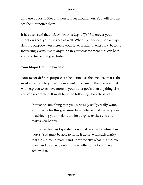all these opportunities and possibilities around you. You will seldom see them or notice them.

It has been said that, *"Attention is the key to life."* Wherever your attention goes, your life goes as well. When you decide upon a major definite purpose, you increase your level of attentiveness and become increasingly sensitive to anything in your environment that can help you to achieve that goal faster.

### **Your Major Definite Purpose**

Your major definite purpose can be defined as the one goal that is the most important to you at the moment. It is usually the one goal that will help you to achieve more of your other goals than anything else you can accomplish. It must have the following characteristics:

- 1. It must be something that you *personally* really, really want. Your desire for this goal must be so intense that the very idea of achieving your major definite purpose excites you and makes you happy.
- 2. It must be clear and specific. You must be able to define it in words. You must be able to write it down with such clarity that a child could read it and know exactly what it is that you want, and be able to determine whether or not you have achieved it.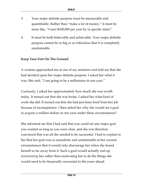- 3. Your major definite purpose must be measurable and quantifiable. Rather than "make a lot of money," it must be more like, "I earn \$100,000 per year by (a specific date)."
- 4. It must be both believable and achievable. Your major definite purpose cannot be so big or so ridiculous that it is completely unattainable.

#### **Keep Your Feet On The Ground**

A woman approached me at one of my seminars and told me that she had decided upon her major definite purpose. I asked her what it was. She said, "I am going to be a millionaire in one year."

Curiously, I asked her approximately how much she was worth today. It turned out that she was broke. I asked her what kind of work she did. It turned out that she had just been fired from her job because of incompetence. I then asked her why she would set a goal to acquire a million dollars in one year under these circumstances?

She informed me that I had said that you could set any major goal you wanted as long as you were clear, and she was therefore convinced that was all she needed to be successful. I had to explain to her that her goal was so unrealistic and unattainable in her current circumstances that it would only discourage her when she found herself so far away from it. Such a goal would actually end up *demotivating* her rather than motivating her to do the things she would need to be financially successful in the years ahead.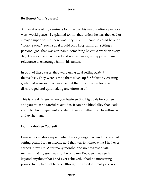#### **Be Honest With Yourself**

A man at one of my seminars told me that his major definite purpose was "world peace." I explained to him that, unless he was the head of a major super power, there was very little influence he could have on "world peace." Such a goal would only keep him from setting a personal goal that was attainable, something he could work on every day. He was visibly irritated and walked away, unhappy with my reluctance to encourage him in his fantasy.

In both of these cases, they were using goal setting *against* themselves. They were setting themselves up for failure by creating goals that were so unachievable that they would soon become discouraged and quit making any efforts at all.

This is a real danger when you begin setting big goals for yourself, and you must be careful to avoid it. It can be a blind alley that leads you into discouragement and demotivation rather than to enthusiasm and excitement.

# **Don't Sabotage Yourself**

I made this mistake myself when I was younger. When I first started setting goals, I set an income goal that was ten times what I had ever earned in my life. After many months, and no progress at all, I realized that my goal was not helping me. Because it was so far beyond anything that I had ever achieved, it had no motivating power. In my heart of hearts, although I wanted it, I really did not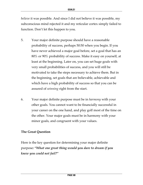*believe* it was possible. And since I did not believe it was possible, my subconscious mind rejected it and my reticular cortex simply failed to function. Don't let this happen to you.

- 5. Your major definite purpose should have a reasonable probability of success, perhaps 50:50 when you begin. If you have never achieved a major goal before, set a goal that has an 80% or 90% probability of success. Make it easy on yourself, at least at the beginning. Later on, you can set huge goals with very small probabilities of success, and you will still be motivated to take the steps necessary to achieve them. But in the beginning, set goals that are believable, achievable and which have a high probability of success so that you can be assured of *winning* right from the start.
- 6. Your major definite purpose must be in *harmony* with your other goals. You cannot want to be financially successful in your career on the one hand, and play golf most of the time on the other. Your major goals must be in harmony with your minor goals, and congruent with your values.

# **The Great Question**

Here is the key question for determining your major definite purpose*: "What one great thing would you dare to dream if you knew you could not fail?"*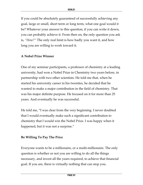If you could be absolutely guaranteed of successfully achieving any goal, large or small, short term or long term, what one goal would it be? Whatever your answer to this question, if you can write it down, you can probably achieve it. From then on, the only question you ask is, *"How?"* The only real limit is how badly you want it, and how long you are willing to work toward it.

# **A Nobel Prize Winner**

One of my seminar participants, a professor of chemistry at a leading university, had won a Nobel Prize in Chemistry two years before, in partnership with two other scientists. He told me that, when he started his university career in his twenties, he decided that he wanted to make a major contribution in the field of chemistry. That was his major definite purpose. He focused on it for more than 25 years. And eventually he was successful.

He told me, "I was clear from the very beginning. I never doubted that I would eventually make such a significant contribution to chemistry that I would win the Nobel Prize. I was happy when it happened, but it was not a surprise."

# **Be Willing To Pay The Price**

Everyone wants to be a millionaire, or a multi-millionaire. The only question is whether or not you are willing to do all the things necessary, and invest all the years required, to achieve that financial goal. If you are, there is virtually nothing that can stop you.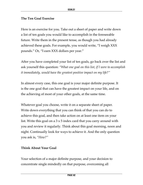#### **The Ten Goal Exercise**

Here is an exercise for you. Take out a sheet of paper and write down a list of ten goals you would like to accomplish in the foreseeable future. Write them in the present tense, as though you had already achieved these goals. For example, you would write, "I weigh XXX pounds." Or, "I earn XXX dollars per year."

After you have completed your list of ten goals, go back over the list and ask yourself this question: *"What one goal on this list, if I were to accomplish it immediately, would have the greatest positive impact on my life?"*

In almost every case, this one goal is your major definite purpose. It is the one goal that can have the greatest impact on your life, and on the achieving of most of your other goals, at the same time.

Whatever goal you choose, write it on a separate sheet of paper. Write down everything that you can think of that you can do to achieve this goal, and then take action on at least one item on your list. Write this goal on a 3 x 5 index card that you carry around with you and review it regularly. Think about this goal morning, noon and night. Continually look for ways to achieve it. And the only question you ask is, *"How?"*

# **Think About Your Goal**

Your selection of a major definite purpose, and your decision to concentrate single mindedly on that purpose, overcoming all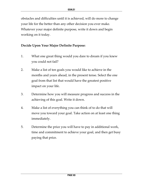obstacles and difficulties until it is achieved, will do more to change your life for the better than any other decision you ever make. Whatever your major definite purpose, write it down and begin working on it today.

# **Decide Upon Your Major Definite Purpose:**

- 1. What one great thing would you dare to dream if you knew you could not fail?
- 2. Make a list of ten goals you would like to achieve in the months and years ahead, in the present tense. Select the one goal from that list that would have the greatest positive impact on your life.
- 3. Determine how you will measure progress and success in the achieving of this goal. Write it down.
- 4. Make a list of everything you can think of to do that will move you toward your goal. Take action on at least one thing immediately.
- 5. Determine the price you will have to pay in additional work, time and commitment to achieve your goal, and then get busy paying that price.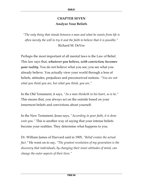# **CHAPTER SEVEN Analyze Your Beliefs**

*"The only thing that stands between a man and what he wants from life is often merely the will to try it and the faith to believe that it is possible."* Richard M. DeVos

Perhaps the most important of all mental laws is the Law of Belief. This law says that, *whatever you believe, with conviction, becomes your reality.* You do not believe what you see; you see what you already believe. You actually view your world through a lens of beliefs, attitudes, prejudices and preconceived notions. *"You are not what you think you are, but what you think, you are."*

In the Old Testament, it says, *"As a man thinketh in his heart, so is he."* This means that, you always act on the outside based on your innermost beliefs and convictions about yourself.

In the New Testament, Jesus says, *"According to your faith, it is done unto you."* This is another way of saying that your intense beliefs become your realities. They determine what happens to you.

Dr. William James of Harvard said in 1905, *"Belief creates the actual fact."* He went on to say, *"The greatest revolution of my generation is the discovery that individuals, by changing their inner attitudes of mind, can change the outer aspects of their lives."*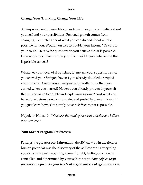# **Change Your Thinking, Change Your Life**

All improvement in your life comes from changing your beliefs about yourself and your possibilities. Personal growth comes from changing your beliefs about what you can do and about what is possible for you. Would you like to double your income? Of course you would! Here is the question; do you believe that it is possible? How would you like to triple your income? Do you believe that that is possible as well?

Whatever your level of skepticism, let me ask you a question. Since you started your first job, haven't you already doubled or tripled your income? Aren't you already earning vastly more than you earned when you started? Haven't you already proven to yourself that it is possible to double and triple your income? And what you have done before, you can do again, and probably over and over, if you just learn how. You simply have to *believe* that it is possible.

Napoleon Hill said, *"Whatever the mind of man can conceive and believe, it can achieve."*

# **Your Master Program For Success**

Perhaps the greatest breakthrough in the  $20<sup>th</sup>$  century in the field of human potential was the discovery of the self-concept. Everything you do or achieve in your life, every thought, feeling or action, is controlled and determined by your self-concept. *Your self-concept precedes and predicts your levels of performance and effectiveness in*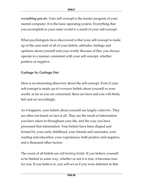*everything you do*. Your self-concept is the master program of your mental computer. It is the basic operating system. Everything that you accomplish in your outer world is a result of your self-concept.

What psychologists have discovered is that your self-concept is made up of the sum total of all of your beliefs, attitudes, feelings and opinions about yourself and your world. Because of this, you always operate in a manner consistent with your self-concept, whether positive or negative.

# **Garbage In, Garbage Out**

Here is an interesting discovery about the self-concept. Even if your self-concept is made up of *erroneous* beliefs about yourself or your world, as far as you are concerned, these are facts and you will think, feel and act accordingly.

As it happens, your beliefs about yourself are largely *subjective*. They are often not based on fact at all. They are the result of information you have taken in throughout your life, and the way you have processed that information. Your beliefs have been shaped and formed by your early childhood, your friends and associates, your reading and education, your experiences, both positive and negative, and a thousand other factors.

The worst of all beliefs are *self-limiting beliefs*. If you believe yourself to be limited in some way, whether or not it is true, it becomes true for you. If you believe it, you will act as if you were deficient in that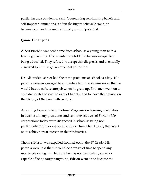particular area of talent or skill. Overcoming self-limiting beliefs and self-imposed limitations is often the biggest obstacle standing between you and the realization of your full potential.

### **Ignore The Experts**

Albert Einstein was sent home from school as a young man with a learning disability. His parents were told that he was incapable of being educated. They refused to accept this diagnosis and eventually arranged for him to get an excellent education.

Dr. Albert Schweitzer had the same problems at school as a boy. His parents were encouraged to apprentice him to a shoemaker so that he would have a safe, secure job when he grew up. Both men went on to earn doctorates before the ages of twenty, and to leave their marks on the history of the twentieth century.

According to an article in Fortune Magazine on learning disabilities in business, many presidents and senior executives of Fortune 500 corporations today were diagnosed in school as being not particularly bright or capable. But by virtue of hard work, they went on to achieve great success in their industries.

Thomas Edison was expelled from school in the  $6<sup>th</sup>$  Grade. His parents were told that it would be a waste of time to spend any money educating him, because he was not particularly smart or capable of being taught anything. Edison went on to become the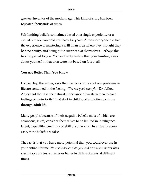greatest inventor of the modern age. This kind of story has been repeated thousands of times.

Self-limiting beliefs, sometimes based on a single experience or a casual remark, can hold you back for years. Almost everyone has had the experience of mastering a skill in an area where they thought they had no ability, and being quite surprised at themselves. Perhaps this has happened to you. You suddenly realize that your limiting ideas about yourself in that area were not based on fact at all.

#### **You Are Better Than You Know**

Louise Hay, the writer, says that the roots of most of our problems in life are contained in the feeling, *"I'm not good enough."* Dr. Alfred Adler said that it is the natural inheritance of western man to have feelings of "inferiority" that start in childhood and often continue through adult life.

Many people, because of their negative beliefs, most of which are erroneous, *falsely* consider themselves to be limited in intelligence, talent, capability, creativity or skill of some kind. In virtually every case, these beliefs are false.

The fact is that you have more potential than you could ever use in your entire lifetime. *No one is better than you and no one is smarter than you.* People are just smarter or better in different areas at different times.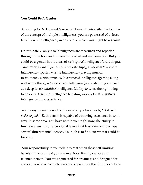#### **You Could Be A Genius**

According to Dr. Howard Garner of Harvard University, the founder of the concept of multiple intelligences, you are possessed of at least ten different intelligences, in any one of which you might be a genius.

Unfortunately, only two intelligences are measured and reported throughout school and university: verbal and mathematical. But you could be a genius in the areas of *visio-spatial* intelligence (art, design,), *entrepreneurial* intelligence (business startups), *physical or kinesthetic* intelligence (sports), *musical* intelligence (playing musical instruments, writing music), *interpersonal* intelligence (getting along well with others), *intra-personal* intelligence (understanding yourself at a deep level), *intuitive* intelligence (ability to sense the right thing to do or say), *artistic* intelligence (creating works of art) or *abstract* intelligence(physics, science).

 As the saying on the wall of the inner city school reads, *"God don't make no junk."* Each person is capable of achieving excellence in some way, in some area. You have within you, right now, the ability to function at genius or exceptional levels in at least one, and perhaps several different intelligences. Your job is to find out what it could be for you.

Your responsibility to yourself is to cast off all these self-limiting beliefs and accept that you are an extraordinarily capable and talented person. You are engineered for greatness and designed for success. You have competencies and capabilities that have never been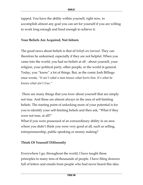tapped. You have the ability within yourself, right now, to accomplish almost any goal you can set for yourself if you are willing to work long enough and hard enough to achieve it.

# **Your Beliefs Are Acquired, Not Inborn**

The good news about beliefs is that *all beliefs are learned*. They can therefore be unlearned, especially if they are not helpful. When you came into the world, you had no beliefs at all - about yourself, your religion, your political party, other people, or the world in general. Today, you "know" a lot of things. But, as the comic Josh Billings once wrote, *"It ain't what a man knows what hurts him. It's what he knows what ain't true."*

 There are many things that you *know* about yourself that are simply not true. And these are almost always in the area of self-limiting beliefs. The starting point of unlocking more of your potential is for you to identify your self-limiting beliefs and then ask, "What if they were not true, at all?"

What if you were possessed of an extraordinary ability in an area where you didn't think you were very good at all, such as selling, entrepreneurship, public speaking or money making?

# **Think Of Yourself Differently**

Everywhere I go, throughout the world, I have taught these principles to many tens of thousands of people. I have filing drawers full of letters and emails from people who had never heard this idea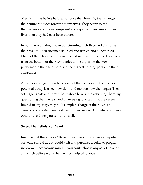of self-limiting beliefs before. But once they heard it, they changed their entire attitudes towards themselves. They began to see themselves as far more competent and capable in key areas of their lives than they had ever been before.

In no time at all, they began transforming their lives and changing their results. Their incomes doubled and tripled and quadrupled. Many of them became millionaires and multi-millionaires. They went from the bottom of their companies to the top, from the worst performer in their sales forces to the highest earning person in their companies.

After they changed their beliefs about themselves and their personal potentials, they learned new skills and took on new challenges. They set bigger goals and threw their whole hearts into achieving them. By questioning their beliefs, and by refusing to accept that they were limited in any way, they took complete charge of their lives and careers, and created new realities for themselves. And what countless others have done, you can do as well.

# **Select The Beliefs You Want**

Imagine that there was a "Belief Store," very much like a computer software store that you could visit and purchase a belief to program into your subconscious mind. If you could choose any set of beliefs at all, which beliefs would be the most helpful to you?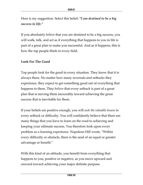Here is my suggestion. Select this belief: *"I am destined to be a big success in life."*

If you absolutely *believe* that you are destined to be a big success, you will walk, talk, and act as if everything that happens to you in life is part of a great plan to make you successful. And as it happens, this is how the top people think in every field.

### **Look For The Good**

Top people look for the good in every situation. They know that it is always there. No matter how many reversals and setbacks they experience, they expect to get something good out of everything that happens to them. They *believe* that every setback is part of a great plan that is moving them inexorably toward achieving the great success that is inevitable for them.

If your beliefs are positive enough, you will *seek the valuable lesson* in every setback or difficulty. You will confidently believe that there are many things that you have to learn on the road to achieving and keeping your ultimate success. You therefore look upon every problem as a learning experience. Napoleon Hill wrote, "Within every difficulty or obstacle, there is the seed of an equal or greater advantage or benefit."

With this kind of an attitude, you benefit from everything that happens to you, positive or negative, as you move upward and onward toward achieving your major definite purpose.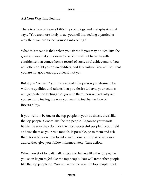### **Act Your Way Into Feeling**

There is a Law of Reversibility in psychology and metaphysics that says, "You are more likely to act yourself into feeling a particular way than you are to feel yourself into acting."

What this means is that, when you start off, you may not feel like the great success that you desire to be. You will not have the selfconfidence that comes from a record of successful achievement. You will often doubt your own abilities, and fear failure. You will feel that you are not good enough, at least, not yet.

But if you "act as if" you were already the person you desire to be, with the qualities and talents that you desire to have, your actions will generate the feelings that go with them. You will actually act yourself into feeling the way you want to feel by the Law of Reversibility.

If you want to be one of the top people in your business, dress like the top people. Groom like the top people. Organize your work habits the way they do. Pick the most successful people in your field and use them as your role models. If possible, go to them and ask them for advice on how to get ahead more rapidly. And whatever advice they give you, follow it immediately. Take action.

When you start to walk, talk, dress and behave like the top people, you soon begin to *feel* like the top people. You will treat other people like the top people do. You will work the way the top people work.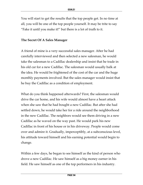You will start to get the results that the top people get. In no time at all, you will be one of the top people yourself. It may be trite to say "Fake it until you make it!" but there is a lot of truth to it.

#### **The Secret Of A Sales Manager**

A friend of mine is a very successful sales manager. After he had carefully interviewed and then selected a new salesman, he would take the salesman to a Cadillac dealership and insist that he trade in his old car for a new Cadillac. The salesman would usually balk at the idea. He would be frightened of the cost of the car and the huge monthly payments involved. But the sales manager would insist that he buy the Cadillac as a condition of employment.

What do you think happened afterwards? First, the salesman would drive the car home, and his wife would almost have a heart attack when she saw that he had bought a new Cadillac. But after she had settled down, he would take her for a ride around the neighborhood in the new Cadillac. The neighbors would see them driving in a new Cadillac as he waved on the way past. He would park his new Cadillac in front of his house or in his driveway. People would come over and admire it. Gradually, imperceptibly, at a subconscious level, his attitude toward himself and his earning potential would begin to change.

Within a few days, he began to see himself as the kind of person who drove a new Cadillac. He saw himself as a big money earner in his field. He saw himself as one of the top performers in his industry.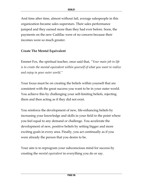And time after time, almost without fail, average salespeople in this organization became sales superstars. Their sales performance jumped and they earned more than they had ever before. Soon, the payments on the new Cadillac were of no concern because their incomes were so much greater.

### **Create The Mental Equivalent**

Emmet Fox, the spiritual teacher, once said that, *"Your main job in life is to create the mental equivalent within yourself of what you want to realize and enjoy in your outer world."*

Your focus must be on creating the beliefs within yourself that are consistent with the great success you want to be in your outer world. You achieve this by challenging your self-limiting beliefs, rejecting them and then acting as if they did not exist.

You reinforce the development of new, life-enhancing beliefs by increasing your knowledge and skills in your field to the point where you feel equal to any demand or challenge. You accelerate the development of new, positive beliefs by setting bigger and more exciting goals in every area. Finally, you act continually as if you were already the person that you desire to be.

Your aim is to reprogram your subconscious mind for success by creating the *mental equivalent* in everything you do or say.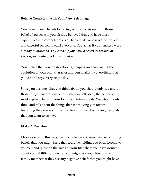### **Behave Consistent With Your New Self Image**

You develop new beliefs by taking actions consistent with those beliefs. You act as if you already believed that you have these capabilities and competences. You behave like a positive, optimistic and cheerful person toward everyone. You act as if your success were already guaranteed. *You act as if you have a secret guarantee of success, and only you know about it.*

You realize that you are developing, shaping and controlling the evolution of your own character and personality by everything that you do and say, every single day.

Since you become what you think about, you should only say and do those things that are consistent with your self-ideal, the person you most aspire to be, and your long-term future ideals. You should only think and talk about the things that are moving you toward becoming the person you want to be and toward achieving the goals that you want to achieve.

# **Make A Decision**

Make a decision this very day to challenge and reject any self-limiting beliefs that you might have that could be holding you back. Look into yourself and question the areas of your life where you have doubts about your abilities or talents. You might ask your friends and family members if they see any negative beliefs that you might have.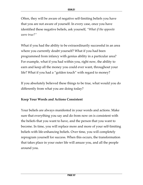Often, they will be aware of negative self-limiting beliefs you have that you are not aware of yourself. In every case, once you have identified these negative beliefs, ask yourself, *"What if the opposite were true?"*

What if you had the ability to be extraordinarily successful in an area where you currently doubt yourself? What if you had been programmed from infancy with genius ability in a particular area? For example, what if you had within you, right now, the ability to earn and keep all the money you could ever want, throughout your life? What if you had a "golden touch" with regard to money?

If you absolutely believed these things to be true, what would you do differently from what you are doing today?

#### **Keep Your Words and Actions Consistent**

Your beliefs are always manifested in your words and actions. Make sure that everything you say and do from now on is consistent with the beliefs that you want to have, and the person that you want to become. In time, you will replace more and more of your self-limiting beliefs with life-enhancing beliefs. Over time, you will completely reprogram yourself for success. When this occurs, the transformation that takes place in your outer life will amaze you, and all the people around you.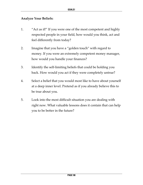### **Analyze Your Beliefs:**

- 1. "Act as if!" If you were one of the most competent and highly respected people in your field, how would you think, act and feel differently from today?
- 2. Imagine that you have a "golden touch" with regard to money. If you were an extremely competent money manager, how would you handle your finances?
- 3. Identify the self-limiting beliefs that could be holding you back. How would you act if they were completely untrue?
- 4. Select a belief that you would most like to have about yourself at a deep inner level. Pretend as if you already believe this to be true about you.
- 5. Look into the most difficult situation you are dealing with right now. What valuable lessons does it contain that can help you to be better in the future?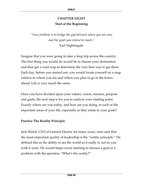# **CHAPTER EIGHT Start at the Beginning**

*"Your problem is to bridge the gap between where you are now and the goals you intend to reach."* Earl Nightingale

Imagine that you were going to take a long trip across the country. The first thing you would do would be to choose your destination and then get a road map to determine the very best way to get there. Each day, before you started out, you would locate yourself on a map relative to where you are and where you plan to go in the hours ahead. Life is very much the same.

Once you have decided upon your values, vision, mission, purpose and goals, the next step is for you to analyze your starting point. Exactly where are you today, and how are you doing, in each of the important areas of your life, especially as they relate to your goals?

#### **Practice The Reality Principle**

Jack Welch, CEO of General Electric for many years, once said that the most important quality of leadership is the "reality principle." He defined this as the ability to see the world as it really is, not as you wish it were. He would begin every meeting to discuss a goal or a problem with the question, "What's the reality?"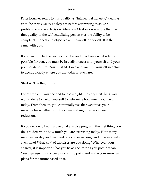Peter Drucker refers to this quality as "intellectual honesty," dealing with the facts exactly as they are before attempting to solve a problem or make a decision. Abraham Maslow once wrote that the first quality of the self-actualizing person was the ability to be completely honest and objective with himself, or herself. It is the same with you.

If you want to be the best you can be, and to achieve what is truly possible for you, you must be brutally honest with yourself and your point of departure. You must sit down and analyze yourself in detail to decide exactly where you are today in each area.

### **Start At The Beginning**

For example, if you decided to lose weight, the very first thing you would do is to weigh yourself to determine how much you weight today. From then on, you continually use that weight as your measure for whether or not you are making progress in weight reduction.

If you decide to begin a personal exercise program, the first thing you do is to determine how much you are exercising today. How many minutes per day and per week are you exercising, and how intensely each time? What kind of exercises are you doing? Whatever your answer, it is important that you be as accurate as you possibly can. You then use this answer as a starting point and make your exercise plans for the future based on it.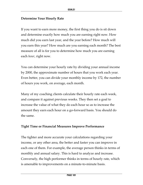#### **Determine Your Hourly Rate**

If you want to earn more money, the first thing you do is sit down and determine exactly how much you are earning right now. How much did you earn last year, and the year before? How much will you earn this year? How much are you earning each month? The best measure of all is for you to determine how much you are earning each *hour*, right now.

You can determine your hourly rate by dividing your annual income by 2000, the approximate number of hours that you work each year. Even better, you can divide your monthly income by 172, the number of hours you work, on average, each month.

Many of my coaching clients calculate their hourly rate each week, and compare it against previous weeks. They then set a goal to increase the value of what they do each hour so as to increase the amount they earn each hour on a go-forward basis. You should do the same.

#### **Tight Time or Financial Measures Improve Performance**

The tighter and more accurate your calculations regarding your income, or any other area, the better and faster you can improve in each one of them. For example, the average person thinks in terms of monthly and annual salary. This is hard to analyze and increase. Conversely, the high performer thinks in terms of hourly rate, which is amenable to improvements on a minute-to-minute basis.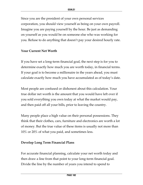Since you are the president of your own personal services corporation, you should view yourself as being on your own payroll. Imagine you are paying yourself by the hour. Be just as demanding on yourself as you would be on someone else who was working for you. Refuse to do anything that doesn't pay your desired hourly rate.

### **Your Current Net Worth**

If you have set a long-term financial goal, the next step is for you to determine exactly how much you are worth today, in financial terms. If your goal is to become a millionaire in the years ahead, you must calculate exactly how much you have accumulated as of today's date.

Most people are confused or dishonest about this calculation. Your true dollar net worth is the amount that you would have left over if you sold everything you own today at what the market would pay, and then paid off all your bills, prior to leaving the country.

Many people place a high value on their personal possessions. They think that their clothes, cars, furniture and electronics are worth a lot of money. But the true value of these items is usually not more than 10% or 20% of what you paid, and sometimes less.

# **Develop Long Term Financial Plans**

For accurate financial planning, calculate your net worth today and then draw a line from that point to your long-term financial goal. Divide the line by the number of years you intend to spend to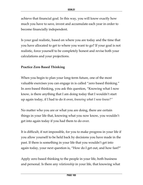achieve that financial goal. In this way, you will know exactly how much you have to save, invest and accumulate each year in order to become financially independent.

Is your goal realistic, based on where you are today and the time that you have allocated to get to where you want to go? If your goal is not realistic, force yourself to be completely honest and revise both your calculations and your projections.

# **Practice Zero Based Thinking**

When you begin to plan your long-term future, one of the most valuable exercises you can engage in is called "zero based thinking." In zero based thinking, you ask this question, "Knowing what I now know, is there anything that I am doing today that I wouldn't start up again today, if I had to do it over, *knowing what I now know?"*

No matter who you are or what you are doing, there are certain things in your life that, knowing what you now know, you wouldn't get into again today if you had them to do over.

It is difficult, if not impossible, for you to make progress in your life if you allow yourself to be held back by decisions you have made in the past. If there is something in your life that you wouldn't get into again today, your next question is, "How do I get out, and how fast?"

Apply zero based thinking to the people in your life, both business and personal. Is there any *relationship* in your life, that knowing what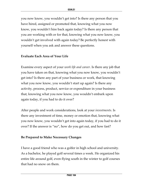you now know, you wouldn't get into? Is there any person that you have hired, assigned or promoted that, knowing what you now know, you wouldn't hire back again today? Is there any person that you are working with or for that, knowing what you now know, you wouldn't get involved with again today? Be perfectly honest with yourself when you ask and answer these questions.

# **Evaluate Each Area of Your Life**

Examine every aspect of your *work life and career*. Is there any job that you have taken on that, knowing what you now know, you wouldn't get into? Is there any part of your business or work, that knowing what you now know, you wouldn't start up again? Is there any activity, process, product, service or expenditure in your business that, knowing what you now know, you wouldn't embark upon again today, if you had to do it over?

After people and work considerations, look at your *investments.* Is there any investment of time, money or emotion that, knowing what you now know, you wouldn't get into again today, if you had to do it over? If the answer is "no", how do you get out, and how fast?

# **Be Prepared to Make Necessary Changes**

I have a good friend who was a golfer in high school and university. As a bachelor, he played golf several times a week. He organized his entire life around golf, even flying south in the winter to golf courses that had no snow on them.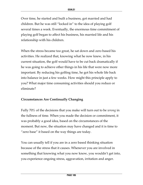Over time, he started and built a business, got married and had children. But he was still "locked in" to the idea of playing golf several times a week. Eventually, the enormous time commitment of playing golf began to affect his business, his married life and his relationship with his children.

When the stress became too great, he sat down and zero based his activities. He realized that, knowing what he now knew, in his current situation, the golf would have to be cut back dramatically if he was going to achieve other things in his life that were now more important. By reducing his golfing time, he got his whole life back into balance in just a few weeks. How might this principle apply to you? What major time consuming activities should you reduce or eliminate?

### **Circumstances Are Continually Changing**

Fully 70% of the decisions that you make will turn out to be *wrong* in the fullness of time. When you made the decision or commitment, it was probably a good idea, based on the circumstances of the moment. But now, the situation may have changed and it is time to "zero base" it based on the way things are today.

You can usually tell if you are in a zero based thinking situation because of the stress that it causes. Whenever you are involved in something that knowing what you now know, you wouldn't get into, you experience ongoing stress, aggravation, irritation and anger.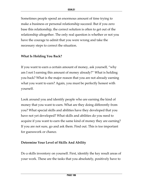Sometimes people spend an enormous amount of time trying to make a business or personal relationship succeed. But if you zero base this relationship, the correct solution is often to get out of the relationship altogether. The only real question is whether or not you have the courage to admit that you were wrong and take the necessary steps to correct the situation.

## **What Is Holding You Back?**

If you want to earn a certain amount of money, ask yourself, "why am I not I earning this amount of money already?" What is holding you back? What is the major reason that you are not already earning what you want to earn? Again, you must be perfectly honest with yourself.

Look around you and identify people who are earning the kind of money that you want to earn. What are they doing differently from you? What special skills and abilities have they developed that you have not yet developed? What skills and abilities do you need to acquire if you want to earn the same kind of money they are earning? If you are not sure, go and ask them. Find out. This is too important for guesswork or chance.

### **Determine Your Level of Skills And Ability**

Do a skills inventory on yourself. First, identify the key result areas of your work. These are the tasks that you absolutely, positively have to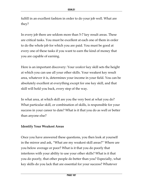fulfill in an excellent fashion in order to do your job well. What are they?

In every job there are seldom more than 5-7 key result areas. These are critical tasks. You must be excellent at each one of them in order to do the whole job for which you are paid. You must be good at every one of these tasks if you want to earn the kind of money that you are capable of earning.

Here is an important discovery: Your *weakest* key skill sets the height at which you can use all your other skills. Your weakest key result area, whatever it is, determines your income in your field. You can be absolutely excellent at everything except for one key skill, and that skill will hold you back, every step of the way.

In what area, at which skill are you the very best at what you do? What particular skill, or combination of skills, is responsible for your success in your career to date? What is it that you do as well or better than anyone else?

# **Identify Your Weakest Areas**

Once you have answered these questions, you then look at yourself in the mirror and ask, "What are my weakest skill areas?" Where are you below average or poor? What is it that you do poorly that interferes with your ability to use your other skills? What is it that you do poorly, that other people do better than you? Especially, what key skills do you lack that are essential for your success? Whatever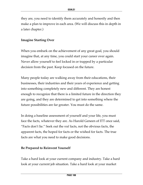they are, you need to identify them accurately and honestly and then make a plan to improve in each area. (We will discuss this in depth in a later chapter.)

## **Imagine Starting Over**

When you embark on the achievement of any great goal, you should imagine that, at any time, you could start your career over again. Never allow yourself to feel locked in or trapped by a particular decision from the past. Keep focused on the future.

Many people today are walking away from their educations, their businesses, their industries and their years of experience and getting into something completely new and different. They are honest enough to recognize that there is a limited future in the direction they are going, and they are determined to get into something where the future possibilities are far greater. You must do the same.

In doing a baseline assessment of yourself and your life, you must face the facts, whatever they are. As Harold Geneen of ITT once said, "Facts don't lie." Seek out the *real* facts, not the obvious facts, the apparent facts, the hoped for facts or the wished for facts. The true facts are what you need to make good decisions.

### **Be Prepared to Reinvent Yourself**

Take a hard look at your current company and industry. Take a hard look at your current job situation. Take a hard look at your market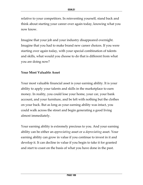relative to your competitors. In reinventing yourself, stand back and think about starting your career over again today, knowing what you now know.

Imagine that your job and your industry disappeared overnight. Imagine that you had to make brand new career choices. If you were starting over again today, with your special combination of talents and skills, what would you choose to do that is different from what you are doing now?

#### **Your Most Valuable Asset**

Your most valuable financial asset is your earning ability. It is your ability to apply your talents and skills in the marketplace to earn money. In reality, you could lose your home, your car, your bank account, and your furniture, and be left with nothing but the clothes on your back. But as long as your earning ability was intact, you could walk across the street and begin generating a good living almost immediately.

Your earning ability is extremely precious to you. And your earning ability can be either an *appreciating* asset or a *depreciating* asset. Your earning ability can grow in value if you continue to invest in it and develop it. It can decline in value if you begin to take it for granted and start to coast on the basis of what you have done in the past.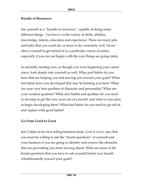#### **Bundle of Resources**

See yourself as a "bundle of resources," capable of doing many different things. You have a wide variety of skills, abilities, knowledge, talents, education and experience. There are many jobs and tasks that you could do, or learn to do, extremely well. Never allow yourself to get locked in to a particular course of action, especially if you are not happy with the way things are going today.

In mentally starting over, as though you were beginning your career anew, look deeply into yourself as well. What *good* habits do you have that are helping you and moving you toward your goals? What *bad* habits have you developed that may be holding you back? What are your very best qualities of character and personality? What are your weakest qualities? What new habits and qualities do you need to develop to get the very most out of yourself, and what is your plan to begin developing them? What bad habits do you need to get rid of, and replace with good habits?

### **Go From Good to Great**

Jim Collins in his best selling business book, *Good to Great*, says that you must be willing to ask the "brutal questions" of yourself and your business if you are going to identify and remove the obstacles that are preventing you from moving ahead. What are some of the brutal questions that you have to ask yourself before you launch wholeheartedly toward your goals?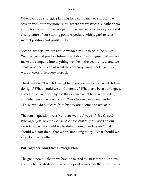Whenever I do strategic planning for a company, we start off the session with four questions. First, where are we *now*? We gather data and information from every part of the company to develop a crystal clear picture of our starting point, especially with regard to sales, market position and profitability.

Second, we ask, "where would we ideally like to be in the *future*?" We idealize and practice future orientation. We imagine that we can make the company into anything we like in the years ahead, and we create a perfect vision of what the company would look like if we were successful in every respect.

Third, we ask, "*How* did we get to where we are today? What did we do right? What would we do differently? What have been our biggest successes so far, and why did they occur? What have we failed at, and what were the reasons for it? As George Santayana wrote, "Those who do not learn from history are doomed to repeat it."

The fourth question we ask and answer is always, *"What do we do now, to get from where we are to where we want to go?"* Based on our experience, what should we be doing more of, or less of? What should we start doing that we are not doing today? What should we stop doing altogether?

# **Put Together Your Own Strategic Plan**

The good news is that if we have answered the first three questions accurately, the strategic plan or blueprint comes together more easily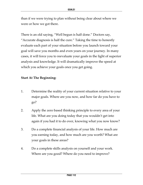than if we were trying to plan without being clear about where we were or how we got there.

There is an old saying, "Well begun is half done." Doctors say, "Accurate diagnosis is half the cure." Taking the time to honestly evaluate each part of your situation before you launch toward your goal will save you months and even years on your journey. In many cases, it will force you to reevaluate your goals in the light of superior analysis and knowledge. It will dramatically improve the speed at which you achieve your goals once you get going.

#### **Start At The Beginning:**

- 1. Determine the reality of your current situation relative to your major goals. Where are you now, and how far do you have to go?
- 2. Apply the zero based thinking principle to every area of your life. What are you doing today that you wouldn't get into again if you had it to do over, knowing what you now know?
- 3. Do a complete financial analysis of your life. How much are you earning today, and how much are you worth? What are your goals in these areas?
- 4. Do a complete skills analysis on yourself and your work. Where are you good? Where do you need to improve?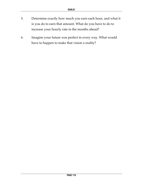- 5. Determine exactly how much you earn each hour, and what it is you do to earn that amount. What do you have to do to increase your hourly rate in the months ahead?
- 6. Imagine your future was perfect in every way. What would have to happen to make that vision a reality?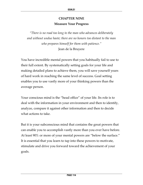# **CHAPTER NINE Measure Your Progress**

*"There is no road too long to the man who advances deliberately and without undue haste; there are no honors too distant to the man who prepares himself for them with patience."* Jean de la Bruyere

You have incredible mental powers that you habitually fail to use to their full extent. By systematically setting goals for your life and making detailed plans to achieve them, you will save yourself years of hard work in reaching the same level of success. Goal setting enables you to use vastly more of your thinking powers than the average person.

Your conscious mind is the "head office" of your life. Its role is to deal with the information in your environment and then to identify, analyze, compare it against other information and then to decide what actions to take.

But it is your subconscious mind that contains the great powers that can enable you to accomplish vastly more than you ever have before. At least 90% or more of your mental powers are "below the surface." It is essential that you learn to tap into these powers to motivate, stimulate and drive you forward toward the achievement of your goals.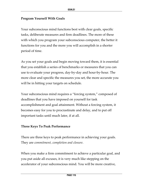### **Program Yourself With Goals**

Your subconscious mind functions best with clear goals, specific tasks, deliberate measures and firm deadlines. The more of these with which you program your subconscious computer, the better it functions for you and the more you will accomplish in a shorter period of time.

As you set your goals and begin moving toward them, it is essential that you establish a series of benchmarks or measures that you can use to evaluate your progress, day-by-day and hour-by-hour. The more clear and specific the measures you set, the more accurate you will be in hitting your targets on schedule.

Your subconscious mind requires a "forcing system," composed of deadlines that you have imposed on yourself for task accomplishment and goal attainment. Without a forcing system, it becomes easy for you to procrastinate and delay, and to put off important tasks until much later, if at all.

### **Three Keys To Peak Performance**

There are three keys to peak performance in achieving your goals. They are *commitment, completion and closure*.

When you make a firm commitment to achieve a particular goal, and you put aside all excuses, it is very much like stepping on the accelerator of your subconscious mind. You will be more creative,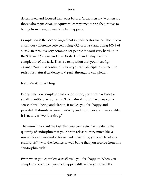determined and focused than ever before. Great men and women are those who make clear, unequivocal commitments and then refuse to budge from them, no matter what happens.

Completion is the second ingredient in peak performance. There is an enormous difference between doing 95% of a task and doing 100% of a task. In fact, it is very common for people to work very hard up to the 90% or 95% level and then to slack off and delay the final completion of the task. This is a temptation that you must fight against. You must continually force yourself, discipline yourself, to resist this natural tendency and push through to completion.

## **Nature's Wonder Drug**

Every time you complete a task of any kind, your brain releases a small quantity of endorphins. This natural morphine gives you a sense of well-being and elation. It makes you feel happy and peaceful. It stimulates your creativity and improves your personality. It is nature's "wonder drug."

The more important the task that you complete, the greater is the quantity of endorphin that your brain releases, very much like a reward for success and achievement. Over time, you can develop a *positive addition* to the feelings of well being that you receive from this "endorphin rush."

Even when you complete a *small* task, you feel happier. When you complete a *large* task, you feel happier still. When you finish the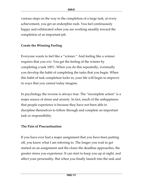various steps on the way to the completion of a large task, at every achievement, you get an endorphin rush. You feel continuously happy and exhilarated when you are working steadily toward the completion of an important job.

# **Create the Winning Feeling**

Everyone wants to feel like a "winner." And feeling like a winner requires that you *win*. You get the feeling of the winner by completing a task 100%. When you do this repeatedly, eventually you develop the habit of completing the tasks that you begin. When this habit of task completion locks in, your life will begin to improve in ways that you cannot today imagine.

In psychology the reverse is always true. The "incomplete action" is a major source of stress and anxiety. In fact, much of the unhappiness that people experience is because they have not been able to discipline themselves to follow through and complete an important task or responsibility.

### **The Pain of Procrastination**

If you have ever had a major assignment that you have been putting off, you know what I am referring to. The longer you wait to get started on an assignment and the closer the deadline approaches, the greater stress you experience. It can start to keep you up at night, and affect your personality. But when you finally launch into the task and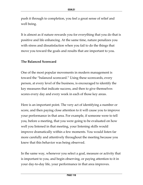push it through to completion, you feel a great sense of relief and well being.

It is almost as if nature rewards you for everything that you do that is positive and life enhancing. At the same time, nature penalizes you with stress and dissatisfaction when you fail to do the things that move you toward the goals and results that are important to you.

# **The Balanced Scorecard**

One of the most popular movements in modern management is toward the "balanced scorecard." Using these scorecards, every person, at every level of the business, is encouraged to identify the key measures that indicate success, and then to give themselves scores every day and every week in each of those key areas.

Here is an important point. The very act of identifying a number or score, and then paying close attention to it will cause you to improve your performance in that area. For example, if someone were to tell you, before a meeting, that you were going to be evaluated on how well you listened in that meeting, your listening skills would improve dramatically within a few moments. You would listen far more carefully and attentively throughout the meeting because you knew that this behavior was being observed.

In the same way, whenever you select a goal, measure or activity that is important to you, and begin observing, or paying attention to it in your day-to-day life, your performance in that area improves.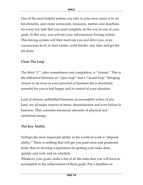One of the most helpful actions you take in your own career is to set benchmarks, and create scorecards, measures, metrics and deadlines for every key task that you must complete on the way to one of your goals. In this way, you activate your subconscious forcing system. This forcing system will then motivate you and drive you, at an unconscious level, to start earlier, work harder, stay later and get the job done.

## **Close The Loop**

The third "C", after commitment and completion, is "closure." This is the difference between an "open loop" and a "closed loop." Bringing closure to an issue in your personal or business life is absolutely essential for you to feel happy and in control of your situation.

Lack of closure, unfinished business, an incomplete action of any kind, are all major sources of stress, dissatisfaction and even failure in business. They consume enormous amounts of physical and emotional energy.

# **The Key Ability**

Perhaps the most important ability in the world of work is "dependability." There is nothing that will get you paid more and promoted faster than to develop a reputation for getting your tasks done quickly and well, and on schedule.

Whatever your goals, make a list of all the tasks that you will have to accomplish in the achievement of those goals. Put a deadline on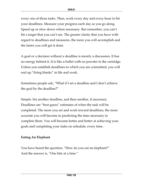every one of those tasks. Then, work every day and every hour to hit your deadlines. Measure your progress each day as you go along. Speed up or slow down where necessary. But remember, you can't hit a target that you can't see. The greater clarity that you have with regard to deadlines and measures, the more you will accomplish and the faster you will get it done.

A goal or a decision without a deadline is merely a discussion. It has no energy behind it. It is like a bullet with no powder in the cartridge. Unless you establish deadlines to which you are committed, you will end up "firing blanks" in life and work.

Sometimes people ask, "What if I set a deadline and I don't achieve the goal by the deadline?"

Simple. Set another deadline, and then another, if necessary. Deadlines are "best guess" estimates of when the task will be completed. The more you set and work toward deadlines, the more accurate you will become in predicting the time necessary to complete them. You will become better and better at achieving your goals and completing your tasks on schedule, every time.

# **Eating An Elephant**

You have heard the question, "How do you eat an elephant?" And the answer is, "One bite at a time."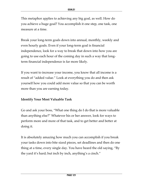This metaphor applies to achieving any big goal, as well. How do you achieve a huge goal? You accomplish it one step, one task, one measure at a time.

Break your long-term goals down into annual, monthly, weekly and even hourly goals. Even if your long-term goal is financial independence, look for a way to break that down into how you are going to use each hour of the coming day in such a way that longterm financial independence is far more likely.

If you want to increase your income, you know that all income is a result of "added value." Look at everything you do and then ask yourself how you could add more value so that you can be worth more than you are earning today.

# **Identify Your Most Valuable Task**

Go and ask your boss, "What one thing do I do that is more valuable than anything else?" Whatever his or her answer, look for ways to perform more and more of that task, and to get better and better at doing it.

It is absolutely amazing how much you can accomplish if you break your tasks down into bite sized pieces, set deadlines and then do one thing at a time, every single day. You have heard the old saying, "By the yard it's hard; but inch by inch, anything's a cinch."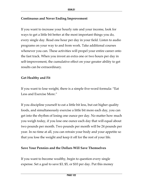### **Continuous and Never Ending Improvement**

If you want to increase your hourly rate and your income, look for ways to get a little bit better at the most important things you do, every single day. Read one hour per day in your field. Listen to audio programs on your way to and from work. Take additional courses whenever you can. These activities will propel your entire career onto the fast track. When you invest an extra one or two hours per day in self-improvement, the cumulative effect on your greater ability to get results can be extraordinary.

#### **Get Healthy and Fit**

If you want to lose weight, there is a simple five-word formula: "Eat Less and Exercise More."

If you discipline yourself to eat a little bit less, but eat higher quality foods, and simultaneously exercise a little bit more each day, you can get into the rhythm of losing one ounce per day. No matter how much you weigh today, if you lose one ounce each day that will equal about two pounds per month. Two pounds per month will be 24 pounds per year. In no time at all, you can retrain your body and your appetite so that you lose the weight and keep it off for the rest of your life.

### **Save Your Pennies and the Dollars Will Save Themselves**

If you want to become wealthy, begin to question every single expense. Set a goal to save \$3, \$5, or \$10 per day. Put this money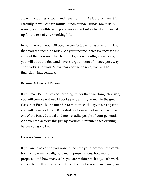away in a savings account and never touch it. As it grows, invest it carefully in well-chosen mutual funds or index funds. Make daily, weekly and monthly saving and investment into a habit and keep it up for the rest of your working life.

In no time at all, you will become comfortable living on slightly less than you are spending today. As your income increases, increase the amount that you save. In a few weeks, a few months, a few years, you will be out of debt and have a large amount of money put away and working for you. A few years down the road, you will be financially independent.

#### **Become A Learned Person**

If you read 15 minutes each evening, rather than watching television, you will complete about 15 books per year. If you read in the great classics of English literature for 15 minutes each day, in seven years you will have read the 100 greatest books ever written. You will be one of the best-educated and most erudite people of your generation. And you can achieve this just by reading 15 minutes each evening before you go to bed.

#### **Increase Your Income**

If you are in sales and you want to increase your income, keep careful track of how many calls, how many presentations, how many proposals and how many sales you are making each day, each week and each month at the present time. Then, set a goal to increase your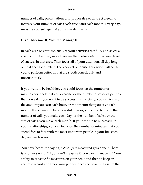number of calls, presentations and proposals per day. Set a goal to increase your number of sales each week and each month. Every day, measure yourself against your own standards.

## **If You Measure It, You Can Manage It**

In each area of your life, analyze your activities carefully and select a specific number that, more than anything else, determines your level of success in that area. Then focus all of your attention, all day long, on that specific number. The very act of focused attention will cause you to perform better in that area, both consciously and unconsciously.

If you want to be healthier, you could focus on the number of minutes per week that you exercise, or the number of calories per day that you eat. If you want to be successful financially, you can focus on the amount you earn each hour, or the amount that you save each month. If you want to be successful in sales, you could focus on the number of calls you make each day, or the number of sales, or the size of sales, you make each month. If you want to be successful in your relationships, you can focus on the number of minutes that you spend face to face with the most important people in your life, each day and each week.

You have heard the saying, "What gets measured gets done." There is another saying, "If you can't measure it, you can't manage it." Your ability to set specific measures on your goals and then to keep an accurate record and track your performance each day will assure that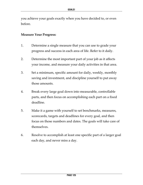you achieve your goals exactly when you have decided to, or even before.

#### **Measure Your Progress:**

- 1. Determine a single measure that you can use to grade your progress and success in each area of life. Refer to it daily.
- 2. Determine the most important part of your job as it affects your income, and measure your daily activities in that area.
- 3. Set a minimum, specific amount for daily, weekly, monthly saving and investment, and discipline yourself to put away those amounts.
- 4. Break every large goal down into measurable, controllable parts, and then focus on accomplishing each part on a fixed deadline.
- 5. Make it a game with yourself to set benchmarks, measures, scorecards, targets and deadlines for every goal, and then focus on those numbers and dates. The goals will take care of themselves.
- 6. Resolve to accomplish at least one specific part of a larger goal each day, and never miss a day.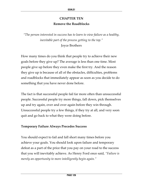# **CHAPTER TEN Remove the Roadblocks**

*"The person interested in success has to learn to view failure as a healthy, inevitable part of the process getting to the top."* Joyce Brothers

How many times do you think that people try to achieve their new goals before they give up? The average is less than one time. Most people give up before they even make the first try. And the reason they give up is because of all of the obstacles, difficulties, problems and roadblocks that immediately appear as soon as you decide to do something that you have never done before.

The fact is that successful people fail far more often than unsuccessful people. Successful people try more things, fall down, pick themselves up and try again, over and over again before they win through. Unsuccessful people try a few things, if they try at all, and very soon quit and go back to what they were doing before.

#### **Temporary Failure Always Precedes Success**

You should expect to fail and fall short many times before you achieve your goals. You should look upon failure and temporary defeat as a part of the price that you pay on your road to the success that you will inevitably achieve. As Henry Ford once said, *"Failure is merely an opportunity to more intelligently begin again."*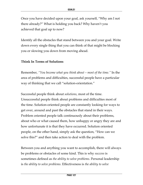Once you have decided upon your goal, ask yourself, "Why am I not there already?" What is holding you back? Why haven't you achieved that goal up to now?

Identify all the obstacles that stand between you and your goal. Write down every single thing that you can think of that might be blocking you or slowing you down from moving ahead.

### **Think In Terms of Solutions**

Remember, *"You become what you think about – most of the time."* In the area of problems and difficulties, successful people have a particular way of thinking that we call "solution-orientation."

Successful people think about *solutions*, most of the time. Unsuccessful people think about problems and difficulties most of the time. Solution-oriented people are constantly looking for ways to get over, around and past the obstacles that stand in their ways. Problem oriented people talk continuously about their problems, about who or what caused them, how unhappy or angry they are and how unfortunate it is that they have occurred. Solution oriented people, on the other hand, simply ask the question, "How can we solve this?" and then take action to deal with the problem.

Between you and anything you want to accomplish, there will always be problems or obstacles of some kind. This is why *success* is sometimes defined as *the ability to solve problems*. Personal leadership is *the ability to solve problems*. Effectiveness is *the ability to solve*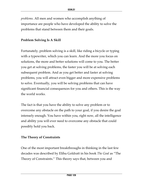*problems*. All men and women who accomplish anything of importance are people who have developed the ability to solve the problems that stand between them and their goals.

# **Problem Solving Is A Skill**

Fortunately, problem solving is a skill, like riding a bicycle or typing with a typewriter, which you can learn. And the more you focus on solutions, the more and better solutions will come to you. The better you get at solving problems, the faster you will be at solving each subsequent problem. And as you get better and faster at solving problems, you will attract even bigger and more expensive problems to solve. Eventually, you will be solving problems that can have significant financial consequences for you and others. This is the way the world works.

The fact is that you have the ability to solve any problem or to overcome any obstacle on the path to your goal, if you desire the goal intensely enough. You have within you, right now, all the intelligence and ability you will ever need to overcome any obstacle that could possibly hold you back.

### **The Theory of Constraints**

One of the most important breakthroughs in thinking in the last few decades was described by Elihu Goldratt in his book *The Goal* as "The Theory of Constraints." This theory says that, between you and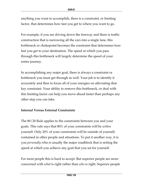anything you want to accomplish, there is a constraint, or limiting factor, that determines how fast you get to where you want to go.

For example, if you are driving down the freeway and there is traffic construction that is narrowing all the cars into a single lane, this bottleneck or chokepoint becomes the constraint that determines how fast you get to your destination. The speed at which you pass through this bottleneck will largely determine the speed of your entire journey.

In accomplishing any major goal, there is always a constraint or bottleneck you must get through as well. Your job is to identify it accurately and then to focus all of your energies on alleviating that key constraint. Your ability to remove this bottleneck, or deal with this limiting factor can help you move ahead faster than perhaps any other step you can take.

# **Internal Versus External Constraints**

The 80/20 Rule applies to the constraints between you and your goals. This rule says that 80% of your constraints will be *within* yourself. Only 20% of your constraints will be outside of yourself, contained in other people and situations. To put it another way, it is you *personally* who is usually the major roadblock that is setting the speed at which you achieve any goal that you set for yourself.

For most people this is hard to accept. But superior people are more concerned with *what* is right rather than *who* is right. Superior people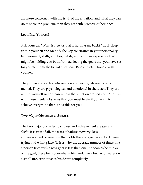are more concerned with the truth of the situation, and what they can do to solve the problem, than they are with protecting their egos.

## **Look Into Yourself**

Ask yourself, "What is it *in me* that is holding me back?" Look deep within yourself and identify the key constraints in your personality, temperament, skills, abilities, habits, education or experience that might be holding you back from achieving the goals that you have set for yourself. Ask the brutal questions. Be completely honest with yourself.

The primary obstacles between you and your goals are usually mental. They are psychological and emotional in character. They are within yourself rather than within the situation around you. And it is with these mental obstacles that you must begin if you want to achieve everything that is possible for you.

### **Two Major Obstacles to Success**

The two major obstacles to success and achievement are *fear* and *doubt*. It is first of all, the fears of failure, poverty, loss, embarrassment or rejection that holds the average person back from trying in the first place. This is why the average number of times that a person tries with a new goal is less than one. As soon as he thinks of the goal, these fears overwhelm him and, like a bucket of water on a small fire, extinguishes his desire completely.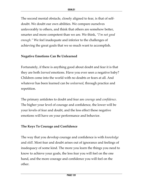The second mental obstacle, closely aligned to fear, is that of selfdoubt. We doubt our own abilities. We compare ourselves unfavorably to others, and think that others are somehow better, smarter and more competent than we are. We think, *"I'm not good enough."* We feel inadequate and inferior to the challenges of achieving the great goals that we so much want to accomplish.

# **Negative Emotions Can Be Unlearned**

Fortunately, if there is anything good about doubt and fear it is that they are both *learned* emotions. Have you ever seen a negative baby? Children come into the world with no doubts or fears at all. And whatever has been learned can be *unlearned*, through practice and repetition.

The primary antidotes to doubt and fear are *courage* and *confidence*. The higher your level of courage and confidence, the lower will be your levels of fear and doubt, and the less effect these negative emotions will have on your performance and behavior.

# **The Keys To Courage and Confidence**

The way that you develop courage and confidence is with *knowledge* and *skill*. Most fear and doubt arises out of ignorance and feelings of inadequacy of some kind. The more you learn the things you need to know to achieve your goals, the less fear you will feel on the one hand, and the more courage and confidence you will feel on the other.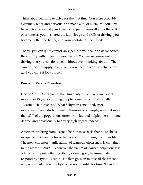Think about learning to drive for the first time. You were probably extremely tense and nervous, and made a lot of mistakes. You may have driven erratically and been a danger to yourself and others. But over time, as you mastered the knowledge and skills of driving, you became better and better, and your confidence increased.

Today, you can quite comfortably get into your car and drive across the country with no fear or worry at all. You are so competent at driving that you can do it well without even thinking about it. The same principles apply to any skills you need to learn to achieve any goal you can set for yourself.

# **Powerful Versus Powerless**

Doctor Martin Seligman of the University of Pennsylvania spent more than 25 years studying the phenomenon of what he called "Learned Helplessness." What Seligman concluded, after interviewing and studying many thousands of people, was that more than 80% of the population suffers from learned helplessness to some degree, and occasionally to a very high degree indeed.

A person suffering from learned helplessness feels that he or she is incapable of achieving his or her goals, or improving his or her life. The most common manifestation of learned helplessness is contained in the words *"I can't."* Whenever the victim of learned helplessness is offered an opportunity, possibility or new goal, he immediately respond by saying, "I can't." He then goes on to give all the reasons why a particular goal or objective is not possible for him. "I can't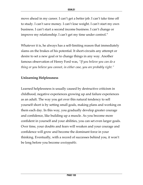move ahead in my career. I can't get a better job. I can't take time off to study. I can't save money. I can't lose weight. I can't start my own business. I can't start a second income business. I can't change or improve my relationship. I can't get my time under control."

Whatever it is, he always has a self-limiting reason that immediately slams on the brakes of his potential. It short-circuits any attempt or desire to set a new goal or to change things in any way. Another famous observation of Henry Ford was, *"If you believe you can do a thing or you believe you cannot, in either case, you are probably right."*

# **Unlearning Helplessness**

Learned helplessness is usually caused by destructive criticism in childhood, negative experiences growing up and failure experiences as an adult. The way you get over this natural tendency to sell yourself short is by setting small goals, making plans and working on them each day. In this way, you gradually develop greater courage and confidence, like building up a muscle. As you become more confident in yourself and your abilities, you can set even larger goals. Over time, your doubts and fears will weaken and your courage and confidence will grow and become the dominant force in your thinking. Eventually, with a record of successes behind you, it won't be long before you become *unstoppable*.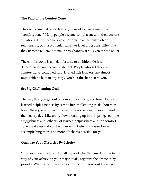#### **The Trap of the Comfort Zone**

The second mental obstacle that you need to overcome is the "comfort zone." Many people become complacent with their current situations. They become so comfortable in a particular job or relationship, or at a particular salary or level of responsibility, that they become reluctant to make any changes at all, even for the better.

The comfort zone is a major obstacle to ambition, desire, determination and accomplishment. People who get stuck in a comfort zone, combined with learned helplessness, are almost impossible to help in any way. Don't let this happen to you.

### **Set Big Challenging Goals**

The way that you get out of your comfort zone, and break loose from learned helplessness, is by setting big, challenging goals. You then break these goals down into specific tasks, set deadlines and work on them every day. Like an ice flow breaking up in the spring, soon the sluggishness and lethargy of learned helplessness and the comfort zone breaks up and you begin moving faster and faster toward accomplishing more and more of what is possible for you.

#### **Organize Your Obstacles By Priority**

Once you have made a list of all the obstacles that are standing in the way of your achieving your major goals, organize the obstacles by priority. What is the largest single obstacle? If you could wave a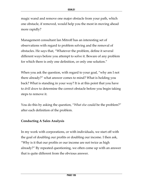magic wand and remove one major obstacle from your path, which one obstacle, if removed, would help you the most in moving ahead more rapidly?

Management consultant Ian Mitroff has an interesting set of observations with regard to problem solving and the removal of obstacles. He says that, "Whatever the problem, define it several different ways before you attempt to solve it. Beware of any problem for which there is only one definition, or only one solution."

When you ask the question, with regard to your goal, "why am I not there already?" what answer comes to mind? What is holding you back? What is standing in your way? It is at this point that you have to *drill down* to determine the correct obstacle before you begin taking steps to remove it.

You do this by asking the question, "*What else* could be the problem?" after each definition of the problem.

### **Conducting A Sales Analysis**

In my work with corporations, or with individuals, we start off with the goal of doubling our profits or doubling our income. I then ask, "Why is it that our profits or our income are not twice as high already?" By repeated questioning, we often come up with an answer that is quite different from the obvious answer.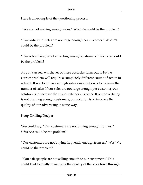Here is an example of the questioning process:

"We are not making enough sales." *What else* could be the problem?

"Our individual sales are not large enough per customer." *What else* could be the problem?

"Our advertising is not attracting enough customers." *What else* could be the problem?

As you can see, whichever of these obstacles turns out to be the correct problem will require a completely different course of action to solve it. If we don't have enough sales, our solution is to increase the number of sales. If our sales are not large enough per customer, our solution is to increase the size of sale per customer. If our advertising is not drawing enough customers, our solution is to improve the quality of our advertising in some way.

# **Keep Drilling Deeper**

You could say, "Our customers are not buying enough from us." *What else* could be the problem?"

"Our customers are not buying frequently enough from us." *What else* could be the problem?

 "Our salespeople are not selling enough to our customers." This could lead to totally revamping the quality of the sales force through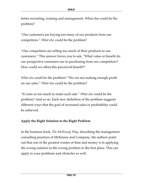better recruiting, training and management. What else could be the problem?

"Our customers are buying too many of our products from our competitors." *What else* could be the problem?

"Our competitors are selling too much of their products to our customers." This answer forces you to ask, "What value or benefit do our prospective customers see in purchasing from our competitors? How could we offset this perceived benefit?"

*What else* could be the problem? "We are not making enough profit on our sales." *What else* could be the problem?

"It costs us too much to make each sale." *What else* could be the problem? And so on. Each new definition of the problem suggests different ways that the goal of increased sales or profitability could be achieved.

# **Apply the Right Solution to the Right Problem**

In the business book, *The McKinsey Way,* describing the management consulting practices of McKinsey and Company, the authors point out that one of the greatest wastes of time and money is in applying the wrong solution to the wrong problem in the first place. This can apply to your problems and obstacles as well.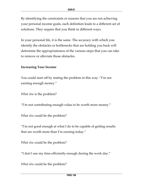By identifying the constraints or reasons that you are not achieving your personal income goals, each definition leads to a different set of solutions. They require that you think in different ways.

In your personal life, it is the same. The accuracy with which you identify the obstacles or bottlenecks that are holding you back will determine the appropriateness of the various steps that you can take to remove or alleviate those obstacles.

## **Increasing Your Income**

You could start off by stating the problem in this way: "I'm not earning enough money."

*What else* is the problem?

"I'm not contributing enough value to be worth more money."

*What else* could be the problem?

"I'm not good enough at what I do to be capable of getting results that are worth more than I'm earning today."

*What else* could be the problem?

"I don't use my time efficiently enough during the work day."

*What else* could be the problem?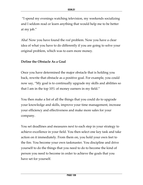"I spend my evenings watching television, my weekends socializing and I seldom read or learn anything that would help me to be better at my job."

Aha! Now you have found the *real* problem. Now you have a clear idea of what you have to do differently if you are going to solve your original problem, which was to earn more money.

## **Define the Obstacle As a Goal**

Once you have determined the major obstacle that is holding you back, rewrite that obstacle as a positive goal. For example, you could now say, "My goal is to continually upgrade my skills and abilities so that I am in the top 10% of money earners in my field."

You then make a list of all the things that you could do to upgrade your knowledge and skills, improve your time management, increase your efficiency and effectiveness and make more sales for your company.

You set deadlines and measures next to each step in your strategy to achieve excellence in your field. You then select one key task and take action on it immediately. From them on, you hold your own feet to the fire. You become your own taskmaster. You discipline and drive yourself to do the things that you need to do to become the kind of person you need to become in order to achieve the goals that you have set for yourself.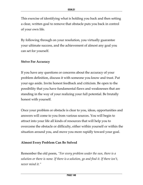This exercise of identifying what is holding you back and then setting a clear, written goal to remove that obstacle puts you back in control of your own life.

By following through on your resolution, you virtually guarantee your ultimate success, and the achievement of almost any goal you can set for yourself.

### **Strive For Accuracy**

If you have any questions or concerns about the accuracy of your problem definition, discuss it with someone you know and trust. Put your ego aside. Invite honest feedback and criticism. Be open to the possibility that you have fundamental flaws and weaknesses that are standing in the way of your realizing your full potential. Be brutally honest with yourself.

Once your problem or obstacle is clear to you, ideas, opportunities and answers will come to you from various sources. You will begin to attract into your life all kinds of resources that will help you to overcome the obstacle or difficulty, either within yourself or within the situation around you, and move you more rapidly toward your goal.

# **Almost Every Problem Can Be Solved**

Remember the old poem, *"For every problem under the sun, there is a solution or there is none. If there is a solution, go and find it. If there isn't, never mind it."*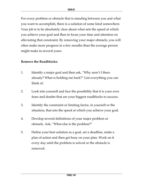For every problem or obstacle that is standing between you and what you want to accomplish, there is a solution of some kind somewhere. Your job is to be absolutely clear about what sets the speed at which you achieve your goal and then to focus your time and attention on alleviating that constraint. By removing your major obstacle, you will often make more progress in a few months than the average person might make in several years.

### **Remove the Roadblocks:**

- 1. Identify a major goal and then ask, "Why aren't I there already? What is holding me back?" List everything you can think of.
- 2. Look into yourself and face the possibility that it is your own fears and doubts that are your biggest roadblocks to success.
- 3. Identify the constraint or limiting factor, in yourself or the situation, that sets the speed at which you achieve your goal.
- 4. Develop several definitions of your major problem or obstacle. Ask, "What else is the problem?"
- 5. Define your best solution as a goal, set a deadline, make a plan of action and then get busy on your plan. Work on it every day until the problem is solved or the obstacle is removed.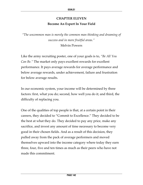# **CHAPTER ELEVEN Become An Expert In Your Field**

*"The uncommon man is merely the common man thinking and dreaming of success and in more fruitful areas."* Melvin Powers

Like the army recruiting poster, one of your goals is to, *"Be All You Can Be."* The market only pays excellent rewards for excellent performance. It pays average rewards for average performance and below average rewards, under achievement, failure and frustration for below average results.

In our economic system, your income will be determined by three factors: first, what you do; second, how well you do it; and third, the difficulty of replacing you.

One of the qualities of top people is that, at a certain point in their careers, they decided to "Commit to Excellence." They decided to be the best at what they do. They decided to pay any price, make any sacrifice, and invest any amount of time necessary to become very good in their chosen fields. And as a result of this decision, they pulled away from the pack of average performers and moved themselves upward into the income category where today they earn three, four, five and ten times as much as their peers who have not made this commitment.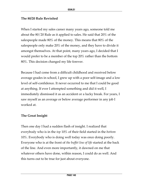## **The 80/20 Rule Revisited**

When I started my sales career many years ago, someone told me about the 80/20 Rule as it applied to sales. He said that 20% of the salespeople made 80% of the money. This means that 80% of the salespeople only make 20% of the money, and they have to divide it amongst themselves. At that point, many years ago, I decided that I would prefer to be a member of the top 20% rather than the bottom 80%. This decision changed my life forever.

Because I had come from a difficult childhood and received below average grades in school, I grew up with a poor self-image and a low level of self-confidence. It never occurred to me that I could be good at anything. If ever I attempted something and did it well, I immediately dismissed it as an accident or a lucky break. For years, I saw myself as an average or below average performer in any job I worked at.

## **The Great Insight**

Then one day I had a sudden flash of insight. I realized that everybody who is in the *top* 10% of their field started in the *bottom* 10%. Everybody who is doing well today was once doing poorly. Everyone who is at the front of *the buffet line of life* started at the back of the line. And even more importantly, it dawned on me that whatever others have done, within reason, I could do as well. And this turns out to be true for just about everyone.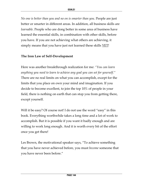*No one is better than you and no on is smarter than you*. People are just better or smarter in different areas. In addition, all business skills are *learnable*. People who are dong better in some area of business have learned the essential skills, in combination with other skills, before you have. If you are not achieving what others are achieving, it simply means that you have just not learned these skills  $YET!$ 

## **The Iron Law of Self-Development**

Here was another breakthrough realization for me: *"You can learn anything you need to learn to achieve any goal you can set for yourself."* There are no real limits on what you can accomplish, except for the limits that you place on own your mind and imagination. If you decide to become excellent, to join the top 10% of people in your field, there is nothing on earth that can stop you from getting there, except yourself.

Will it be easy? Of course not! I do not use the word "easy" in this book. Everything worthwhile takes a long time and a lot of work to accomplish. But it is possible if you want it badly enough and are willing to work long enough. And it is worth every bit of the effort once you get there!

Les Brown, the motivational speaker says, "To achieve something that you have never achieved before, you must *become* someone that you have never been before."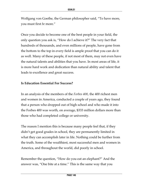Wolfgang von Goethe, the German philosopher said, "To have more, you must first *be* more."

Once you decide to become one of the best people in your field, the only question you ask is, "How do I achieve it?" The very fact that hundreds of thousands, and even millions of people, have gone from the bottom to the top in every field is ample proof that you can do it as well. Many of these people, if not most of them, may not even have the natural talents and abilities that you have. In most areas of life, it is more hard work and dedication than natural ability and talent that leads to excellence and great success.

### **Is Education Essential For Success?**

In an analysis of the members of the *Forbes 400*, the 400 richest men and women in America, conducted a couple of years ago, they found that a person who dropped out of high school and who made it into the Forbes 400 was worth, on average, \$333 million dollars more than those who had completed college or university.

The reason I mention this is because many people feel that, if they didn't get good grades in school, they are permanently limited in what they can accomplish later in life. Nothing could be further from the truth. Some of the wealthiest, most successful men and women in America, and throughout the world, did poorly in school.

Remember the question, "How do you eat an elephant?" And the answer was, "One bite at a time." This is the same way that you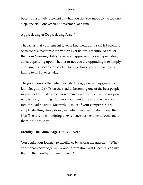become absolutely excellent at what you do. You move to the top one step, one skill, one small improvement at a time.

# **Appreciating or Depreciating Asset?**

The fact is that your current level of knowledge and skill is becoming obsolete at a faster rate today than ever before. I mentioned earlier that your "earning ability" can be an appreciating or a depreciating asset, depending upon whether or not you are upgrading it or simply allowing it to become obsolete. This is a choice you are making, or failing to make, every day.

The good news is that when you start to aggressively upgrade your knowledge and skills on the road to becoming one of the best people in your field, it will be as if you are in a race and you are the only one who is really running. You very soon move ahead of the pack and into the lead position. Meanwhile, most of your competitors are simply strolling along, doing just what they need to do to keep their jobs. The idea of committing to excellence has never even occurred to them, as it has to you.

# **Identify The Knowledge You Will Need**

You begin your journey to excellence by asking the question, "What additional knowledge, skills, and information will I need to lead my field in the months and years ahead?"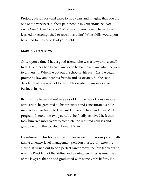Project yourself forward three to five years and imagine that you are one of the very best, highest paid people in your industry. *What would have to have happened?* What would you have to have done, learned or accomplished to reach this point? What skills would you have had to master to lead your field?

## **Make A Career Move**

Once upon a time, I had a good friend who was a lawyer in a small firm. His father had been a lawyer so he had taken law when he went to university. When he got out of school in his early 20s, he began practicing law amongst his friends and associates. But he soon decided that law was not for him. He decided to make a career in business instead.

By this time he was about 26 years old. In the face of considerable opposition, he gathered all his resources and concentrated single mindedly in getting into Harvard University to attend their MBA program. It took him two years, but he finally achieved it. It then took him two more years to complete the required courses and graduate with the coveted Harvard MBA.

He returned to his home city and interviewed for various jobs, finally taking an entry-level management position at a rapidly growing airline. It turned out to be a perfect career move. Within ten years he was the President of the airline and earning ten times as much as any of the lawyers that he had graduated with some years before. He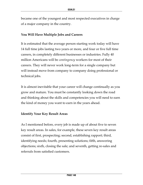became one of the youngest and most respected executives in charge of a major company in the country.

# **You Will Have Multiple Jobs and Careers**

It is estimated that the average person starting work today will have 14 full time jobs lasting two years or more, and four or five full time careers, in completely different businesses or industries. Fully 40 million Americans will be *contingency* workers for most of their careers. They will never work long-term for a single company but will instead move from company to company doing professional or technical jobs.

It is almost inevitable that your career will change continually as you grow and mature. You must be constantly looking down the road and thinking about the skills and competencies you will need to earn the kind of money you want to earn in the years ahead.

# **Identify Your Key Result Areas**

As I mentioned before, every job is made up of about five to seven key result areas. In sales, for example, these seven key result areas consist of first, prospecting; second, establishing rapport; third, identifying needs; fourth, presenting solutions; fifth, answering objections; sixth, closing the sale; and seventh, getting re-sales and referrals from satisfied customers.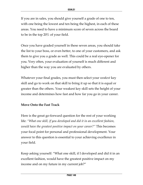If you are in sales, you should give yourself a grade of one to ten, with one being the lowest and ten being the highest, in each of these areas. You need to have a minimum score of seven across the board to be in the top 20% of your field.

Once you have graded yourself in these seven areas, you should take the list to your boss, or even better, to one of your customers, and ask them to give you a grade as well. This could be a real eye-opener for you. Very often, your evaluation of yourself is much different and higher than the way you are evaluated by others.

Whatever your final grades, you must then select your *weakest* key skill and go to work on that skill to bring it up so that it is equal or greater than the others. Your weakest key skill sets the height of your income and determines how fast and how far you go in your career.

# **Move Onto the Fast Track**

Here is the great go-forward question for the rest of your working life: *"What one skill, if you developed and did it in an excellent fashion, would have the greatest positive impact on your career?"* This becomes your focal point for personal and professional development. Your answer to this question is essential to your achieving excellence in your field.

Keep asking yourself: "What one skill, if I developed and did it in an excellent fashion, would have the greatest positive impact on my income and on my future in my current job?"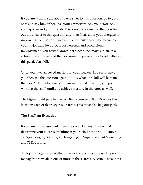If you are at all unsure about the answer to this question, go to your boss and ask him or her. Ask your coworkers. Ask your staff. Ask your spouse and your friends. It is absolutely essential that you find out the answer to this question and then focus all of your energies on improving your performance in this particular area. This becomes your major definite purpose for personal and professional improvement. You write it down, set a deadline, make a plan, take action on your plan, and then do something every day to get better in this particular skill.

Once you have achieved mastery in your weakest key result area, you then ask the question again. "Now, what one skill will help me the most?" And whatever your answer to that question, you go to work on that skill until you achieve mastery in that area as well.

The highest paid people in every field score an 8, 9 or 10 across the board in each of their key result areas. This must also be your goal.

# **The Excellent Executive**

If you are in management, there are seven key result areas that determine your success or failure at your job. These are: 1) Planning; 2) Organizing; 3) Staffing; 4) Delegating; 5) Supervising; 6) Measuring and 7) Reporting.

All top managers are excellent in every one of these areas. All poor managers are weak in one or more of these areas. A serious weakness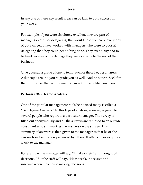in any one of these key result areas can be fatal to your success in your work.

For example, if you were absolutely excellent in every part of managing except for delegating, that would hold you back, every day of your career. I have worked with managers who were so poor at delegating that they could get nothing done. They eventually had to be fired because of the damage they were causing to the rest of the business.

Give yourself a grade of one to ten in each of these key result areas. Ask people around you to grade you as well. And be honest. Seek for the truth rather than a diplomatic answer from a polite co-worker.

### **Perform a 360-Degree Analysis**

One of the popular management tools being used today is called a "360 Degree Analysis." In this type of analysis, a survey is given to several people who report to a particular manager. The survey is filled out anonymously and all the surveys are returned to an outside consultant who summarizes the answers on the survey. This summary of answers is then given to the manager so that he or she can see how he or she is perceived by others. It often comes as quite a shock to the manager.

For example, the manager will say, "I make careful and thoughtful decisions." But the staff will say, "He is weak, indecisive and insecure when it comes to making decisions."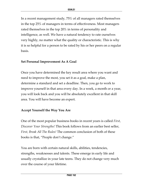In a recent management study, 75% of all managers rated themselves in the top 25% of managers in terms of effectiveness. Most managers rated themselves in the top 20% in terms of personality and intelligence, as well. We have a natural tendency to rate ourselves very highly, no matter what the quality or characteristic. This is why it is so helpful for a person to be rated by his or her peers on a regular basis.

### **Set Personal Improvement As A Goal**

Once you have determined the key result area where you want and need to improve the most, you set it as a goal, make a plan, determine a standard and set a deadline. Then, you go to work to improve yourself in that area every day. In a week, a month or a year, you will look back and you will be absolutely excellent in that skill area. You will have become an expert.

## **Accept Yourself the Way You Are**

One of the most popular business books in recent years is called *First, Discover Your Strengths!* This book follows from an earlier best seller, *First, Break All The Rules!* The common conclusion of both of these books is that, "People don't change."

You are born with certain natural skills, abilities, tendencies, strengths, weaknesses and talents. These emerge in early life and usually crystallize in your late teens. They do not change very much over the course of your lifetime.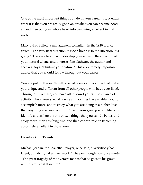One of the most important things you do in your career is to identify what it is that you are really good at, or what you can become good at, and then put your whole heart into becoming excellent in that area.

Mary Baker Follett, a management consultant in the 1920's, once wrote, "The very best direction to ride a horse is in the direction it is going." The very best way to develop yourself is in the direction of your natural talents and interests. Jim Cathcart, the author and speaker, says, "Nurture your nature." This is extremely important advice that you should follow throughout your career.

You are put on this earth with special talents and abilities that make you unique and different from all other people who have ever lived. Throughout your life, you have often found yourself to an area of activity where your special talents and abilities have enabled you to accomplish more, and to enjoy what you are doing at a higher level, than anything else you could do. One of your great goals in life is to identify and isolate the one or two things that you can do better, and enjoy more, than anything else, and then concentrate on becoming absolutely excellent in those areas.

# **Develop Your Talents**

Michael Jordan, the basketball player, once said, "Everybody has talent, but ability takes hard work." The poet Longfellow once wrote, "The great tragedy of the average man is that he goes to his grave with his music still in him."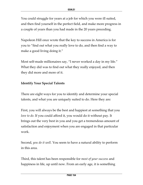You could struggle for years at a job for which you were ill suited, and then find yourself in the perfect field, and make more progress in a couple of years than you had made in the 20 years preceding.

Napoleon Hill once wrote that the key to success in America is for you to "find out what you really love to do, and then find a way to make a good living doing it."

Most self-made millionaires say, "I never worked a day in my life." What they did was to find out what they really enjoyed, and then they did more and more of it.

# **Identify Your Special Talents**

There are eight ways for you to identify and determine your special talents, and what you are uniquely suited to do. Here they are:

First, you will always be the best and happiest at something that you *love to do*. If you could afford it, you would do it without pay. It brings out the very best in you and you get a tremendous amount of satisfaction and enjoyment when you are engaged in that particular work.

Second, *you do it well*. You seem to have a natural ability to perform in this area.

Third, this talent has been responsible for *most of your success* and happiness in life, up until now. From an early age, it is something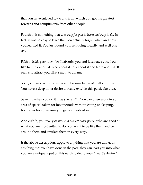that you have enjoyed to do and from which you got the greatest rewards and compliments from other people.

Fourth, it is something that was *easy for you to learn and easy to do*. In fact, it was so easy to learn that you actually forget when and how you learned it. You just found yourself doing it easily and well one day.

Fifth, it *holds your attention*. It absorbs you and fascinates you. You like to think about it, read about it, talk about it and learn about it. It seems to attract you, like a moth to a flame.

Sixth, you *love to learn about it* and become better at it all your life. You have a deep inner desire to really excel in this particular area.

Seventh, when you do it, *time stands still*. You can often work in your area of special talent for long periods without eating or sleeping, hour after hour, because you get so involved in it.

And eighth, you really *admire and respect other people* who are good at what you are most suited to do. You want to be like them and be around them and emulate them in every way.

If the above descriptions apply to anything that you are doing, or anything that you have done in the past, they can lead you into what you were uniquely put on this earth to do, to your "heart's desire."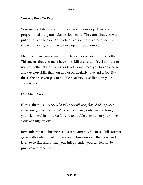### **You Are Born To Excel**

Your natural talents are inborn and easy to develop. They are programmed into your subconscious mind. They are what you were put on this earth to do. Your job is to discover this area of natural talent and ability and then to develop it throughout your life.

Many skills are complementary. They are dependent on each other. This means that you must have one skill at a certain level in order to use your other skills at a higher level. Sometimes, you have to learn and develop skills that you do not particularly love and enjoy. But this is the price you pay to be able to achieve excellence in your chosen field.

## **One Skill Away**

Here is the rule*: You could be only one skill away from doubling your productivity, performance and income.* You may only need to bring up your skill level in one area for you to be able to use all of your other skills at a higher level.

Remember that all business skills are learnable. Business skills are not genetically determined. If there is any business skill that you need to learn to realize and utilize your full potential, you can learn it by practice and repetition.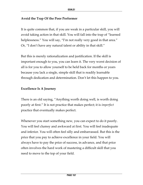## **Avoid the Trap Of the Poor Performer**

It is quite common that, if you are weak in a particular skill, you will avoid taking action in that skill. You will fall into the trap of "learned helplessness." You will say, "I'm not really very good in that area." Or, "I don't have any natural talent or ability in that skill."

But this is merely rationalization and justification. If the skill is important enough to you, you can learn it. The very worst decision of all is for you to allow yourself to be held back for months or years because you lack a single, simple skill that is readily learnable through dedication and determination. Don't let this happen to you.

# **Excellence Is A Journey**

There is an old saying, "Anything worth doing well, is worth doing poorly at first." It is not practice that makes perfect; it is *imperfect* practice that eventually makes perfect.

Whenever you start something new, you can expect to do it poorly. You will feel clumsy and awkward at first. You will feel inadequate and inferior. You will often feel silly and embarrassed. But this is the price that you pay to achieve excellence in your field. You will always have to pay the price of success, in advance, and that price often involves the hard work of mastering a difficult skill that you need to move to the top of your field.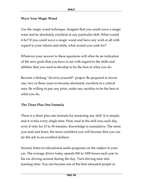### **Wave Your Magic Wand**

Use the magic wand technique. Imagine that you could wave a magic want and be absolutely excellent at any particular skill. What would it be? If you could wave a magic wand and have any wish at all with regard to your talents and skills, what would you wish for?

Whatever your answer to these questions will often be an indication of the new goals that you have to set with regard to the skills and abilities that you need to develop to be the best at what you do.

Become a lifelong "do-it-to-yourself" project. Be prepared to invest one, two or three years to become absolutely excellent in a critical area. Be willing to pay any price, make any sacrifice to be the best at what you do.

## **The Three Plus One Formula**

There is a three plus one formula for mastering any skill. It is simple, and it works every single time. First, read in the skill area each day, even if only for 15 to 30 minutes. Knowledge is cumulative. The more you read and learn, the more confident you will become that you can do this job in an excellent fashion.

Second, listen to educational audio programs on the subject in your car. The average driver today spends 500 to 1000 hours each year in his car driving around during the day. Turn driving time into learning time. You can become one of the best educated people in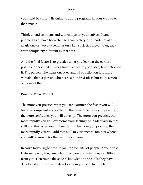your field by simply listening to audio programs in your car rather than music.

Third, attend seminars and workshops on your subject. Many people's lives have been changed completely by attendance at a single one or two day seminar on a key subject. Forever after, they were completely different in that area.

And the final factor is to practice what you learn at the earliest possible opportunity. Every time you hear a good idea, take action on it. The person who hears one idea and takes action on it is more valuable than a person who hears a hundred ideas but takes action on none of them.

# **Practice Make Perfect**

The more you practice what you are learning, the faster you will become competent and skilled in that area. The more you practice, the more confidence you will develop. The more you practice, the more rapidly you will overcome your feelings of inadequacy in that skill and the faster you will master it. The more you practice, the more rapidly you will add that skill to your mental toolbox where you will possess it for the rest of your career.

Resolve today, right now, to join the top 10% of people in your field. Determine who they are, what they earn and what they do differently from you. Determine the special knowledge and skills they have developed and resolve to develop them yourself. Remember,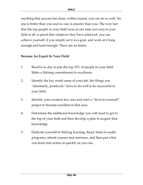anything that anyone has done, within reason, you can do as well. No one is better than you and no one is smarter than you. The very fact that the top people in your field were at one time not even in your field at all, is proof that whatever they have achieved, you can achieve yourself, if you simply set it as a goal, and work at it long enough and hard enough. There are no limits.

#### **Become An Expert In Your Field:**

- 1. Resolve to day to join the top  $10\%$  of people in your field. Make a lifelong commitment to excellence.
- 2. Identify the key result areas of your job, the things you "absolutely, positively" have to do well to be successful in your field.
- 3. Identify your weakest key area and start a "do-it-to-yourself" project to become excellent in that area.
- 4. Determine the additional knowledge you will need to get to the top of your field and then develop a plan to acquire that knowledge.
- 5. Dedicate yourself to lifelong learning. Read, listen to audio programs, attend courses and seminars, and then put what you learn into action as quickly as you can.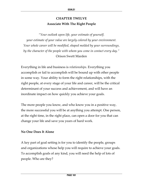# **CHAPTER TWELVE Associate With The Right People**

*"Your outlook upon life, your estimate of yourself, your estimate of your value are largely colored by your environment. Your whole career will be modified, shaped molded by your surroundings, by the character of the people with whom you come in contact every day."* Orison Swett Marden

Everything in life and business is *relationships*. Everything you accomplish or fail to accomplish will be bound up with other people in some way. Your ability to form the right relationships, with the right people, at every stage of your life and career, will be the critical determinant of your success and achievement, and will have an inordinate impact on how quickly you achieve your goals.

The more people you know, and who know you in a positive way, the more successful you will be at anything you attempt. One person, at the right time, in the right place, can open a door for you that can change your life and save you years of hard work.

#### **No One Does It Alone**

A key part of goal setting is for you to identify the people, groups and organizations whose help you will require to achieve your goals. To accomplish goals of any kind, you will need the help of lots of people. Who are they?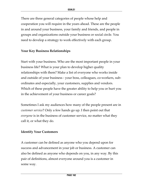There are three general categories of people whose help and cooperation you will require in the years ahead. These are the people in and around your business, your family and friends, and people in groups and organizations outside your business or social circle. You need to develop a strategy to work effectively with each group.

## **Your Key Business Relationships**

Start with your business. Who are the most important people in your business life? What is your plan to develop higher quality relationships with them? Make a list of everyone who works inside and outside of your business - your boss, colleagues, co-workers, subordinates and especially, your customers, supplies and vendors. Which of these people have the greater ability to help you or hurt you in the achievement of your business or career goals?

Sometimes I ask my audiences how many of the people present are in *customer service*? Only a few hands go up. I then point out that *everyone* is in the business of customer service, no matter what they call it, or what they do.

## **Identify Your Customers**

A customer can be defined as anyone who you depend upon for success and advancement in your job or business. A customer can also be defined as anyone who depends on you, in any way. By this pair of definitions, almost everyone around you is a customer in some way.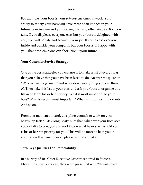For example, your boss is your *primary* customer at work. Your ability to satisfy your boss will have more of an impact on your future, your income and your career, than any other single action you take. If you displease everyone else, but your boss is delighted with you, you will be safe and secure in your job. If you please everyone inside and outside your company, but your boss is unhappy with you, that problem alone can short-circuit your future.

## **Your Customer Service Strategy**

One of the best strategies you can use is to make a list of everything that you believe that you have been hired to do. Answer the question, *"Why am I on the payroll?"* and write down everything you can think of. Then, take this list to your boss and ask your boss to organize this list in order of his or her priority. What is most important to your boss? What is second most important? What is third most important? And so on.

From that moment onward, discipline yourself to work on your boss's top task all day long. Make sure that, whenever your boss sees you or talks to you, you are working on what he or she has told you is his or her top priority for you. This will do more to help you in your career than any other single decision you make.

## **Two Key Qualities For Promotability**

In a survey of 104 Chief Executive Officers reported in Success Magazine a few years ago, they were presented with 20 qualities of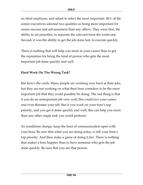an ideal employee, and asked to select the most important. 86% of the senior executives selected two qualities as being more important for career success and advancement than any others. They were first, the ability to set priorities, to separate the relevant from the irrelevant. Second, it was the ability to get the job done fast, to execute quickly.

There is nothing that will help you more in your career than to get the reputation for being the kind of person who gets the most important job done quickly and well.

# **Hard Work On The Wrong Task?**

But here's the catch. Many people are working very hard at their jobs, but they are not working on what their boss considers to be the most important job that they could possibly be doing. The sad thing is that if you do an unimportant job very well, this could *hurt* your career and even threaten your job. But if you work on your boss's top priority, and you get it done quickly and well, this can help you more than any other single task you could perform.

As conditions change, keep the lines of communication open with your boss. Be sure that what you are doing today is still your boss's top priority. And then make a game of doing it *fast*. There is nothing that makes a boss happier than to have someone who gets the job done quickly. Be sure that you are that person.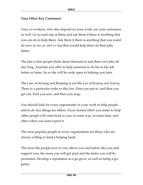### **Your Other Key Customers**

Your co-workers, who also depend on your work, are your customers as well. Go to each one of them and ask them if there is anything that you can do to help them. Ask them if there is anything that you could do *more of, less of, start or stop* that would help them do their jobs better.

The fact is that people think about themselves and their own jobs all day long. Anytime you offer to help someone to do his or her job better or faster, he or she will be wide open to helping you later.

The Law of Sowing and Reaping is not the *Law of Reaping and Sowing*. There is a particular order to this law. First you put in, and then you get out. First you sow, and then you reap.

You should look for every opportunity in your work to help people and to do nice things for others. Every honest effort you make to help other people will come back to you, in some way, at some time, and often when you least expect it.

The most popular people in every organization are those who are always willing to lend a helping hand.

The more the people next to you, above you and below like you and support you, the more you will get paid and the faster you will be promoted. Develop a reputation as a go-giver, as well as being a gogetter.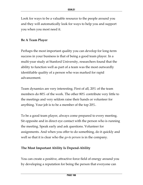Look for ways to be a valuable resource to the people around you and they will automatically look for ways to help you and support you when you most need it.

## **Be A Team Player**

Perhaps the most important quality you can develop for long-term success in your business is that of being a good team player. In a multi-year study at Stanford University, researchers found that the ability to function well as part of a team was the most outwardly identifiable quality of a person who was marked for rapid advancement.

Team dynamics are very interesting. First of all, 20% of the team members do 80% of the work. The other 80% contribute very little to the meetings and very seldom raise their hands or volunteer for anything. Your job is to be a member of the top 20%.

To be a good team player, always come prepared to every meeting. Sit opposite and in direct eye contact with the person who is running the meeting. Speak early and ask questions. Volunteer for assignments. And when you offer to do something, do it quickly and well so that it is clear who the *go-to person* is in the company.

# **The Most Important Ability Is Depend-Ability**

You can create a positive, attractive force field of energy around you by developing a reputation for being the person that everyone can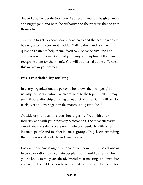depend upon to get the job done. As a result, you will be given more and bigger jobs, and both the authority and the rewards that go with those jobs.

Take time to get to know your subordinates and the people who are below you on the corporate ladder. Talk to them and ask them questions. Offer to help them, if you can. Be especially kind and courteous with them. Go out of your way to compliment them and recognize them for their work. You will be amazed at the difference this makes in your career.

## **Invest In Relationship Building**

In every organization, the person who knows the most people is usually the person who, like cream, rises to the top. Initially, it may seem that relationship building takes a lot of time. But it will pay for itself over and over again in the months and years ahead.

Outside of your business, you should get involved with your industry and with your industry associations. The most successful executives and sales professionals network regularly with other business people and in other business groups. They keep expanding their professional contacts and friendships.

Look at the business organizations in your community. Select one or two organizations that contain people that it would be helpful for you to know in the years ahead. Attend their meetings and introduce yourself to them. Once you have decided that it would be useful for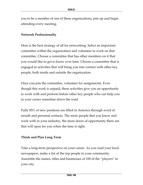you to be a member of one of these organizations, join up and begin attending every meeting.

## **Network Professionally**

Here is the best strategy of all for networking. Select an important committee within the organization and volunteer to work on that committee. Choose a committee that has other members on it that you would like to get to know over time. Choose a committee that is engaged in activities that will bring you into contact with other key people, both inside and outside the organization.

Once you join the committee, volunteer for assignments. Even though this work is unpaid, these activities give you an opportunity to work with and perform before other key people who can help you in your career sometime down the road.

Fully 85% of new positions are filled in America through word of mouth and personal contacts. The more people that you know and work with in your industry, the more doors of opportunity there are that will open for you when the time is right.

# **Think and Plan Long Term**

Take a long-term perspective on your career. As you read your local newspapers, make a list of the top people in your community. Assemble the names, titles and businesses of 100 of the "players" in your city.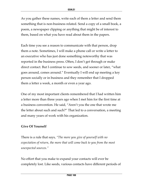As you gather these names, write each of them a letter and send them something that is non-business related. Send a copy of a small book, a poem, a newspaper clipping or anything that might be of interest to them, based on what you have read about them in the papers.

Each time you see a reason to communicate with that person, drop them a note. Sometimes, I will make a phone call or write a letter to an executive who has just done something noteworthy that was reported in the business press. Often, I don't get through or make direct contact. But I continue to sow seeds, and sooner or later, "what goes around, comes around." Eventually I will end up meeting a key person socially or in business and they remember that I dropped them a letter a week, a month or even a year ago.

One of my most important clients remembered that I had written him a letter more than three years ago when I met him for the first time at a business convention. He said, "Aren't you the one that wrote me the letter about such and such?" That led to a conversation, a meeting and many years of work with his organization.

# **Give Of Yourself**

There is a rule that says, *"The more you give of yourself with no expectation of return, the more that will come back to you from the most unexpected sources."*

No effort that you make to expand your contacts will ever be completely lost. Like seeds, various contacts have different periods of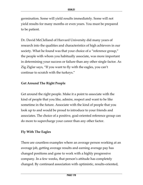germination. Some will yield results immediately. Some will not yield results for many months or even years. You must be prepared to be patient.

Dr. David McClelland of Harvard University did many years of research into the qualities and characteristics of high achievers in our society. What he found was that your choice of a "reference group," the people with whom you habitually associate, was more important in determining your success or failure than any other single factor. As Zig Ziglar says, "If you want to fly with the eagles, you can't continue to scratch with the turkeys."

# **Get Around The Right People**

Get around the right people. Make it a point to associate with the kind of people that you like, admire, respect and want to be like sometime in the future. Associate with the kind of people that you look up to and would be proud to introduce to your friends and associates. The choice of a positive, goal-oriented reference group can do more to supercharge your career than any other factor.

## **Fly With The Eagles**

There are countless examples where an average person working at an average job, getting average results and earning average pay has changed positions and gone to work with a highly progressive company. In a few weeks, that person's attitude has completely changed. By continued association with optimistic, results-oriented,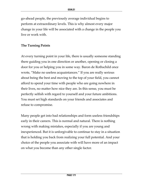go-ahead people, the previously average individual begins to perform at extraordinary levels. This is why almost every major change in your life will be associated with a change in the people you live or work with.

# **The Turning Points**

At every turning point in your life, there is usually someone standing there guiding you in one direction or another, opening or closing a door for you or helping you in some way. Baron de Rothschild once wrote, "Make no useless acquaintances." If you are really serious about being the best and moving to the top of your field, you cannot afford to spend your time with people who are going nowhere in their lives, no matter how nice they are. In this sense, you must be perfectly selfish with regard to yourself and your future ambitions. You must set high standards on your friends and associates and refuse to compromise.

Many people get into bad relationships and form useless friendships early in their careers. This is normal and natural. There is nothing wrong with making mistakes, especially if you are young and inexperienced. But it is unforgivable to continue to stay in a situation that is holding you back from realizing your full potential. And your choice of the people you associate with will have more of an impact on what you become than any other single factor.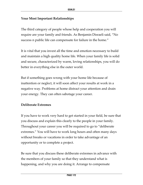## **Your Most Important Relationships**

The third category of people whose help and cooperation you will require are your family and friends. As Benjamin Disraeli said, "No success n public life can compensate for failure in the home."

It is vital that you invest all the time and emotion necessary to build and maintain a high quality home life. When your family life is solid and secure, characterized by warm, loving relationships, you will do better in everything else in the outer world.

But if something goes wrong with your home life because of inattention or neglect, it will soon affect your results at work in a negative way. Problems at home distract your attention and drain your energy. They can often sabotage your career.

# **Deliberate Extremes**

If you have to work very hard to get started in your field, be sure that you discuss and explain this clearly to the people in your family. Throughout your career you will be required to go to "deliberate extremes." You will have to work long hours and often many days without breaks or vacations in order to take advantage of an opportunity or to complete a project.

Be sure that you discuss these deliberate extremes in advance with the members of your family so that they understand what is happening, and why you are doing it. Arrange to compensate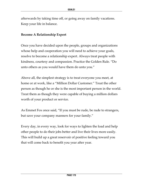afterwards by taking time off, or going away on family vacations. Keep your life in balance.

## **Become A Relationship Expert**

Once you have decided upon the people, groups and organizations whose help and cooperation you will need to achieve your goals, resolve to become a relationship expert. Always treat people with kindness, courtesy and compassion. Practice the Golden Rule. "Do unto others as you would have them do unto you."

Above all, the simplest strategy is to treat everyone you meet, at home or at work, like a "Million Dollar Customer." Treat the other person as though he or she is the most important person in the world. Treat them as though they were capable of buying a million dollars worth of your product or service.

As Emmet Fox once said, "If you must be rude, be rude to strangers, but save your company manners for your family."

Every day, in every way, look for ways to lighten the load and help other people to do their jobs better and live their lives more easily. This will build up a great reservoir of positive feeling toward you that will come back to benefit you year after year.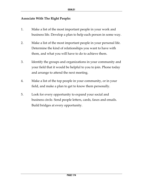## **Associate With The Right People:**

- 1. Make a list of the most important people in your work and business life. Develop a plan to help each person in some way.
- 2. Make a list of the most important people in your personal life. Determine the kind of relationships you want to have with them, and what you will have to do to achieve them.
- 3. Identify the groups and organizations in your community and your field that it would be helpful to you to join. Phone today and arrange to attend the next meeting.
- 4. Make a list of the top people in your community, or in your field, and make a plan to get to know them personally.
- 5. Look for every opportunity to expand your social and business circle. Send people letters, cards, faxes and emails. Build bridges at every opportunity.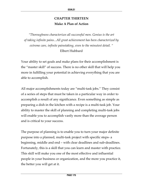# **CHAPTER THIRTEEN Make A Plan of Action**

*"Thoroughness characterizes all successful men. Genius is the art of taking infinite pains...All great achievement has been characterized by extreme care, infinite painstaking, even to the minutest detail. "* Elbert Hubbard

Your ability to set goals and make plans for their accomplishment is the "master skill" of success. There is no other skill that will help you more in fulfilling your potential in achieving everything that you are able to accomplish.

All major accomplishments today are "multi-task jobs." They consist of a series of steps that must be taken in a particular way in order to accomplish a result of any significance. Even something as simple as preparing a dish in the kitchen with a recipe is a multi-task job. Your ability to master the skill of planning and completing multi-task jobs will enable you to accomplish vastly more than the average person and is critical to your success.

The purpose of planning is to enable you to turn your major definite purpose into a planned, multi-task project with specific steps- a beginning, middle and end – with clear deadlines and sub-deadlines. Fortunately, this is a skill that you can learn and master with practice. This skill will make you one of the most effective and influential people in your business or organization, and the more you practice it, the better you will get at it.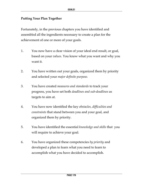### **Putting Your Plan Together**

Fortunately, in the previous chapters you have identified and assembled all the ingredients necessary to create a plan for the achievement of one or more of your goals.

- 1. You now have a clear vision of your ideal end result, or goal, based on your *values*. You know what you want and why you want it.
- 2. You have written out your goals, organized them by priority and selected your *major definite purpose.*
- 3. You have created *measures and standards* to track your progress, you have set both *deadlines and sub-deadlines* as targets to aim at.
- 4. You have now identified the key *obstacles, difficulties and constraints* that stand between you and your goal, and organized them by priority.
- 5. You have identified the essential *knowledge and skills* that you will require to achieve your goal.
- 6. You have organized these competencies *by priority* and developed a plan to learn what you need to learn to accomplish what you have decided to accomplish.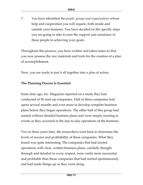7. You have identified the *people, groups and organizations* whose help and cooperation you will require, both inside and outside your business. You have decided on the specific steps you are going to take to earn the support and assistance of these people in achieving your goals.

Throughout this process, you have written and taken notes so that you now possess the raw materials and tools for the creation of a plan of accomplishment.

Now, you are ready to put it all together into a plan of action.

### **The Planning Process Is Essential**

Some time ago, Inc. Magazine reported on a study they had conducted of 50 start-up companies. Half of these companies had spent several months and even more to develop complete business plans before they began operations. The other half of this group had started without detailed business plans and were simply reacting to events as they occurred in the day-to-day operations of the business.

Two to three years later, the researchers went back to determine the levels of success and profitability of these companies. What they found was quite interesting. The companies that had started operations with clear, written business plans, carefully thought through and detailed in every respect, were vastly more successful and profitable than those companies that had started spontaneously and had made things up as they went along.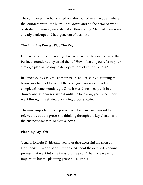The companies that had started on "the back of an envelope," where the founders were "too busy" to sit down and do the detailed work of strategic planning were almost all floundering. Many of them were already bankrupt and had gone out of business.

# **The Planning Process Was The Key**

Here was the most interesting discovery: When they interviewed the business founders, they asked them, "How often do you refer to your strategic plan in the day to day operations of your business?"

In almost every case, the entrepreneurs and executives running the businesses had not looked at the strategic plan since it had been completed some months ago. Once it was done, they put it in a drawer and seldom revisited it until the following year, when they went through the strategic planning process again.

The most important finding was this: The plan itself was seldom referred to, but the process of thinking through the key elements of the business was vital to their success.

# **Planning Pays Off**

General Dwight D. Eisenhower, after the successful invasion of Normandy in World War II, was asked about the detailed planning process that went into the invasion. He said, "The plans were not important, but the planning process was critical."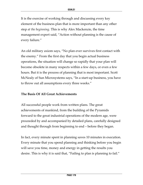It is the exercise of working through and discussing every key element of the business plan that is more important than any other step *at the beginning*. This is why Alex Mackenzie, the time management expert said, "Action without planning is the cause of every failure."

An old military axiom says, "No plan ever survives first contact with the enemy." From the first day that you begin actual business operations, the situation will change so rapidly that your plan will become obsolete in many respects within a few days, or even a few hours. But it is the process of planning that is most important. Scott McNealy of Sun Microsystems says, "In a start-up business, you have to throw out all assumptions every three weeks."

# **The Basis Of All Great Achievements**

All successful people work from written plans. The great achievements of mankind, from the building of the Pyramids forward to the great industrial operations of the modern age, were proceeded by and accompanied by detailed plans, carefully designed and thought through from beginning to end – before they began.

In fact, every minute spent in planning saves 10 minutes in execution. Every minute that you spend planning and thinking before you begin will save you time, money and energy in getting the results you desire. This is why it is said that, "Failing to plan is planning to fail."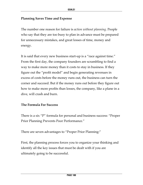#### **Planning Saves Time and Expense**

The number one reason for failure is *action without planning*. People who say that they are too busy to plan in advance must be prepared for unnecessary mistakes, and great losses of time, money and energy.

It is said that every new business start-up is a "race against time." From the first day, the company founders are scrambling to find a way to make more money than it costs to stay in business. If they figure out the "profit model" and begin generating revenues in excess of costs before the money runs out, the business can turn the corner and succeed. But if the money runs out before they figure out how to make more profits than losses, the company, like a plane in a dive, will crash and burn.

#### **The Formula For Success**

There is a six "P" formula for personal and business success: "Proper Prior Planning Prevents Poor Performance."

There are seven advantages to "Proper Prior Planning:"

First, the planning process forces you to organize your thinking and identify all the key issues that must be dealt with if you are ultimately going to be successful.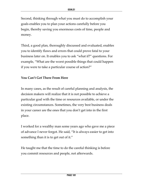Second, thinking through what you must do to accomplish your goals enables you to plan your actions carefully before you begin, thereby saving you enormous costs of time, people and money.

Third, a good plan, thoroughly discussed and evaluated, enables you to identify flaws and errors that could prove fatal to your business later on. It enables you to ask "what if?" questions. For example, "What are the worst possible things that could happen if you were to take a particular course of action?"

### **You Can't Get There From Here**

In many cases, as the result of careful planning and analysis, the decision makers will realize that it is not possible to achieve a particular goal with the time or resources available, or under the existing circumstances. Sometimes, the very best business deals in your career are the ones that you don't get into in the first place.

I worked for a wealthy man some years ago who gave me a piece of advance I never forgot. He said, "It is always easier to get into something than it is to get out of it."

He taught me that the time to do the careful thinking is before you commit resources and people, not afterwards.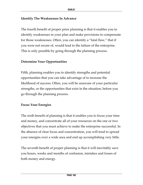### **Identify The Weaknesses In Advance**

The fourth benefit of proper prior planning is that it enables you to identify weaknesses in your plan and make provisions to compensate for those weaknesses. Often, you can identify a "fatal flaw," that if you were not aware of, would lead to the failure of the enterprise. This is only possible by going through the planning process.

# **Determine Your Opportunities**

Fifth, planning enables you to identify strengths and potential opportunities that you can take advantage of to increase the likelihood of success. Often, you will be unaware of your particular strengths, or the opportunities that exist in the situation, before you go through the planning process.

### **Focus Your Energies**

The sixth benefit of planning is that it enables you to focus your time and money, and concentrate all of your resources on the one or two objectives that you must achieve to make the enterprise successful. In the absence of clear focus and concentration, you will tend to spread your energies over a wide area and end up accomplishing very little.

The seventh benefit of proper planning is that it will inevitably save you hours, weeks and months of confusion, mistakes and losses of both money and energy.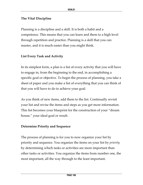# **The Vital Discipline**

Planning is a discipline and a skill. It is both a habit and a competence. This means that you can learn and them to a high level through repetition and practice. Planning is a skill that you can master, and it is much easier than you might think.

# **List Every Task and Activity**

In its simplest form, a plan is a list of every activity that you will have to engage in, from the beginning to the end, in accomplishing a specific goal or objective. To begin the process of planning, you take a sheet of paper and you make a list of everything that you can think of that you will have to do to achieve your goal.

As you think of new items, add them to the list. Continually revisit your list and revise the items and steps as you get more information. This list becomes your blueprint for the construction of your "dream house," your ideal goal or result.

# **Determine Priority and Sequence**

The process of planning is for you to now organize your list by priority and sequence. You organize the items on your list by *priority* by determining which tasks or activities are more important than other tasks or activities. You organize the items from number one, the most important, all the way through to the least important.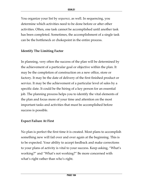You organize your list by *sequence*, as well. In sequencing, you determine which activities need to be done before or after other activities. Often, one task cannot be accomplished until another task has been completed. Sometimes, the accomplishment of a single task can be the bottleneck or chokepoint in the entire process.

# **Identify The Limiting Factor**

In planning, very often the success of the plan will be determined by the achievement of a particular goal or objective within the plan. It may be the completion of construction on a new office, store or factory. It may be the date of delivery of the first finished product or service. It may be the achievement of a particular level of sales by a specific date. It could be the hiring of a key person for an essential job. The planning process helps you to identify the vital elements of the plan and focus more of your time and attention on the most important tasks and activities that must be accomplished before success is possible.

### **Expect Failure At First**

No plan is perfect the first time it is created. Most plans to accomplish something new will fail over and over again at the beginning. This is to be expected. Your ability to accept feedback and make corrections to your plans of activity is vital to your success. Keep asking, "What's working?" and "What's not working?" Be more concerned with what's right rather than who's right.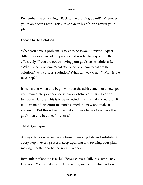Remember the old saying, "Back to the drawing board!" Whenever you plan doesn't work, relax, take a deep breath, and revisit your plan.

### **Focus On the Solution**

When you have a problem, resolve to be *solution oriented.* Expect difficulties as a part of the process and resolve to respond to them effectively. If you are not achieving your goals on schedule, ask, "What is the problem? What *else* is the problem? What are the solutions? What else is a solution? What can we do now? What is the next step?"

It seems that when you begin work on the achievement of a new goal, you immediately experience setbacks, obstacles, difficulties and temporary failure. This is to be expected. It is normal and natural. It takes tremendous effort to launch something new and make it successful. But this is the price that you have to pay to achieve the goals that you have set for yourself.

### **Think On Paper**

Always think on paper. Be continually making lists and sub-lists of every step in every process. Keep updating and revising your plan, making it better and better, until it is perfect.

Remember, planning is a skill. Because it is a skill, it is completely learnable. Your ability to think, plan, organize and initiate action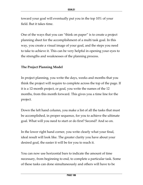toward your goal will eventually put you in the top 10% of your field. But it takes time.

One of the ways that you can "think on paper" is to create a project planning sheet for the accomplishment of a multi task goal. In this way, you create a visual image of your goal, and the steps you need to take to achieve it. This can be very helpful in opening your eyes to the strengths and weaknesses of the planning process.

# **The Project Planning Model**

In project planning, you write the days, weeks and months that you think the project will require to complete across the top of the page. If it is a 12-month project, or goal, you write the names of the 12 months, from this month forward. This gives you a time line for the project.

Down the left hand column, you make a list of all the tasks that must be accomplished, in proper sequence, for you to achieve the ultimate goal. What will you need to start or do first? Second? And so on.

In the lower right hand corner, you write clearly what your final, ideal result will look like. The greater clarity you have about your desired goal, the easier it will be for you to reach it.

You can now use horizontal bars to indicate the amount of time necessary, from beginning to end, to complete a particular task. Some of these tasks can done simultaneously and others will have to be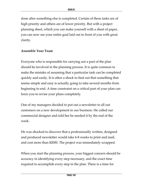done after something else is completed. Certain of these tasks are of high priority and others are of lower priority. But with a project planning sheet, which you can make yourself with a sheet of paper, you can now see your entire goal laid out in front of you with great clarity.

#### **Assemble Your Team**

Everyone who is responsible for carrying out a part of the plan should be involved in the planning process. It is quite common to make the mistake of assuming that a particular task can be completed quickly and easily. It is often a shock to find out that something that seems simple and easy is actually going to take several months from beginning to end. A time constraint on a critical part of your plan can force you to revise your plans completely.

One of my managers decided to put out a newsletter to all out customers on a new development in our business. He called our commercial designer and told her he needed it by the end of the week.

He was shocked to discover that a professionally written, designed and produced newsletter would take 6-8 weeks to print and mail, and cost more than \$2000. The project was immediately scrapped.

When you start the planning process, your biggest concern should be accuracy in identifying every step necessary, and the exact time required to accomplish every step in the plan. There is a time for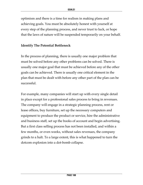optimism and there is a time for realism in making plans and achieving goals. You must be absolutely honest with yourself at every step of the planning process, and never trust to luck, or hope that the laws of nature will be suspended temporarily on your behalf.

# **Identify The Potential Bottleneck**

In the process of planning, there is usually one major problem that must be solved before any other problems can be solved. There is usually one major goal that must be achieved before any of the other goals can be achieved. There is usually one critical element in the plan that must be dealt with before any other part of the plan can be successful.

For example, many companies will start up with every single detail in place except for a professional sales process to bring in revenues. The company will engage in a strategic planning process, rent or lease offices, buy furniture, set up the necessary computers and equipment to produce the product or service, hire the administrative and business staff, set up the books of account and begin advertising. But a first class selling process has not been installed, and within a few months, or even weeks, without sales revenues, the company grinds to a halt. To a large extent, this is what happened to turn the dotcom explosion into a dot-bomb collapse.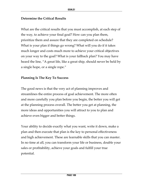#### **Determine the Critical Results**

What are the critical results that you must accomplish, at each step of the way, to achieve your final goal? How can you plan them, prioritize them and assure that they are completed on schedule? What is your plan if things go wrong? What will you do if it takes much longer and costs much more to achieve your critical objectives on your way to the goal? What is your fallback plan? You may have heard the line, "A great life, like a great ship, should never be held by a single hope, or a single rope."

#### **Planning Is The Key To Success**

The good news is that the very act of planning improves and streamlines the entire process of goal achievement. The more often and more carefully you plan before you begin, the better you will get at the planning process overall. The better you get at planning, the more ideas and opportunities you will attract to you to plan and achieve even bigger and better things.

Your ability to decide exactly what you want, write it down, make a plan and then execute that plan is the key to personal effectiveness and high achievement. These are learnable skills that you can master. In no time at all, you can transform your life or business, double your sales or profitability, achieve your goals and fulfill your true potential.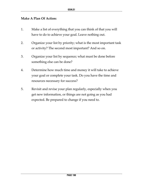#### **Make A Plan Of Action:**

- 1. Make a list of everything that you can think of that you will have to do to achieve your goal. Leave nothing out.
- 2. Organize your list by priority; what is the most important task or activity? The second most important? And so on.
- 3. Organize your list by sequence; what must be done before something else can be done?
- 4. Determine how much time and money it will take to achieve your goal or complete your task. Do you have the time and resources necessary for success?
- 5. Revisit and revise your plan regularly, especially when you get new information, or things are not going as you had expected. Be prepared to change if you need to.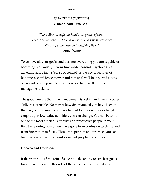# **CHAPTER FOURTEEN Manage Your Time Well**

*"Time slips through our hands like grains of sand, never to return again. Those who use time wisely are rewarded with rich, productive and satisfying lives."* Robin Sharma

To achieve all your goals, and become everything you are capable of becoming, you must get your time under control. Psychologists generally agree that a "sense of control" is the key to feelings of happiness, confidence, power and personal well-being. And a sense of control is only possible when you practice excellent time management skills.

The good news is that time management is a skill, and like any other skill, it is learnable. No matter how disorganized you have been in the past, or how much you have tended to procrastinate or to get caught up in low-value activities, you can change. You can become one of the most efficient, effective and productive people in your field by learning how others have gone from confusion to clarity and from frustration to focus. Through repetition and practice, you can become one of the most result-oriented people in your field.

### **Choices and Decisions**

If the front side of the coin of success is the ability to set clear goals for yourself, then the flip side of the same coin is the ability to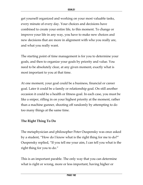get yourself organized and working on your most valuable tasks, every minute of every day. Your choices and decisions have combined to create your entire life, to this moment. To change or improve your life in any way, you have to make new choices and new decisions that are more in alignment with who you really are, and what you really want.

The starting point of time management is for you to determine your goals, and then to organize your goals by priority and value. You need to be absolutely clear, at any given moment, exactly what is most important to you at that time.

At one moment, your goal could be a business, financial or career goal. Later it could be a family or relationship goal. On still another occasion it could be a health or fitness goal. In each case, you must be like a sniper, rifling in on your highest priority at the moment, rather than a machine gunner, shooting off randomly by attempting to do too many things at the same time.

# **The Right Thing To Do**

The metaphysician and philosopher Peter Ouspensky was once asked by a student, "How do I know what is the right thing for me to do?" Ouspensky replied, "If you tell me your aim, I can tell you what is the right thing for you to do."

This is an important parable. The only way that you can determine what is right or wrong, more or less important, having higher or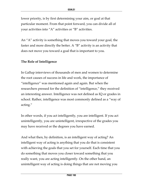lower priority, is by first determining your aim, or goal at that particular moment. From that point forward, you can divide all of your activities into "A" activities or "B" activities.

An "A" activity is something that moves you toward your goal, the faster and more directly the better. A "B" activity is an activity that does not move you toward a goal that is important to you.

### **The Role of Intelligence**

In Gallup interviews of thousands of men and women to determine the root causes of success in life and work, the importance of "intelligence" was mentioned again and again. But when the researchers pressed for the definition of "intelligence," they received an interesting answer. Intelligence was not defined as IQ or grades in school. Rather, intelligence was most commonly defined as a "way of acting."

In other words, if you act intelligently, you are intelligent. If you act unintelligently, you are unintelligent, irrespective of the grades you may have received or the degrees you have earned.

And what then, by definition, is an intelligent way of acting? An intelligent way of acting is anything that you do that is consistent with achieving the goals that you set for yourself. Each time that you do something that moves you closer toward something that you really want, you are acting intelligently. On the other hand, an unintelligent way of acting is doing things that are not moving you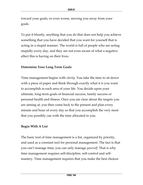toward your goals, or even worse, moving you away from your goals.

To put it bluntly, anything that you do that does not help you achieve something that you have decided that you want for yourself that is acting in a stupid manner. The world is full of people who are acting stupidly every day, and they are not even aware of what a negative effect this is having on their lives.

### **Determine Your Long Term Goals**

Time management begins with *clarity*. You take the time to sit down with a piece of paper and think through exactly what it is you want to accomplish in each area of your life. You decide upon your ultimate, long-term goals of financial success, family success or personal health and fitness. Once you are clear about the targets you are aiming at, you then come back to the present and plan every minute and hour of every day so that you accomplish the very most that you possibly can with the time allocated to you.

### **Begin With A List**

The basic tool of time management is a list, organized by priority, and used as a constant tool for personal management. The fact is that you can't manage time; you can only manage *yourself*. That is why time management requires self-discipline, self-control and selfmastery. Time management requires that you make the best choices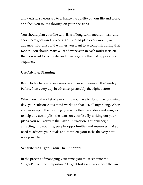and decisions necessary to enhance the quality of your life and work, and then you follow through on your decisions.

You should plan your life with lists of long-term, medium-term and short-term goals and projects. You should plan every month, in advance, with a list of the things you want to accomplish during that month. You should make a list of every step in each multi-task job that you want to complete, and then organize that list by priority and sequence.

# **Use Advance Planning**

Begin today to plan every week in advance, preferably the Sunday before. Plan every day in advance, preferably the night before.

When you make a list of everything you have to do for the following day, your subconscious mind works on that list, all night long. When you wake up in the morning, you will often have ideas and insights to help you accomplish the items on your list. By writing out your plans, you will activate the Law of Attraction. You will begin attracting into your life, people, opportunities and resources that you need to achieve your goals and complete your tasks the very best way possible.

### **Separate the Urgent From The Important**

In the process of managing your time, you must separate the "urgent" from the "important." Urgent tasks are tasks those that are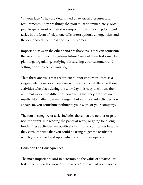"in your face." They are determined by external pressures and requirements. They are things that you must do immediately. Most people spend most of their days responding and reacting to urgent tasks, in the form of telephone calls, interruptions, emergencies, and the demands of your boss and your customers.

Important tasks on the other hand are those tasks that can contribute the very most to your long-term future. Some of these tasks may be planning, organizing, studying, researching your customers and setting priorities before you begin.

Then there are tasks that are urgent but not important, such as a ringing telephone, or a coworker who wants to chat. Because these activities take place during the workday, it is easy to confuse them with real work. The difference however is that they produce no results. No matter how many urgent but *un*important activities you engage in, you contribute nothing to your work or your company.

The fourth category of tasks includes those that are neither urgent nor important, like reading the paper at work, or going for a long lunch. These activities are positively harmful to your career because they consume time that you could be using to get the results for which you are paid and upon which your future depends.

# **Consider The Consequences**

The most important word in determining the value of a particular task or activity is the word *"consequences."* A task that is valuable and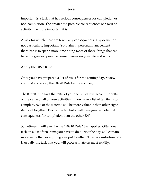important is a task that has serious consequences for completion or non-completion. The greater the possible consequences of a task or activity, the more important it is.

A task for which there are few if any consequences is by definition not particularly important. Your aim in personal management therefore is to spend more time doing more of those things that can have the greatest possible consequences on your life and work.

### **Apply the 80/20 Rule**

Once you have prepared a list of tasks for the coming day, review your list and apply the 80/20 Rule before you begin.

The 80/20 Rule says that 20% of your activities will account for 80% of the value of all of your activities. If you have a list of ten items to complete, two of those items will be more valuable than other eight items all together. Two of the ten tasks will have greater potential consequences for completion than the other 80%.

Sometimes it will even be the "90/10 Rule" that applies. Often one task on a list of ten items you have to do during the day will contain more value than everything else put together. This task unfortunately is usually the task that you will procrastinate on most readily.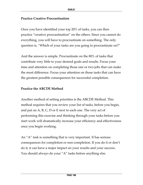#### **Practice Creative Procrastination**

Once you have identified your top 20% of tasks, you can then practice "creative procrastination" on the others. Since you cannot do everything, you will have to procrastinate on something. The only question is, "Which of your tasks are you going to procrastinate on?"

And the answer is simple. Procrastinate on the 80% of tasks that contribute very little to your desired goals and results. Focus your time and attention on completing those one or two jobs that can make the most difference. Focus your attention on those tasks that can have the greatest possible consequences for successful completion.

### **Practice the ABCDE Method**

Another method of setting priorities is the ABCDE Method. This method requires that you review your list of tasks, before you begin, and put an A, B, C, D or E next to each one. The very act of performing this exercise and thinking through your tasks before you start work will dramatically increase your efficiency and effectiveness once you begin working.

An "A" task is something that is very important. It has serious consequences for completion or non-completion. If you do it or don't do it, it can have a major impact on your results and your success. You should always do your "A" tasks before anything else.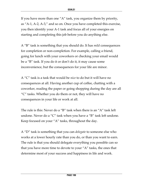If you have more than one "A" task, you organize them by priority, as "A-1, A-2, A-3," and so on. Once you have completed this exercise, you then identify your A-1 task and focus all of your energies on starting and completing this job before you do anything else.

A "B" task is something that you should do. It has *mild* consequences for completion or non-completion. For example, calling a friend, going for lunch with your coworkers or checking your email would be a "B" task. If you do it or don't do it, it may cause some inconvenience, but the consequences for your life are minor.

A "C" task is a task that would be *nice* to do but it will have no consequences at all. Having another cup of coffee, chatting with a coworker, reading the paper or going shopping during the day are all "C" tasks. Whether you do them or not, they will have no consequences in your life or work at all.

The rule is this: Never do a "B" task when there is an "A" task left undone. Never do a "C" task when you have a "B" task left undone. Keep focused on your "A" tasks, throughout the day.

A "D" task is something that you can *delegate* to someone else who works at a lower hourly rate than you do, or than you want to earn. The rule is that you should delegate everything you possible can so that you have more time to devote to your "A" tasks, the ones that determine most of your success and happiness in life and work.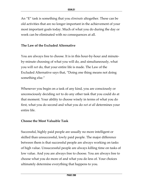An "E" task is something that you *eliminate* altogether. These can be old activities that are no longer important in the achievement of your most important goals today. Much of what you do during the day or week can be eliminated with no consequences at all.

# **The Law of the Excluded Alternative**

You are always free to choose. It is in this hour-by-hour and minuteby-minute choosing of what you will do, and simultaneously, what you will *not* do, that your entire life is made. The Law of the Excluded Alternative says that, "Doing one thing means not doing something else."

Whenever you begin on a task of any kind, you are consciously or unconsciously deciding *not* to do any other task that you could do at that moment. Your ability to choose wisely in terms of what you do first, what you do second and what you do *not at all* determines your entire life.

### **Choose the Most Valuable Task**

Successful, highly paid people are usually no more intelligent or skilled than unsuccessful, lowly paid people. The major difference between them is that successful people are always working on tasks of high value. Unsuccessful people are always killing time on tasks of low value. And you are always free to choose. You are always free to choose what you do more of and what you do less of. Your choices ultimately determine everything that happens to you.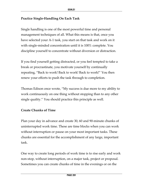# **Practice Single-Handling On Each Task**

Single handling is one of the most powerful time and personal management techniques of all. What this means is that, once you have selected your A-1 task, you start on that task and work on it with single-minded concentration until it is 100% complete. You discipline yourself to concentrate without diversion or distraction.

If you find yourself getting distracted, or you feel tempted to take a break or procrastinate, you motivate yourself by continually repeating, "Back to work! Back to work! Back to work!" You then renew your efforts to push the task through to completion.

Thomas Edison once wrote, "My success is due more to my ability to work continuously on one thing without stopping than to any other single quality." You should practice this principle as well.

# **Create Chunks of Time**

Plan your day in advance and create 30, 60 and 90-minute chunks of uninterrupted work time. These are time blocks when you can work without interruption or pause on your most important tasks. These chunks are essential for the accomplishment of any large, important task.

One way to create long periods of work time is to rise early and work non-stop, without interruption, on a major task, project or proposal. Sometimes you can create chunks of time in the evenings or on the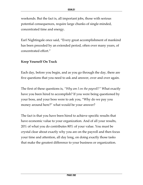weekends. But the fact is, all important jobs, those with serious potential consequences, require large chunks of single-minded, concentrated time and energy.

Earl Nightingale once said, "Every great accomplishment of mankind has been preceded by an extended period, often over many years, of concentrated effort."

### **Keep Yourself On Track**

Each day, before you begin, and as you go through the day, there are five questions that you need to ask and answer, over and over again.

The first of these questions is, *"Why am I on the payroll?"* What exactly have you been hired to accomplish? If you were being questioned by your boss, and your boss were to ask you, "Why do we pay you money around here?" what would be your answer?

The fact is that you have been hired to achieve specific results that have economic value to your organization. And of all your results, 20% of what you do contributes 80% of your value. You must be crystal clear about exactly why you are on the payroll and then focus your time and attention, all day long, on doing exactly those tasks that make the greatest difference to your business or organization.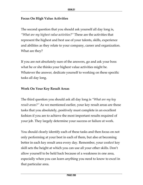### **Focus On High Value Activities**

The second question that you should ask yourself all day long is, *"What are my highest value activities?"* These are the activities that represent the highest and best use of your talents, skills, experience and abilities as they relate to your company, career and organization. What are they?

If you are not absolutely sure of the answers, go and ask your boss what he or she thinks your highest value activities might be. Whatever the answer, dedicate yourself to working on these specific tasks all day long.

### **Work On Your Key Result Areas**

The third question you should ask all day long is *"What are my key result areas?"* As we mentioned earlier, your key result areas are those tasks that you absolutely, positively must complete in an excellent fashion if you are to achieve the most important results required of your job. They largely determine your success or failure at work.

You should clearly identify each of these tasks and then focus on not only performing at your best in each of them, but also at becoming better in each key result area every day. Remember, your *weakest* key skill sets the height at which you can use all your other skills. Don't allow yourself to be held back because of a weakness in one area, especially when you can learn anything you need to know to excel in that particular area.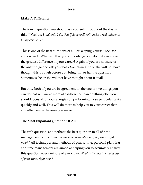### **Make A Difference!**

The fourth question you should ask yourself throughout the day is this, *"What can I and only I do, that if done well, will make a real difference to my company?"*

This is one of the best questions of all for keeping yourself focused and on track. What is it that you and only *you* can do that can make the greatest difference in your career? Again, if you are not sure of the answer, go and ask your boss. Sometimes, he or she will not have thought this through before you bring him or her the question. Sometimes, he or she will not have thought about it at all.

But once both of you are in agreement on the one or two things you can do that will make more of a difference than anything else, you should focus all of your energies on performing those particular tasks quickly and well. This will do more to help you in your career than any other single decision you make.

# **The Most Important Question Of All**

The fifth question, and perhaps the best question in all of time management is this: *"What is the most valuable use of my time, right now?"* All techniques and methods of goal setting, personal planning and time management are aimed at helping you to accurately answer this question, every minute of every day. *What is the most valuable use of your time, right now?*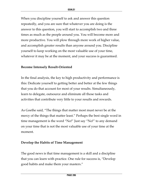When you discipline yourself to ask and answer this question repeatedly, and you are sure that whatever you are doing is the answer to this question, you will start to accomplish two and three times as much as the people around you. You will become more and more productive. You will plow through more work of higher value, and accomplish greater results than anyone around you. Discipline yourself to keep working on the most valuable use of your time, whatever it may be at the moment, and your success is guaranteed.

### **Become Intensely Result-Oriented**

In the final analysis, the key to high productivity and performance is this: Dedicate yourself to getting better and better at the few things that you do that account for most of your results. Simultaneously, learn to delegate, outsource and eliminate all those tasks and activities that contribute very little to your results and rewards.

As Goethe said, "The things that matter most must never be at the mercy of the things that matter least." Perhaps the best single word in time management is the word "No!" Just say "No!" to any demand on your time that is not the most valuable use of your time at the moment.

# **Develop the Habits of Time Management**

The good news is that time management is a skill and a discipline that you can learn with practice. One rule for success is, "Develop good habits and make them your masters."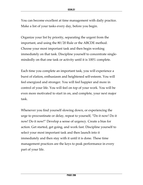You can become excellent at time management with daily practice. Make a list of your tasks every day, before you begin.

Organize your list by priority, separating the urgent from the important, and using the 80/20 Rule or the ABCDE method. Choose your most important task and then begin working immediately on that task. Discipline yourself to concentrate singlemindedly on that one task or activity until it is 100% complete.

Each time you complete an important task, you will experience a burst of elation, enthusiasm and heightened self-esteem. You will feel energized and stronger. You will feel happier and more in control of your life. You will feel on top of your work. You will be even more motivated to start in on, and complete, your next major task.

Whenever you find yourself slowing down, or experiencing the urge to procrastinate or delay, repeat to yourself, "Do it now! Do it now! Do it now!" Develop a sense of urgency. Create a bias for action. Get started, get going, and work fast. Discipline yourself to select your most important task and then launch into it immediately and then stay with it until it is done. These time management practices are the keys to peak performance in every part of your life.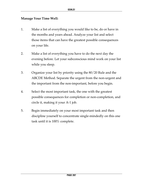#### **Manage Your Time Well:**

- 1. Make a list of everything you would like to be, do or have in the months and years ahead. Analyze your list and select those items that can have the greatest possible consequences on your life.
- 2. Make a list of everything you have to do the next day the evening before. Let your subconscious mind work on your list while you sleep.
- 3. Organize your list by priority using the 80/20 Rule and the ABCDE Method. Separate the urgent from the non-urgent and the important from the non-important, before you begin.
- 4. Select the most important task, the one with the greatest possible consequences for completion or non-completion, and circle it, making it your A-1 job.
- 5. Begin immediately on your most important task and then discipline yourself to concentrate single-mindedly on this one task until it is 100% complete.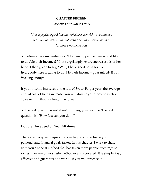# **CHAPTER FIFTEEN Review Your Goals Daily**

*"It is a psychological law that whatever we wish to accomplish we must impress on the subjective or subconscious mind."* Orison Swett Marden

Sometimes I ask my audiences, "How many people here would like to double their incomes?" Not surprisingly, everyone raises his or her hand. I then go on to say, "Well, I have good news for you. Everybody here is going to double their income – guaranteed- if you *live* long enough!"

If your income increases at the rate of 3% to 4% per year, the average annual cost of living increase, you will double your income in about 20 years. But that is a long time to wait!

So the real question is not about doubling your income. The real question is, "How fast can you do it?"

#### **Double The Speed of Goal Attainment**

There are many techniques that can help you to achieve your personal and financial goals faster. In this chapter, I want to share with you a special method that has taken more people from rags to riches than any other single method ever discovered. It is simple, fast, effective and guaranteed to work – if you will practice it.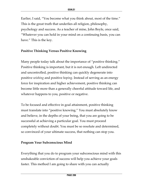Earlier, I said, "You become what you think about, most of the time." This is the great truth that underlies all religion, philosophy, psychology and success. As a teacher of mine, John Boyle, once said, "Whatever you can hold in your mind on a continuing basis, you can have." This is the key.

# **Positive Thinking Versus Positive Knowing**

Many people today talk about the importance of "positive thinking." Positive thinking is important, but it is not enough. Left undirected and uncontrolled, positive thinking can quickly degenerate into positive *wishing* and positive *hoping*. Instead of serving as an energy force for inspiration and higher achievement, positive thinking can become little more than a generally cheerful attitude toward life, and whatever happens to you, positive or negative.

To be focused and effective in goal attainment, positive thinking must translate into "positive knowing." You must absolutely know and believe, in the depths of your being, that you are going to be successful at achieving a particular goal. You must proceed completely without doubt. You must be so resolute and determined, so convinced of your ultimate success, that nothing can stop you.

# **Program Your Subconscious Mind**

Everything that you do to program your subconscious mind with this unshakeable conviction of success will help you achieve your goals faster. This method I am going to share with you can actually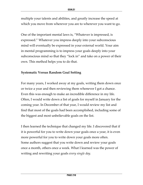multiple your talents and abilities, and greatly increase the speed at which you move from wherever you are to wherever you want to go.

One of the important mental laws is, "Whatever is impressed, is expressed." Whatever you impress deeply into your subconscious mind will eventually be expressed in your external world. Your aim in mental programming is to impress your goals deeply into your subconscious mind so that they "lock in" and take on a power of their own. This method helps you to do that.

### **Systematic Versus Random Goal Setting**

For many years, I worked away at my goals, writing them down once or twice a year and then reviewing them whenever I got a chance. Even this was enough to make an incredible difference in my life. Often, I would write down a list of goals for myself in January for the coming year. In December of that year, I would review my list and find that most of the goals had been accomplished, including some of the biggest and most unbelievable goals on the list.

I then learned the technique that changed my life. I discovered that if it is powerful for you to write down your goals once a year, it is even more powerful for you to write down your goals more often. Some authors suggest that you write down and review your goals once a month, others once a week. What I learned was the power of writing and rewriting your goals *every single day.*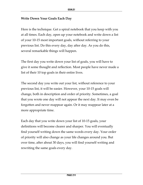### **Write Down Your Goals Each Day**

Here is the technique. Get a spiral notebook that you keep with you at all times. Each day, open up your notebook and write down a list of your 10-15 most important goals, without referring to your previous list. Do this every day, day after day. As you do this, several remarkable things will happen.

The first day you write down your list of goals, you will have to give it some thought and reflection. Most people have never made a list of their 10 top goals in their entire lives.

The second day you write out your list, without reference to your previous list, it will be easier. However, your 10-15 goals will change, both in description and order of priority. Sometimes, a goal that you wrote one day will not appear the next day. It may even be forgotten and never reappear again. Or it may reappear later at a more appropriate time.

Each day that you write down your list of 10-15 goals, your definitions will become clearer and sharper. You will eventually find yourself writing down the same words every day. Your order of priority will also change as your life changes around you. But over time, after about 30 days, you will find yourself writing and rewriting the same goals every day.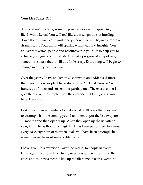### **Your Life Takes Off**

And at about this time, something remarkable will happen in your life. It will take off! You will feel like a passenger in a jet hurtling down the runway. Your work and personal life will begin to improve dramatically. Your mind will sparkle with ideas and insights. You will start to attract people and resources into your life to help you to achieve your goals. You will start to make progress at a rapid rate, sometimes so fast that it will be a little scary. Everything will begin to change in a very positive way.

Over the years, I have spoken in 23 countries and addressed more than two million people. I have shared this "10 Goal Exercise" with hundreds of thousands of seminar participants. The exercise that I give them is a little simpler than the exercise that I am giving you here. Here it is.

I ask my audience members to make a list of 10 goals that they want to accomplish in the coming year. I tell them to put the list away for 12 months and then open it up. When they open up the list after a year, it will be as though a magic trick has been performed. In almost every case, eight out of their ten goals will have been accomplished, sometimes in the most remarkable ways.

I have given this exercise all over the world, to people in every language and culture. In virtually every case, when I return to their cities and countries, people line up to talk to me, like in a wedding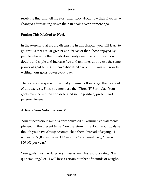receiving line, and tell me story after story about how their lives have changed after writing down their 10 goals a year or more ago.

## **Putting This Method to Work**

In the exercise that we are discussing in this chapter, you will learn to get results that are far greater and far faster than those enjoyed by people who write their goals down only one time. Your results will double and triple and increase five and ten times as you use the same power of goal setting we have discussed earlier, but you will now be writing your goals down every day.

There are some special rules that you must follow to get the most out of this exercise. First, you must use the "Three 'P' Formula." Your goals must be written and described in the positive, present and personal tenses.

#### **Activate Your Subconscious Mind**

Your subconscious mind is only activated by affirmative statements phrased in the present tense. You therefore write down your goals as though you have *already* accomplished them. Instead of saying, "I will earn \$50,000 in the next 12 months," you would say, "I earn \$50,000 per year."

Your goals must be stated *positively* as well. Instead of saying, "I will quit smoking," or "I will lose a certain number of pounds of weight,"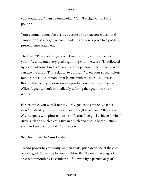you would say, "I am a non-smoker." Or, "I weigh X number of pounds."

Your command must be positive because your subconscious mind cannot process a negative command. It is only receptive to a positive, present tense statement.

The third "P" stands for *personal*. From now on, and for the rest of your life, write out every goal beginning with the word "I," followed by a verb of some kind. You are the only person in the universe who can use the word "I" in relation to yourself. When your subconscious mind receives a command that begins with the word "I," it is as though the factory floor receives a production order from the head office. It goes to work immediately to bring that goal into your reality.

For example, you would not say, "My goal is to earn \$50,000 per year." Instead, you would say, "I earn \$50,000 per year." Begin each of your goals with phrases such as, "I earn, I weigh, I achieve, I win, I drive such and such a car, I live in a such and such a home, I climb such and such a mountain," and so on.

# **Set Deadlines On Your Goals**

To add power to your daily written goals, put a deadline at the end of each goal. For example, you might write, "I earn an average of \$5,000 per month by December 31 (followed by a particular year)."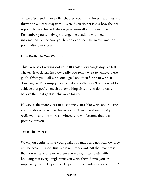As we discussed in an earlier chapter, your mind loves deadlines and thrives on a "forcing system." Even if you do not know how the goal is going to be achieved, always give yourself a firm deadline. Remember, you can always change the deadline with new information. But be sure you have a deadline, like an exclamation point, after every goal.

### **How Badly Do You Want It?**

This exercise of writing out your 10 goals every single day is a test. The test is to determine how badly you really want to achieve these goals. Often you will write out a goal and then forget to write it down again. This simply means that you either don't really want to achieve that goal as much as something else, or you don't really believe that that goal is achievable for you.

However, the more you can discipline yourself to write and rewrite your goals each day, the clearer you will become about what you *really* want, and the more convinced you will become that it is possible for you.

#### **Trust The Process**

When you begin writing your goals, you may have no idea how they will be accomplished. But this is not important. All that matters is that you write and rewrite them every day, in complete faith, knowing that every single time you write them down, you are impressing them deeper and deeper into your subconscious mind. At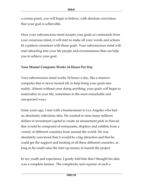a certain point, you will begin to believe, with absolute conviction, that your goal is achievable.

Once your subconscious mind accepts your goals as commands from your conscious mind, it will start to make all your words and actions fit a pattern consistent with those goals. Your subconscious mind will start attracting into your life people and circumstances that can help you to achieve your goal.

### **Your Mental Computer Works 24 Hours Per Day**

Your subconscious mind works 24 hours a day, like a massive computer that is never turned off, to help bring your goals into reality. Almost without your doing anything, your goals will begin to materialize in your life, sometimes in the most remarkable and unexpected ways.

Some years ago, I met with a businessman in Los Angeles who had an absolutely ridiculous idea. He wanted to raise many millions dollars in investment capital to create an amusement park in Hawaii that would be composed of restaurants, displays and exhibits from a variety of different countries from around the world. He was absolutely convinced that it would be a big attraction and that he could get the support and backing of all these different countries, as long as he could raise the start up money to launch the project.

In my youth and experience, I gently told him that I thought his idea was a complete fantasy. The complexity and expense of such a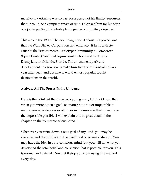massive undertaking was so vast for a person of his limited resources that it would be a complete waste of time. I thanked him for his offer of a job in putting this whole plan together and politely departed.

This was in the 1960s. The next thing I heard about this project was that the Walt Disney Corporation had embraced it in its entirety, called it the "Experimental Prototype Community of Tomorrow (Epcot Center),"and had begun construction on it next to its Disneyland in Orlando, Florida. The amusement park and development has gone on to make hundreds of millions of dollars, year after year, and become one of the most popular tourist destinations in the world.

#### **Activate All The Forces In the Universe**

Here is the point. At that time, as a young man, I did not know that when you write down a goal, no matter how big or impossible it seems, you activate a series of forces in the universe that often make the impossible possible. I will explain this in great detail in the chapter on the "Superconscious Mind."

Whenever you write down a new goal of any kind, you may be skeptical and doubtful about the likelihood of accomplishing it. You may have the idea in your conscious mind, but you will have not yet developed the total belief and conviction that is possible for you. This is normal and natural. Don't let it stop you from using this method every day.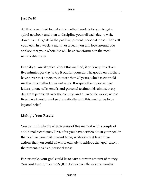#### **Just Do It!**

All that is required to make this method work is for you to get a spiral notebook and then to discipline yourself each day to write down your 10 goals in the positive, present, personal tense. That's all you need. In a week, a month or a year, you will look around you and see that your whole life will have transformed in the most remarkable ways.

Even if you are skeptical about this method, it only requires about five minutes per day to try it out for yourself. The good news is that I have never met a person, in more than 20 years, who has ever told me that this method does not work. It is quite the opposite. I get letters, phone calls, emails and personal testimonials almost every day from people all over the country, and all over the world, whose lives have transformed so dramatically with this method as to be beyond belief!

# **Multiply Your Results**

You can multiply the effectiveness of this method with a couple of additional techniques. First, after you have written down your goal in the positive, personal, present tense, write down at least three actions that you could take immediately to achieve that goal, also in the present, positive, personal tense.

For example, your goal could be to earn a certain amount of money. You could write, "I earn \$50,000 dollars over the next 12 months."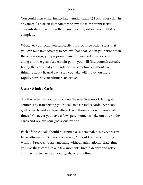You could then write, immediately underneath: 1) I plan every day in advance; 2) I start in immediately on my most important tasks; 3) I concentrate single mindedly on my most important task until it is complete.

Whatever your goal, you can easily think of three action steps that you can take immediately to achieve that goal. When you write down the action steps, you program them into your subconscious mind along with the goal. At a certain point, you will find yourself actually taking the steps that you wrote down, sometimes without even thinking about it. And each step you take will move you more rapidly toward your ultimate objective.

#### **Use 3 x 5 Index Cards**

Another way that you can increase the effectiveness of daily goal setting is by transferring your goals to 3 x 5 index cards. Write one goal on each card in large letters. Carry these cards with you at all times. Whenever you have a few spare moments, take out your index cards and review your goals, one by one.

Each of these goals should be written as a personal, positive, present tense affirmation. Someone once said, "I would rather a morning without breakfast than a morning without affirmations." Each time you use these cards, take a few moments, breath deeply and relax, and then review each of your goals, one at a time.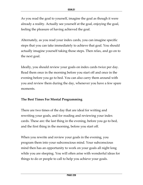As you read the goal to yourself, imagine the goal as though it were already a reality. Actually see yourself at the goal, enjoying the goal, feeling the pleasure of having achieved the goal.

Alternately, as you read your index cards, you can imagine specific steps that you can take immediately to achieve that goal. You should actually imagine yourself taking those steps. Then relax, and go on to the next goal.

Ideally, you should review your goals on index cards twice per day. Read them once in the morning before you start off and once in the evening before you go to bed. You can also carry them around with you and review them during the day, whenever you have a few spare moments.

# **The Best Times For Mental Programming**

There are two times of the day that are ideal for writing and rewriting your goals, and for reading and reviewing your index cards. These are: the last thing in the evening, before you go to bed, and the first thing in the morning, before you start off.

When you rewrite and review your goals in the evening, you program them into your subconscious mind. Your subconscious mind then has an opportunity to work on your goals all night long while you are sleeping. You will often arise with wonderful ideas for things to do or people to call to help you achieve your goals.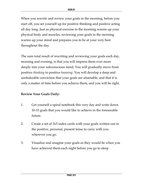When you rewrite and review your goals in the morning, before you start off, you set yourself up for positive thinking and positive acting all day long. Just as physical exercise in the morning warms up your physical body and muscles, reviewing your goals in the morning warms up your mind and prepares you to be at your very best throughout the day.

The sum total result of rewriting and reviewing your goals each day, morning and evening, is that you will impress them ever more deeply into your subconscious mind. You will gradually move from positive *thinking* to positive *knowing*. You will develop a deep and unshakeable conviction that your goals are attainable, and that it is only a matter of time before you achieve them, and you will be right.

# **Review Your Goals Daily:**

- 1. Get yourself a spiral notebook this very day and write down 10-15 goals that you would like to achieve in the foreseeable future.
- 2. Create a set of 3x5 index cards with your goals written out in the positive, personal, present tense to carry with you wherever you go.
- 3. Visualize and imagine your goals as they would be when you have achieved them each night before you go to sleep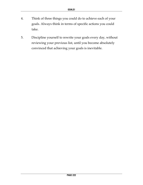- 4. Think of three things you could do to achieve each of your goals. Always think in terms of specific actions you could take.
- 5. Discipline yourself to rewrite your goals every day, without reviewing your previous list, until you become absolutely convinced that achieving your goals is inevitable.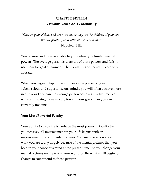# **CHAPTER SIXTEEN Visualize Your Goals Continually**

*"Cherish your visions and your dreams as they are the children of your soul; the blueprints of your ultimate achievements."* Napoleon Hill

You possess and have available to you virtually unlimited mental powers. The average person is unaware of these powers and fails to use them for goal attainment. That is why his or her results are only average.

When you begin to tap into and unleash the power of your subconscious and superconscious minds, you will often achieve more in a year or two than the average person achieves in a lifetime. You will start moving more rapidly toward your goals than you can currently imagine.

#### **Your Most Powerful Faculty**

Your ability to visualize is perhaps the most powerful faculty that you possess. All improvement in your life begins with an improvement in your mental pictures. You are where you are and what you are today largely because of the mental pictures that you hold in your conscious mind at the present time. As you change your mental pictures on the *inside*, your world on the *outside* will begin to change to correspond to those pictures.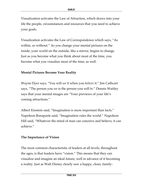Visualization activates the Law of Attraction, which draws into your life the people, circumstances and resources that you need to achieve your goals.

Visualization activates the Law of Correspondence which says, "As within, so without." As you change your mental pictures on the inside, your world on the outside, like a mirror, begins to change. Just as you become what you think about most of the time, you become what you visualize most of the time, as well.

# **Mental Pictures Become Your Reality**

Wayne Dyer says, "You will *see* it when you *believe* it." Jim Cathcart says, "The person you *see* is the person you will *be*." Dennis Waitley says that your mental images are "Your previews of your life's coming attractions."

Albert Einstein said, "Imagination is more important than facts." Napoleon Bonaparte said, "Imagination rules the world." Napoleon Hill said, "Whatever the mind of man can conceive and believe, it can achieve."

# **The Importance of Vision**

The most common characteristic of leaders at all levels, throughout the ages, is that leaders have "vision." This means that they can visualize and imagine an ideal future, well in advance of it becoming a reality. Just as Walt Disney clearly saw a happy, clean, family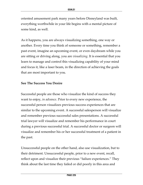oriented amusement park many years before Disneyland was built, everything worthwhile in your life begins with a mental picture of some kind, as well.

As it happens, you are always visualizing something, one way or another. Every time you think of someone or something, remember a past event, imagine an upcoming event, or even daydream while you are sitting or driving along, you are *visualizing*. It is essential that you learn to manage and control this visualizing capability of your mind and focus it, like a laser beam, in the direction of achieving the goals that are most important to you.

#### **See The Success You Desire**

Successful people are those who visualize the kind of success they want to enjoy, *in advance*. Prior to every new experience, the successful person visualizes previous success experiences that are similar to the upcoming event. A successful salesperson will visualize and remember previous successful sales presentations. A successful trial lawyer will visualize and remember his performance in court during a previous successful trial. A successful doctor or surgeon will visualize and remember his or her successful treatment of a patient in the past.

Unsuccessful people on the other hand, also use visualization, but to their detriment. Unsuccessful people, prior to a new event, recall, reflect upon and visualize their previous "failure experiences." They think about the last time they failed or did poorly in this area and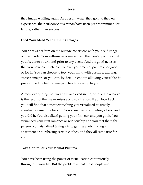they imagine failing again. As a result, when they go into the new experience, their subconscious minds have been preprogrammed for failure, rather than success.

### **Feed Your Mind With Exciting Images**

You always perform on the outside consistent with your self-image on the inside. Your self-image is made up of the mental pictures that you feed into your mind prior to any event. And the good news is that you have complete control over your mental pictures, for good or for ill. You can choose to feed your mind with positive, exciting, success images, or you can, by default, end up allowing yourself to be preoccupied by failure images. The choice is up to you.

Almost everything that you have achieved in life, or failed to achieve, is the result of the use or misuse of visualization. If you look back, you will find that almost everything you visualized positively eventually came true for you. You visualized completing school, and you did it. You visualized getting your first car, and you got it. You visualized your first romance or relationship and you met the right person. You visualized taking a trip, getting a job, finding an apartment or purchasing certain clothes, and they all came true for you.

# **Take Control of Your Mental Pictures**

You have been using the power of visualization continuously throughout your life. But the problem is that most people use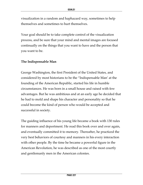visualization in a random and haphazard way, sometimes to help themselves and sometimes to hurt themselves.

Your goal should be to take complete control of the visualization process, and be sure that your mind and mental images are focused continually on the things that you want to have and the person that you want to be.

### **The Indispensable Man**

George Washington, the first President of the United States, and considered by most historians to be the "Indispensable Man' at the founding of the American Republic, started his life in humble circumstances. He was born in a small house and raised with few advantages. But he was ambitious and at an early age he decided that he had to mold and shape his character and personality so that he could become the kind of person who would be accepted and successful in society.

The guiding influence of his young life became a book with 130 rules for manners and deportment. He read this book over and over again, and eventually committed it to memory. Thereafter, he practiced the very best behaviors of courtesy and manners in his every interaction with other people. By the time he became a powerful figure in the American Revolution, he was described as one of the most courtly and gentlemanly men in the American colonies.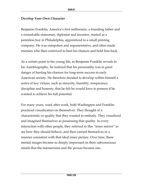#### **Develop Your Own Character**

Benjamin Franklin, America's first millionaire, a founding father and a remarkable statesman, diplomat and inventor, started as a penniless boy in Philadelphia, apprenticed to a small printing company. He was outspoken and argumentative, and often made enemies who then contrived to hurt his chances and hold him back.

At a certain point in his young life, as Benjamin Franklin reveals in his Autobiography, he realized that his personality was in great danger of hurting his chances for long-term success in early American society. He therefore decided to develop within himself a series of key virtues, such as sincerity, humility, temperance, discipline and honesty, that he felt he would have to possess if he wanted to achieve his full potential.

For many years, week after week, both Washington and Franklin practiced visualization on themselves. They thought of a characteristic or quality that they wanted to embody. They visualized and imagined themselves as possessing that quality. In every interaction with other people, they referred to this "inner mirror" to see how they should behave, and then carried themselves in a manner consistent with that ideal inner picture. Over time, these mental images became so deeply impressed on their subconscious minds that the mannerisms and the person became one.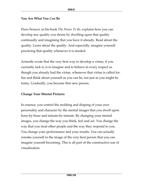#### **You Are What You** *Can* **Be**

Piero Ferucci, in his book *The Power To Be,* explains how you can develop any quality you desire by dwelling upon that quality continually and imagining that you have it already. Read about the quality. Learn about the quality. And especially, imagine yourself practicing that quality whenever it is needed.

Aristotle wrote that the very best way to develop a virtue, if you currently lack it, is to imagine and to behave in every respect as though you already had the virtue, whenever that virtue is called for. See and think about yourself as you can be, not just as you might be today. Gradually, you become that new person.

#### **Change Your Mental Pictures**

In essence, you control the molding and shaping of your own personality and character by the mental images that you dwell upon hour-by-hour and minute-by-minute. By changing your mental images, you change the way you think, feel and act. You change the way that you treat other people and the way they respond to you. You change your performance and your results. You can actually remake yourself in the image of the very best person that you can imagine yourself becoming. This is all part of the constructive use of visualization.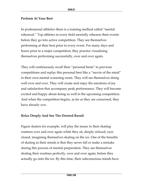#### **Perform At Your Best**

In professional athletics there is a training method called "mental rehearsal." Top athletes in every field mentally rehearse their events before they go into active competition. They see themselves performing at their best prior to every event. For many days and hours prior to a major competition, they practice visualizing themselves performing successfully, over and over again.

They will continuously recall their "personal bests" in previous competitions and replay this personal best like a "movie of the mind" in their own mental screening room. They will see themselves doing well over and over. They will create and enjoy the emotions of joy and satisfaction that accompany peak performance. They will become excited and happy about doing so well in the upcoming competition. And when the competition begins, as far as they are concerned, they have already *won*.

#### **Relax Deeply And See The Desired Result**

Figure skaters for example, will play the music to their skating routines over and over again while they sit, deeply relaxed, eyes closed, imagining themselves skating on the ice. One of the benefits of skating in their minds is that they never fall or make a mistake during this process of mental preparation. They see themselves skating their routines perfectly, over and over again, before they actually go onto the ice. By this time, their subconscious minds have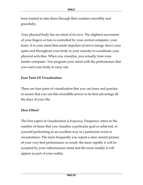been trained to take them through their routines smoothly and gracefully.

Your physical body has no mind of its own. The slightest movement of your fingers or toes is controlled by your central computer, your brain. It is your mind that sends impulses of nerve energy down your spine and throughout your body to your muscles to coordinate your physical activities. When you visualize, you actually train your master computer. You program your mind with the performance that you want your body to carry out.

#### **Four Parts Of Visualization**

There are four parts of visualization that you can learn and practice to assure that you use this incredible power to its best advantage all the days of your life.

# **How Often?**

The first aspect of visualization is *frequency*. Frequency refers to the number of times that you visualize a particular goal as achieved, or yourself performing in an excellent way in a particular event or circumstance. The more frequently you repeat a clear mental picture of your very best performance or result, the more rapidly it will be accepted by your subconscious mind and the more readily it will appear as part of your reality.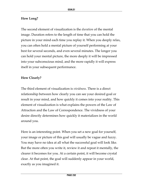#### **How Long?**

The second element of visualization is the *duration* of the mental image. Duration refers to the length of time that you can hold the picture in your mind each time you replay it. When you deeply relax, you can often hold a mental picture of yourself performing at your best for several seconds, and even several minutes. The longer you can hold your mental picture, the more deeply it will be impressed into your subconscious mind, and the more rapidly it will express itself in your subsequent performance.

### **How Clearly?**

The third element of visualization is *vividness*. There is a direct relationship between how clearly you can see your desired goal or result in your mind, and how quickly it comes into your reality. This element of visualization is what explains the powers of the Law of Attraction and the Law of Correspondence. The vividness of your desire directly determines how quickly it materializes in the world around you.

Here is an interesting point. When you set a new goal for yourself, your image or picture of this goal will usually be vague and fuzzy. You may have no idea at all what the successful goal will look like. But the more often you write it, review it and repeat it mentally, the clearer it becomes for you. At a certain point, it will become crystal clear. At that point, the goal will suddenly appear in your world, exactly as you imagined it.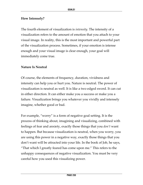### **How Intensely?**

The fourth element of visualization is *intensity*. The intensity of a visualization refers to the amount of emotion that you attach to your visual image. In reality, this is the most important and powerful part of the visualization process. Sometimes, if your emotion is intense enough and your visual image is clear enough, your goal will immediately come true.

# **Nature Is Neutral**

Of course, the elements of frequency, duration, vividness and intensity can help you or hurt you. Nature is neutral. The power of visualization is neutral as well. It is like a two edged sword. It can cut in either direction. It can either make you a success or make you a failure. Visualization brings you whatever you vividly and intensely imagine, whether good or bad.

For example, "worry" is a form of negative goal setting. It is the process of thinking about, imagining and visualizing, combined with feelings of fear and anxiety, exactly those things that you *don't* want to happen. But because visualization is neutral, when you worry, you are using this power in a negative way, exactly those things that you don't want will be attracted into your life. In the book of Job, he says, "That which I greatly feared has come upon me." This refers to the unhappy consequences of negative visualization. You must be very careful how you used this visualizing power.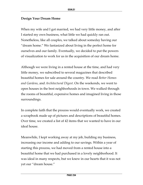#### **Design Your Dream Home**

When my wife and I got married, we had very little money, and after I started my own business, what little we had quickly ran out. Nonetheless, like all couples, we talked about someday having our "dream home." We fantasized about living in the perfect home for ourselves and our family. Eventually, we decided to put the powers of visualization to work for us in the acquisition of our dream home.

Although we were living in a rented house at the time, and had very little money, we subscribed to several magazines that described beautiful homes for sale around the country. We read *Better Homes and Gardens*, and *Architectural Digest*. On the weekends, we went to open houses in the best neighborhoods in town. We walked through the rooms of beautiful, expensive homes and imagined living in those surroundings.

In complete faith that the process would eventually work, we created a scrapbook made up of pictures and descriptions of beautiful homes. Over time, we created a list of 42 items that we wanted to have in our ideal house.

Meanwhile, I kept working away at my job, building my business, increasing our income and adding to our savings. Within a year of starting this process, we had moved from a rented house into a beautiful home that we had purchased in a lovely neighborhood. It was ideal in many respects, but we knew in our hearts that it was not yet our "dream house."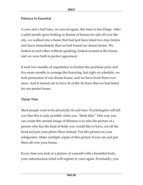#### **Patience Is Essential**

A year and a half later, we moved again, this time to San Diego. After a solid month spent looking at dozens of homes for sale all over the city, we walked into a home that had just been listed two days before and knew immediately that we had found our dream house. We looked at each other without speaking, looked around at the house, and we were both in perfect agreement.

It took two months of negotiation to finalize the purchase price and five more months to arrange the financing, but right on schedule, we took possession of our dream house, and we have lived there ever since. And it turned out to have 41 of the 42 items that we had listed for our perfect home.

# **Think Thin**

Most people want to be physically fit and trim. Psychologists will tell you that this is only possible when you "think thin." One way you can create this mental image of thinness is to take the picture of a person who has the kind of body you would like to have, cut off the head and put your photo there instead. Put this picture on your refrigerator. Make multiple copies of this picture if you can and put them all over your house.

Every time you look at a picture of yourself with a beautiful body, your subconscious mind will register it, once again. Eventually, you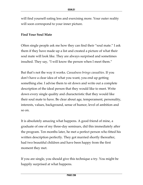will find yourself eating less and exercising more. Your outer reality will soon correspond to your inner picture.

### **Find Your Soul Mate**

Often single people ask me how they can find their "soul mate." I ask them if they have made up a list and created a picture of what their soul mate will look like. They are always surprised and sometimes insulted. They say, "I will know the person when I meet them."

But that's not the way it works. *Casualness brings casualties*. If you don't have a clear idea of what you want, you end up getting something else. I advise them to sit down and write out a complete description of the ideal person that they would like to meet. Write down every single quality and characteristic that they would like their soul mate to have. Be clear about age, temperament, personality, interests, values, background, sense of humor, level of ambition and so on.

It is absolutely amazing what happens. A good friend of mine, a graduate of one of my three-day seminars, did this immediately after the program. Ten months later, he met a perfect person who fitted his written description perfectly. They got married shortly thereafter, had two beautiful children and have been happy from the first moment they met.

If you are single, you should give this technique a try. You might be happily surprised at what happens.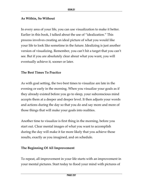#### **As Within, So Without**

In every area of your life, you can use visualization to make it better. Earlier in this book, I talked about the use of "idealization." This process involves creating an ideal picture of what you would like your life to look like sometime in the future. Idealizing is just another version of visualizing. Remember, you can't hit a target that you can't see. But if you are absolutely clear about what you want, you will eventually achieve it, sooner or later.

#### **The Best Times To Practice**

As with goal setting, the two best times to visualize are late in the evening or early in the morning. When you visualize your goals as if they already existed before you go to sleep, your subconscious mind accepts them at a deeper and deeper level. It then adjusts your words and actions during the day so that you do and say more and more of those things that will make your goals into realities.

Another time to visualize is first thing in the morning, before you start out. Clear mental images of what you want to accomplish during the day will make it far more likely that you achieve those results, exactly as you imagined, and on schedule.

#### **The Beginning Of All Improvement**

To repeat, all improvement in your life starts with an improvement in your mental pictures. Start today to flood your mind with pictures of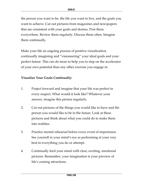the person you want to be, the life you want to live, and the goals you want to achieve. Cut out pictures from magazines and newspapers that are consistent with your goals and desires. Post them everywhere. Review them regularly. Discuss them often. Imagine them continually.

Make your life an ongoing process of positive visualization, continually imagining and "visioneering" your ideal goals and your perfect future. This can do more to help you to step on the accelerator of your own potential than any other exercise you engage in.

#### **Visualize Your Goals Continually:**

- 1. Project forward and imagine that your life was perfect in every respect. What would it look like? Whatever your answer, imagine this picture regularly.
- 2. Cut out pictures of the things you would like to have and the person you would like to be in the future. Look at these pictures and think about what you could do to make them into realities.
- 3. Practice mental rehearsal before every event of importance. See yourself in your mind's eye as performing at your very best in everything you do or attempt.
- 4. Continually feed your mind with clear, exciting, emotional pictures. Remember, your imagination is your preview of life's coming attractions.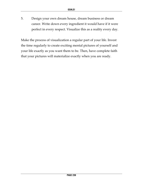5. Design your own dream house, dream business or dream career. Write down every ingredient it would have if it were perfect in every respect. Visualize this as a reality every day.

Make the process of visualization a regular part of your life. Invest the time regularly to create exciting mental pictures of yourself and your life exactly as you want them to be. Then, have complete faith that your pictures will materialize exactly when you are ready.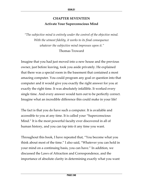# **CHAPTER SEVENTEEN Activate Your Superconscious Mind**

*"The subjective mind is entirely under the control of the objective mind. With the utmost fidelity, it works to its final consequence whatever the subjective mind impresses upon it."* Thomas Troward

Imagine that you had just moved into a new house and the previous owner, just before leaving, took you aside privately. He explained that there was a special room in the basement that contained a most amazing computer. You could program any goal or question into that computer and it would give you exactly the right answer for you at exactly the right time. It was absolutely infallible. It worked every single time. And every answer would turn out to be perfectly correct. Imagine what an incredible difference this could make in your life!

The fact is that you do have such a computer. It is available and accessible to you at any time. It is called your "Superconscious Mind." It is the most powerful faculty ever discovered in all of human history, and you can tap into it any time you want.

Throughout this book, I have repeated that, "You become what you think about most of the time." I also said, "Whatever you can hold in your mind on a continuing basis, you can have." In addition, we discussed the Laws of Attraction and Correspondence, and the importance of absolute clarity in determining exactly what you want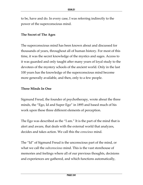to be, have and do. In every case, I was referring indirectly to the power of the superconscious mind.

#### **The Secret of The Ages**

The superconscious mind has been known about and discussed for thousands of years, throughout all of human history. For most of this time, it was the secret knowledge of the mystics and sages. Access to it was guarded and only taught after many years of loyal study to the devotees of the mystery schools of the ancient world. Only in the last 100 years has the knowledge of the superconscious mind become more generally available, and then, only to a few people.

#### **Three Minds In One**

Sigmund Freud, the founder of psychotherapy, wrote about the three minds, the "Ego, Id and Super Ego" in 1895 and based much of his work upon these three different elements of perception.

The Ego was described as the "I am." It is the part of the mind that is alert and aware, that deals with the external world that analyzes, decides and takes action. We call this the *conscious* mind.

The "Id" of Sigmund Freud is the unconscious part of the mind, or what we call the *subconscious* mind. This is the vast storehouse of memories and feelings where all of our previous thoughts, decisions and experiences are gathered, and which functions automatically,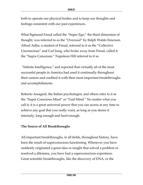both to operate our physical bodies and to keep our thoughts and feelings consistent with our past experiences.

What Sigmund Freud called the "Super Ego," the third dimension of thought, was referred to as the "Oversoul" by Ralph Waldo Emerson. Alfred Adler, a student of Freud, referred to it as the "Collective Unconscious" and Carl Jung, who broke away from Freud, called it the "Supra Conscious." Napoleon Hill referred to it as

 "Infinite Intelligence," and reported that virtually all of the most successful people in America had used it continually throughout their careers and credited it with their most important breakthroughs and accomplishments.

Roberto Assagioli, the Italian psychologist, and others refer to it as the "Super Conscious Mind" or "God Mind." No matter what you call it, it is a great universal power that you can access at any time to achieve any goal that you really want, as long as you desire it intensely, long enough and hard enough.

# **The Source of All Breakthroughs**

All important breakthroughs, in all fields, throughout history, have been the result of superconscious functioning. Whenever you have suddenly originated a great idea or insight that solved a problem or resolved a dilemma, you have had a superconscious experience. Great scientific breakthroughs, like the discovery of DNA, or the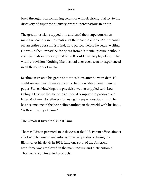breakthrough idea combining ceramics with electricity that led to the discovery of super conductivity, were superconscious in origin.

The great musicians tapped into and used their superconscious minds repeatedly in the creation of their compositions. Mozart could see an entire opera in his mind, note perfect, before he began writing. He would then transcribe the opera from his mental picture, without a single mistake, the very first time. It could then be played in public without revision. Nothing like this had ever been seen or experienced in all the history of music.

Beethoven created his greatest compositions after he went deaf. He could see and hear them in his mind before writing them down on paper. Steven Hawking, the physicist, was so crippled with Lou Gehrig's Disease that he needs a special computer to produce one letter at a time. Nonetheless, by using his superconscious mind, he has become one of the best selling authors in the world with his book, "A Brief History of Time."

#### **The Greatest Inventor Of All Time**

Thomas Edison patented 1093 devices at the U.S. Patent office, almost all of which were turned into commercial products during his lifetime. At his death in 1931, fully one sixth of the American workforce was employed in the manufacture and distribution of Thomas Edison invented products.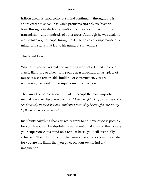Edison used his superconscious mind continually throughout his entire career to solve unsolvable problems and achieve historic breakthroughs in electricity, motion pictures, sound recording and transmission, and hundreds of other areas. Although he was deaf, he would take regular naps during the day to access his superconscious mind for insights that led to his numerous inventions.

### **The Great Law**

Whenever you see a great and inspiring work of art, read a piece of classic literature or a beautiful poem, hear an extraordinary piece of music or see a remarkable building or construction, you are witnessing the result of the superconscious in action.

The Law of Superconscious Activity, perhaps the most important mental law ever discovered, is this: *"Any thought, plan, goal or idea held continuously in the conscious mind must inevitably be brought into reality by the superconscious mind."*

Just think! Anything that you really want to be, have or do is possible for you. If you can be absolutely clear about what it is and then access your superconscious mind on a regular basis, you will eventually achieve it. The only limits on what your superconscious mind can do for you are the limits that you place on your own mind and imagination.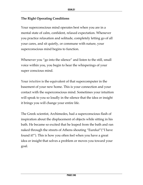# **The Right Operating Conditions**

Your superconscious mind operates best when you are in a mental state of calm, confident, relaxed expectation. Whenever you practice relaxation and solitude, completely letting go of all your cares, and sit quietly, or commune with nature, your superconscious mind begins to function.

Whenever you "go into the silence" and listen to the still, small voice within you, you begin to hear the whisperings of your super conscious mind.

Your *intuition* is the equivalent of that supercomputer in the basement of your new home. This is your connection and your contact with the superconscious mind. Sometimes your intuition will speak to you so loudly in the silence that the idea or insight it brings you will change your entire life.

The Greek scientist, Archimedes, had a superconscious flash of inspiration about the displacement of objects while sitting in his bath. He became so excited that he leaped from the bath and ran naked through the streets of Athens shouting "Eureka!"("I have found it!"). This is how you often feel when you have a great idea or insight that solves a problem or moves you toward your goal.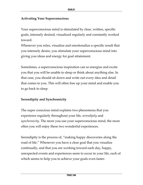# **Activating Your Superconscious**

Your superconscious mind is stimulated by clear, written, specific goals, intensely desired, visualized regularly and constantly worked toward.

Whenever you relax, visualize and emotionalize a specific result that you intensely desire, you stimulate your superconscious mind into giving you ideas and energy for goal attainment.

Sometimes, a superconscious inspiration can so energize and excite you that you will be unable to sleep or think about anything else. In that case, you should sit down and write out every idea and detail that comes to you. This will often free up your mind and enable you to go back to sleep.

# **Serendipity and Synchronicity**

The super conscious mind explains two phenomena that you experience regularly throughout your life, *serendipity* and *synchronicity*. The more you use your superconscious mind, the more often you will enjoy these two wonderful experiences.

Serendipity is the process of, "making happy discoveries along the road of life." Whenever you have a clear goal that you visualize continually, and that you are working toward each day, happy, unexpected events and experiences seem to occur in your life, each of which seems to help you to achieve your goals even faster.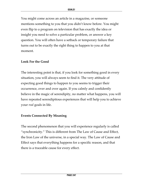You might come across an article in a magazine, or someone mentions something to you that you didn't know before. You might even flip to a program on television that has exactly the idea or insight you need to solve a particular problem, or answer a key question. You will often have a setback or temporary failure that turns out to be exactly the right thing to happen to you at that moment.

#### **Look For the Good**

The interesting point is that, if you look for something good in every situation, you will always seem to find it. The very attitude of expecting good things to happen to you seems to trigger their occurrence, over and over again. If you calmly and confidently believe in the magic of serendipity, no matter what happens, you will have repeated serendipitous experiences that will help you to achieve your *real* goals in life.

#### **Events Connected By Meaning**

The second phenomenon that you will experience regularly is called "synchronicity." This is different from The Law of Cause and Effect, the Iron Law of the universe, in a special way. The Law of Cause and Effect says that everything happens for a specific reason, and that there is a traceable cause for every effect.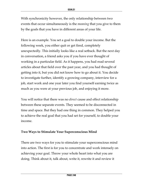With synchronicity however, the only relationship between two events that occur simultaneously is the *meaning* that you give to them by the goals that you have in different areas of your life.

Here is an example. You set a goal to double your income. But the following week, you either quit or get fired, completely unexpectedly. This initially looks like a real setback. But the next day in conversation, a friend asks you if you have ever thought of working in a particular field. As it happens, you had read several articles about that field over the past year, and you had thought of getting into it, but you did not know how to go about it. You decide to investigate further, identify a growing company, interview for a job, start work and one year later you find yourself earning twice as much as you were at your previous job, and enjoying it more.

You will notice that there was no *direct* cause and effect relationship between these separate events. They seemed to be disconnected in time and space. But they had one thing in common. They helped you to achieve the real goal that you had set for yourself, to double your income.

#### **Two Ways to Stimulate Your Superconscious Mind**

There are two ways for you to stimulate your superconscious mind into action. The first is for you to concentrate and work intensely on achieving your goal. Throw your whole heart into what you are doing. Think about it, talk about, write it, rewrite it and review it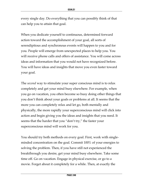every single day. Do everything that you can possibly think of that can help you to attain that goal.

When you dedicate yourself to continuous, determined forward action toward the accomplishment of your goal, all sorts of serendipitous and synchronous events will happen to you and for you. People will emerge from unexpected places to help you. You will receive phone calls and offers of assistance. You will come across ideas and information that you would not have recognized before. You will have ideas and insights that move you even faster toward your goal.

The *second* way to stimulate your super conscious mind is to relax completely and get your mind busy elsewhere. For example, when you go on vacation, you often become so busy doing other things that you don't think about your goals or problems at all. It seems that the more you can completely relax and let go, both mentally and physically, the more rapidly your superconscious mind will click into action and begin giving you the ideas and insights that you need. It seems that the harder that you "don't try," the faster your superconscious mind will work for you.

You should try both methods on every goal. First, work with singleminded concentration on the goal. Commit 100% of your energies to solving the problem. Then, if you have still not experienced the breakthrough you desire, get your mind busy elsewhere. Take some time off. Go on vacation. Engage in physical exercise, or go to a movie. Forget about it completely for a while. Then, at exactly the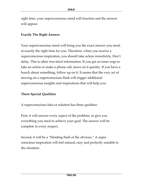right time, your superconscious mind will function and the answer will appear.

### **Exactly The Right Answer**

Your superconscious mind will bring you the exact answer you need, at exactly the right time for you. Therefore, when you receive a superconscious inspiration, you should take action *immediately*. Don't delay. This is often *time-dated* information. If you get an inner urge to take an action or make a phone call, move on it quickly. If you have a hunch about something, follow up on it. It seems that the very act of moving on a superconscious flash will trigger additional superconscious insights and inspirations that will help you.

## **Three Special Qualities**

A superconscious idea or solution has three qualities:

First, it will answer every aspect of the problem, or give you everything you need to achieve your goal. The answer will be complete in every respect.

Second, it will be a "blinding flash of the obvious." A super conscious inspiration will feel natural, easy and perfectly suitable to the situation.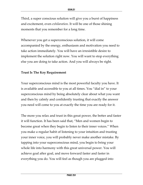Third, a super conscious solution will give you a burst of happiness and excitement, even *exhilaration*. It will be one of those shining moments that you remember for a long time.

Whenever you get a superconscious solution, it will come accompanied by the energy, enthusiasm and motivation you need to take action immediately. You will have an irresistible desire to implement the solution right now. You will want to stop everything else you are doing to take action. And you will always be right.

### **Trust Is The Key Requirement**

Your superconscious mind is the most powerful faculty you have. It is available and accessible to you at all times. You "dial in" to your superconscious mind by being absolutely clear about what you want and then by calmly and confidently trusting that exactly the answer you need will come to you at exactly the time you are ready for it.

The more you relax and trust in this great power, the better and faster it will function. It has been said that, "Men and women begin to become great when they begin to listen to their inner voices." When you make a regular habit of listening to your intuition and trusting your inner voice, you will probably never make another mistake. By tapping into your superconscious mind, you begin to bring your whole life into harmony with this great universal power. You will achieve goal after goal, and move forward faster and faster in everything you do. You will feel as though you are plugged into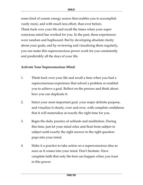some kind of cosmic energy source that enables you to accomplish vastly more, and with much less effort, than ever before. Think back over your life and recall the times when your super conscious mind has worked for you. In the past, these experiences were random and haphazard. But by developing absolute clarity about your goals, and by reviewing and visualizing them regularly, you can make this superconscious power work for you consistently and predictably all the days of your life.

## **Activate Your Superconscious Mind:**

- 1. Think back over your life and recall a time when you had a superconscious experience that solved a problem or enabled you to achieve a goal. Reflect on the process and think about how you can duplicate it.
- 2. Select your most important goal, your major definite purpose, and visualize it clearly, over and over, with complete confidence that it will materialize at exactly the right time for you.
- 3. Begin the daily practice of solitude and meditation. During this time, just let your mind relax and float from subject to subject until exactly the right answer to the right question pops into your mind.
- 4. Make it a practice to take action on a superconscious idea as soon as it comes into your mind. Don't hesitate. Have complete faith that only the best can happen when you trust in this power.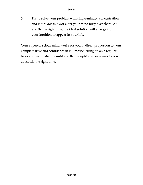5. Try to solve your problem with single-minded concentration, and it that doesn't work, get your mind busy elsewhere. At exactly the right time, the ideal solution will emerge from your intuition or appear in your life.

Your superconscious mind works for you in direct proportion to your complete trust and confidence in it. Practice letting go on a regular basis and wait patiently until exactly the right answer comes to you, at exactly the right time.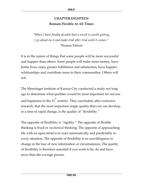# **CHAPTER EIGHTEEN Remain Flexible At All Times**

*"When I have finally decided that a result is worth getting, I go ahead on it and make trial after trial until it comes."* Thomas Edison

It is in the nature of things that some people will be more successful and happier than others. Some people will make more money, have better lives, enjoy greater fulfillment and satisfaction, have happier relationships and contribute more to their communities. Others will not.

The Menninger Institute of Kansas City conducted a study not long ago to determine what qualities would be most important for success and happiness in the 21 $^{\rm st}$  century. They concluded, after extensive research, that the most important single quality that you can develop, in a time of rapid change, is the quality of "flexibility."

The opposite of flexibility is "rigidity." The opposite of flexible thinking is fixed or *mechanical* thinking. The opposite of approaching life with an open mind is to react automatically and predictably in every situation. The opposite of flexibility is an unwillingness to change in the face of new information or circumstances. The quality of flexibility is therefore essential if you want to be, do and have more than the average person.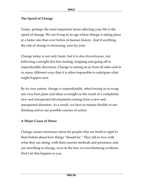## **The Speed of Change**

Today, perhaps the most important factor affecting your life is the speed of change. We are living in an age where change is taking place at a faster rate than ever before in human history. And if anything, the rate of change is increasing, year-by-year.

Change today is not only faster, but it is also *discontinuous*, not following a straight line but starting, stopping and going off in unpredictable directions. Change is coming at us from all sides and in so many different ways that it is often impossible to anticipate what might happen next.

By its very nature, change is unpredictable, often forcing us to scrap our very best plans and ideas overnight as the result of a completely new and unexpected development coming from a new and unexpected direction. As a result, we have to remain flexible in our thinking and in our possible courses of action.

## **A Major Cause of Stress**

Change causes enormous stress for people who are fixed or rigid in their beliefs about how things "should be." They fall in love with what they are doing, with their current methods and processes, and are unwilling to change, even in the face of overwhelming evidence. Don't let this happen to you.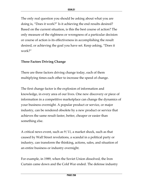The only real question you should be asking about what you are doing is, "Does it work?" Is it achieving the end results desired? Based on the current situation, is this the best course of action? The only measure of the rightness or wrongness of a particular decision or course of action is its effectiveness in accomplishing the result desired, or achieving the goal you have set. Keep asking, "Does it work?"

## **Three Factors Driving Change**

There are three factors driving change today, each of them multiplying times each other to increase the speed of change.

The first change factor is the explosion of information and knowledge, in every area of our lives. One new discovery or piece of information in a competitive marketplace can change the dynamics of your business overnight. A popular product or service, or major industry, can be rendered obsolete by a new product or service that achieves the same result faster, better, cheaper or easier than something else.

A critical news event, such as 9/11, a market shock, such as that caused by Wall Street revelations, a scandal in a political party or industry, can transform the thinking, actions, sales, and situation of an entire business or industry overnight.

For example, in 1989, when the Soviet Union dissolved, the Iron Curtain came down and the Cold War ended. The defense industry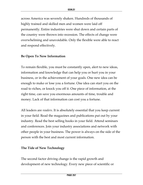across America was severely shaken. Hundreds of thousands of highly trained and skilled men and women were laid off permanently. Entire industries were shut down and certain parts of the country were thrown into recession. The effects of change were overwhelming and unavoidable. Only the flexible were able to react and respond effectively.

## **Be Open To New Information**

To remain flexible, you must be constantly open, alert to new ideas, information and knowledge that can help you or hurt you in your business, or in the achievement of your goals. One new idea can be enough to make or lose you a fortune. One idea can start you on the road to riches, or knock you off it. One piece of information, at the right time, can save you enormous amounts of time, trouble and money. Lack of that information can cost you a fortune.

All leaders are *readers*. It is absolutely essential that you keep current in your field. Read the magazines and publications put out by your industry. Read the best selling books in your field. Attend seminars and conferences. Join your industry associations and network with other people in your business. The power is always on the side of the person with the best and most current information.

## **The Tide of New Technology**

The second factor driving change is the rapid growth and development of new technology. Every new piece of scientific or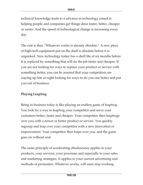technical knowledge leads to a advance in technology aimed at helping people and companies get things done faster, better, cheaper or easier. And the speed of technological change is increasing every day.

The rule is that, "Whatever works is already obsolete." A new piece of high-tech equipment put on the shelf is obsolete before it is unpacked. New technology today has a shelf life of six months before it is replaced by something that will do the job faster and cheaper. If you are not looking for ways to replace your product or service with something better, you can be assured that your competitors are staying up late at night looking for ways to do you one better and put you out of business.

## **Playing Leapfrog**

Being in business today is like playing an endless game of leapfrog. You look for a way to leapfrog your competitor and serve your customers better, faster and cheaper. Your competitor then leapfrogs over you with a newer or better product or service. You quickly regroup and leap over your competitor with a new innovation or improvement. Your competitor then leaps over you, and the game goes on without end.

The same principle of accelerating obsolescence applies to your products, your services, your processes and especially to your sales and marketing strategies. It applies to your current advertising and methods of promotion. Whatever works, will soon stop working.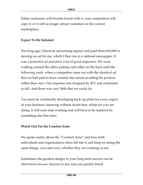Either customers will become bored with it, your competitors will copy it, or it will no longer attract customers in the current marketplace.

### **Expect To Be Imitated**

Not long ago, I hired an advertising agency and paid them \$10,000 to develop an ad for me, which I then ran in a national newspaper. It was a powerful ad and drew a lot of good responses. We were walking around the office patting each other on the back until the following week, when a competitor came out with the identical ad that we had paid to have created, but aimed at selling his product rather than ours. Our response rate dropped by 50% and continued to fall. And there was very little that we could do.

You must be continually developing back-up plans for every aspect of your business, knowing without doubt that, whatever you are doing, it will soon stop working and will have to be replaced by something else that does.

### **Watch Out For the Comfort Zone**

We spoke earlier about the "Comfort Zone" and how both individuals and organizations often fall into it and keep on doing the same things, over and over, whether they are working or not.

Sometimes the greatest danger to your long-term success can be short-term success. Success in any area can quickly breed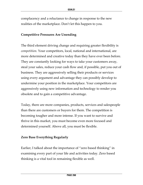complacency and a reluctance to change in response to the new realities of the marketplace. Don't let this happen to you.

### **Competitive Pressures Are Unending**

The third element driving change and requiring greater flexibility is *competition*. Your competitors, local, national and international, are more determined and creative today than they have ever been before. They are constantly looking for ways to take your customers away, steal your sales, reduce your cash flow and, if possible, put you out of business. They are aggressively selling their products or services using every argument and advantage they can possibly develop to undermine your position in the marketplace. Your competitors are aggressively using new information and technology to render you obsolete and to gain a competitive advantage.

Today, there are more companies, products, services and salespeople than there are customers or buyers for them. The competition is becoming tougher and more intense. If you want to survive and thrive in this market, you must become even more focused and determined yourself. Above all, you must be flexible.

## **Zero Base Everything Regularly**

Earlier, I talked about the importance of "zero based thinking" in examining every part of your life and activities today. Zero based thinking is a vital tool in remaining flexible as well.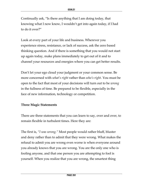Continually ask, "Is there anything that I am doing today, that knowing what I now know, I wouldn't get into again today, if I had to do it over?"

Look at every part of your life and business. Wherever you experience stress, resistance, or lack of success, ask the zero based thinking question. And if there is something that you would not start up again today, make plans immediately to get out of it and to channel your resources and energies where you can get better results.

Don't let your ego cloud your judgment or your common sense. Be more concerned with *what's right* rather than *who's right*. You must be open to the fact that most of your decisions will turn out to be *wrong* in the fullness of time. Be prepared to be flexible, especially in the face of new information, technology or competition.

## **Three Magic Statements**

There are three statements that you can learn to say, over and over, to remain flexible in turbulent times. Here they are:

The first is, *"I was wrong."* Most people would rather bluff, bluster and deny rather than to admit that they were wrong. What makes the refusal to admit you are wrong even worse is when everyone around you already knows that you are wrong. You are the only one who is fooling anyone, and that one person you are attempting to fool is yourself. When you realize that you are wrong, the smartest thing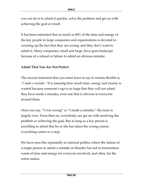you can do is to admit it quickly, solve the problem and get on with achieving the goal or result.

It has been estimated that as much as 80% of the time and energy of the key people in large companies and organizations is devoted to covering up the fact that they are wrong, and they don't want to admit it. Many companies, small and large, have gone bankrupt because of a refusal or failure to admit an obvious mistake.

## **Admit That You Are Not Perfect**

The second statement that you must learn to say to remain flexible is, *"I made a mistake."* It is amazing how much time, energy and money is wasted because someone's ego is so large that they will not admit they have made a mistake, even one that is obvious to everyone around them.

Once you say, "I was wrong" or "I made a mistake," the issue is largely over. From then on, everybody can get on with resolving the problem or achieving the goal. But as long as a key person is unwilling to admit that he or she has taken the wrong course, everything comes to a stop.

We have seen this repeatedly in national politics where the failure of a single person to admit a mistake or blunder has led to tremendous waste of time and energy for everyone involved, and often, for the entire nation.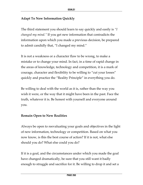## **Adapt To New Information Quickly**

The third statement you should learn to say quickly and easily is *"I changed my mind."* If you get new information that contradicts the information upon which you made a previous decision, be prepared to admit candidly that, "I changed my mind."

It is not a weakness or a character flaw to be wrong, to make a mistake or to change your mind. In fact, in a time of rapid change in the areas of knowledge, technology and competition, it is a mark of courage, character and flexibility to be willing to "cut your losses" quickly and practice the "Reality Principle" in everything you do.

Be willing to deal with the world as it is, rather than the way you wish it were, or the way that it might have been in the past. Face the truth, whatever it is. Be honest with yourself and everyone around you.

# **Remain Open to New Realities**

Always be open to reevaluating your goals and objectives in the light of new information, technology or competition. Based on what you now know, is this the best course of action? If it is not, what else should you do? What else could you do?

If it is a goal, and the circumstances under which you made the goal have changed dramatically, be sure that you still want it badly enough to struggle and sacrifice for it. Be willing to drop it and set a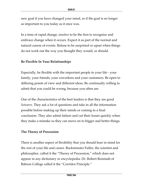new goal if you have changed your mind, or if the goal is no longer as important to you today as it once was.

In a time of rapid change, resolve to be the first to recognize and embrace change when it occurs. Expect it as part of the normal and natural course of events. Refuse to be surprised or upset when things do not work out the way you thought they would, or should.

### **Be Flexible In Your Relationships**

Especially, be flexible with the important people in your life - your family, your friends, your coworkers and your customers. Be open to differing points of view and different ideas. Be continually willing to admit that you could be wrong, because you often are.

One of the characteristics of the best leaders is that they are good *listeners*. They ask a lot of questions and take in all the information possible before making up their minds or coming to a final conclusion. They also admit failure and cut their losses quickly when they make a mistake so they can move on to bigger and better things.

### **The Theory of Precession**

There is another aspect of flexibility that you should bear in mind for the rest of your life and career. Buckminster Fuller, the scientist and philosopher, called it the "Theory of Precession," which does not appear in any dictionary or encyclopedia. Dr. Robert Ronstadt of Babson College called it the "Corridor Principle."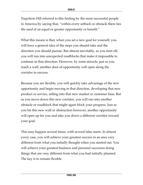Napoleon Hill referred to this finding by the most successful people in America by saying that, "within every setback or obstacle there lies the seed of an equal or greater opportunity or benefit."

What this means is that, when you set a new goal for yourself, you will have a general idea of the steps you should take and the direction you should pursue. But almost inevitably, as you start off, you will run into unexpected roadblocks that make it impossible to continue in that direction. However, by some miracle, just as you reach a wall, another door of opportunity will open along the corridor to success.

Because you are flexible, you will quickly take advantage of the new opportunity and begin moving in that direction, developing that new product or service, selling into that new market or customer base. But as you move down this new corridor, you will run into another obstacle or roadblock that might again block your progress. Just as you hit this new wall or obstruction however, another opportunity will open up for you and take you down a different corridor toward your goal.

This may happen several times, with several false starts. In almost every case, you will achieve your greatest success in an area very different from what you initially thought when you started out. You will achieve your greatest business and personal successes doing things that are very different from what you had initially planned. The key is to remain flexible.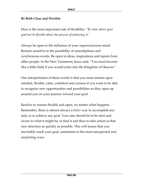#### **Be Both Clear and Flexible**

Here is the most important rule of flexibility: *"Be clear about your goal but be flexible about the process of achieving it."*

Always be open to the influence of your superconscious mind. Remain sensitive to the possibility of serendipitous and synchronous events. Be open to ideas, inspirations and inputs from other people. In the New Testament, Jesus said, "You must become like a little child if you would enter into the Kingdom of Heaven."

One interpretation of these words is that you must remain open minded, flexible, calm, confident and curious if you want to be able to recognize new opportunities and possibilities as they open up around you on your journey toward your goal.

Resolve to remain flexible and open, no matter what happens. Remember, there is almost always a *better* way to accomplish any task, or to achieve any goal. Your aim should be to be alert and aware to what it might be, to find it and then to take action in that new direction as quickly as possible. This will insure that you inevitably reach your goal, sometimes in the most unexpected and surprising ways.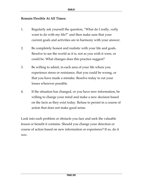### **Remain Flexible At All Times:**

- 1. Regularly ask yourself the question, "What do I really, *really* want to do with my life?" and then make sure that your current goals and activities are in harmony with your answer.
- 2. Be completely honest and realistic with your life and goals. Resolve to see the world as it is, not as you wish it were, or could be. What changes does this practice suggest?
- 3. Be willing to admit, in each area of your life where you experience stress or resistance, that you could be wrong, or that you have made a mistake. Resolve today to cut your losses wherever possible.
- 4. If the situation has changed, or you have new information, be willing to change your mind and make a new decision based on the facts as they exist today. Refuse to persist in a course of action that does not make good sense.

Look into each problem or obstacle you face and seek the valuable lesson or benefit it contains. Should you change your direction or course of action based on new information or experience? If so, do it *now*.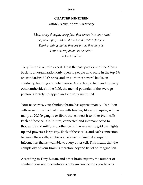# **CHAPTER NINETEEN Unlock Your Inborn Creativity**

*"Make every thought, every fact, that comes into your mind pay you a profit. Make it work and produce for you. Think of things not as they are but as they may be. Don't merely dream but create!"* Robert Collier

Tony Buzan is a brain expert. He is the past president of the Mensa Society, an organization only open to people who score in the top 2% on standardized I.Q. tests, and an author of several books on creativity, learning and intelligence. According to him, and to many other authorities in the field, the mental potential of the average person is largely untapped and virtually unlimited.

Your neocortex, your thinking brain, has approximately 100 billion cells or neurons. Each of these cells bristles, like a porcupine, with as many as 20,000 ganglia or fibers that connect it to other brain cells. Each of these cells is, in turn, connected and interconnected to thousands and millions of other cells, like an electric grid that lights up and powers a large city. Each of these cells, and each connection between these cells, contains an element of mental energy or information that is available to every other cell. This means that the complexity of your brain is therefore beyond belief or imagination.

According to Tony Buzan, and other brain experts, the number of combinations and permutations of brain connections you have is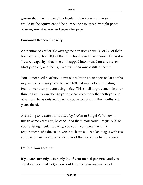greater than the number of molecules in the known universe. It would be the equivalent of the number one followed by eight pages of zeros, row after row and page after page.

### **Enormous Reserve Capacity**

As mentioned earlier, the average person uses about  $1\%$  or  $2\%$  of their brain capacity for 100% of their functioning in life and work. The rest is "reserve capacity" that is seldom tapped into or used for any reason. Most people "go to their graves with their music still in them."

You do not need to achieve a miracle to bring about spectacular results in your life. You only need to use a little bit more of your existing brainpower than you are using today. This small improvement in your thinking ability can change your life so profoundly that both you and others will be astonished by what you accomplish in the months and years ahead.

According to research conducted by Professor Sergei Yeframov in Russia some years ago, he concluded that if you could use just 50% of your existing mental capacity, you could complete the Ph.D. requirements of a dozen universities, learn a dozen languages with ease and memorize the entire 22 volumes of the Encyclopedia Britannica.

## **Double Your Income?**

If you are currently using only 2% of your mental potential, and you could increase that to 4%, you could double your income, shoot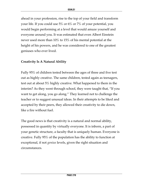ahead in your profession, rise to the top of your field and transform your life. If you could use 5% or 6% or 7% of your potential, you would begin performing at a level that would amaze yourself and everyone around you. It was estimated that even Albert Einstein never used more than 10% to 15% of his mental potential at the height of his powers, and he was considered to one of the greatest geniuses who ever lived.

## **Creativity Is A Natural Ability**

Fully 95% of children tested between the ages of three and five test out as highly creative. The same children, tested again as teenagers, test out at about 5% highly creative. What happened to them in the interim? As they went through school, they were taught that, "If you want to get along, you go along." They learned not to challenge the teacher or to suggest unusual ideas. In their attempts to be liked and accepted by their peers, they allowed their creativity to die down, like a fire without fuel.

The good news is that creativity is a natural and normal ability, possessed in quantity by virtually everyone. It is inborn, a part of your genetic structure, a faculty that is uniquely human. Everyone is creative. Fully 95% of the population has the ability to function at exceptional, if not *genius* levels, given the right situation and circumstances.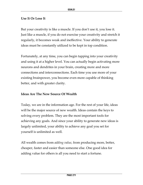### **Use It Or Lose It**

But your creativity is like a muscle. If you don't use it, you lose it. Just like a muscle, if you do not exercise your creativity and stretch it regularly, it becomes weak and ineffective. Your ability to generate ideas must be constantly utilized to be kept in top condition.

Fortunately, at any time, you can begin tapping into your creativity and using it at a higher level. You can actually begin activating more neurons and dendrites in your brain, creating more and more connections and interconnections. Each time you use more of your existing brainpower, you become even more capable of thinking better, and with greater clarity.

# **Ideas Are The New Source Of Wealth**

Today, we are in the information age. For the rest of your life, ideas will be the major source of new wealth. Ideas contain the keys to solving every problem. They are the most important tools for achieving any goals. And since your ability to generate new ideas is largely unlimited, your ability to achieve any goal you set for yourself is unlimited as well.

All wealth comes from *adding value*, from producing more, better, cheaper, faster and easier than someone else. One good idea for adding value for others is all you need to start a fortune.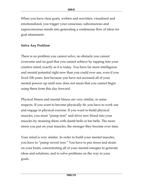When you have clear goals, written and rewritten, visualized and emotionalized, you trigger your conscious, subconscious and superconscious minds into generating a continuous flow of ideas for goal attainment.

## **Solve Any Problem**

There is no problem you cannot solve, no obstacle you cannot overcome and no goal that you cannot achieve by tapping into your creative mind, exactly as it is today. You have far more intelligence and mental potential right now than you could ever use, even if you lived 100 years. Just because you have not accessed all of your mental powers up until now does not mean that you cannot begin using them from this day forward.

Physical fitness and mental fitness are very similar, in some respects. If you want to become physically fit, you have to work out and engage in physical exercise. If you want to build physical muscles, you must "pump iron" and drive new blood into your muscles by straining them with dumb bells or bar bells. The more stress you put on your muscles, the stronger they become over time.

Your mind is very similar. In order to build your mental muscles, you have to "pump *mental* iron." You have to put stress and strain on your brain, concentrating all of your mental energies to generate ideas and solutions, and to solve problems on the way to your goals.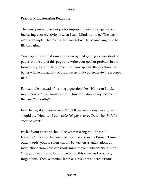## **Practice Mindstorming Regularly**

The most powerful technique for improving your intelligence and increasing your creativity is what I call "Mindstorming." The way it works is simple. The results that you get will be so amazing as to be life changing.

You begin the mindstorming process by first getting a clean sheet of paper. At the top of this page you write your goal or problem in the form of a question. The simpler and more specific the question, the better will be the quality of the answers that you generate in response to it.

For example, instead of writing a question like, "How can I make more money?" you would write, "How can I double my income in the next 24 months?"

Even better, if you are earning \$50,000 per year today, your question should be, "How can I earn \$100,000 per year by December 31 (of a specific year)?"

Each of your answers should be written using the "Three 'P' Formula." It should be Personal, Positive and in the Present Tense. In other words, your answers should be written as affirmations or instructions from your conscious mind to your subconscious mind. Often, you will write down answers on this sheet and promptly forget them. Then, sometime later, as a result of superconscious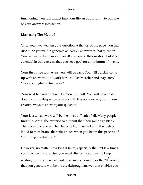functioning, you will attract into your life an opportunity to put one of your answers into action.

## **Mastering The Method**

Once you have written your question at the top of the page, you then discipline yourself to generate at least 20 answers to that question. You can write down more than 20 answers to the question, but it is essential in this exercise that you set a goal for a minimum of twenty.

Your first three to five answers will be easy. You will quickly come up with answers like "work harder," "start earlier and stay later," "work on higher value tasks."

Your next five answers will be more difficult. You will have to drill down and dig deeper to come up with less obvious ways but more creative ways to answer your question.

Your last ten answers will be the most difficult of all. Many people find this part of the exercise so difficult that their minds go blank. Their eyes glaze over. They become light headed with the rush of blood to their brains that takes place when you begin this process of "pumping mental iron."

However, no matter how long it takes, especially the first few times you practice this exercise, you must discipline yourself to keep writing until you have at least 20 answers. Sometimes the 20 $^{\rm th}$  answer that you generate will be the breakthrough answer that enables you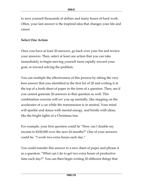to save yourself thousands of dollars and many hours of hard work. Often, your last answer is the inspired idea that changes your life and career.

### **Select One Action**

Once you have at least 20 answers, go back over your list and review your answers. Then, select at least one action that you can take immediately to begin moving yourself more rapidly toward your goal, or toward solving the problem.

You can multiple the effectiveness of this process by taking the very best answer that you identified in the first list of 20 and writing it at the top of a fresh sheet of paper in the form of a question. Then, see if you cannot generate 20 answers to that question as well. This combination exercise will rev you up mentally, like stepping on the accelerator of a car while the transmission is in neutral. Your mind will sparkle and dance with mental energy, and bristle with ideas, like the bright lights of a Christmas tree.

For example, your first question could be "How can I double my income to \$100,000 over the next 24 months?" One of your answers could be, "I work two extra hours each day."

You could transfer this answer to a new sheet of paper and phrase it as a question: "What can I do to get two extra hours of productive time each day?" You can then begin writing 20 different things that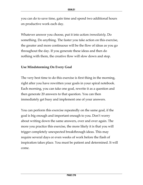you can do to save time, gain time and spend two additional hours on productive work each day.

Whatever answer you choose, put it into action *immediately*. Do something. Do anything. The faster you take action on this exercise, the greater and more continuous will be the flow of ideas as you go throughout the day. If you generate these ideas and then do nothing with them, the creative flow will slow down and stop.

## **Use Mindstorming On Every Goal**

The very best time to do this exercise is first thing in the morning, right after you have rewritten your goals in your spiral notebook. Each morning, you can take one goal, rewrite it as a question and then generate 20 answers to that question. You can then immediately get busy and implement one of your answers.

You can perform this exercise repeatedly on the same goal, if the goal is big enough and important enough to you. Don't worry about writing down the same answers, over and over again. The more you practice this exercise, the more likely it is that you will trigger completely unexpected breakthrough ideas. This may require several days or even weeks of work before the flash of inspiration takes place. You must be patient and determined. It will come.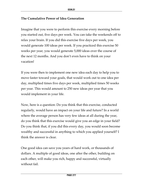### **The Cumulative Power of Idea Generation**

Imagine that you were to perform this exercise every morning before you started out, five days per week. You can take the weekends off to relax your brain. If you did this exercise five days per week, you would generate 100 ideas per week. If you practiced this exercise 50 weeks per year, you would generate 5,000 ideas over the course of the next 12 months. And you don't even have to think on your vacation!

If you were then to implement one new idea each day to help you to move faster toward your goals, that would work out to one idea per day, multiplied times five days per week, multiplied times 50 weeks per year. This would amount to 250 new ideas per year that you would implement in your life.

Now, here is a question: Do you think that this exercise, conducted regularly, would have an impact on your life and future? In a world where the average person has very few ideas at all during the year, do you think that this exercise would give you an edge in your field? Do you think that, if you did this every day, you would soon become wealthy and successful in anything to which you applied yourself? I think the answer is clear.

One good idea can save you years of hard work, or thousands of dollars. A multiple of good ideas, one after the other, building on each other, will make you rich, happy and successful, virtually without fail.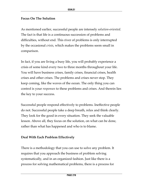#### **Focus On The Solution**

As mentioned earlier, successful people are intensely *solution*-*oriented*. The fact is that life is a continuous succession of problems and difficulties, without end. This river of problems is only interrupted by the occasional *crisis*, which makes the problems seem small in comparison.

In fact, if you are living a busy life, you will probably experience a crisis of some kind every two to three months throughout your life. You will have business crises, family crises, financial crises, health crises and other crises. The problems and crises never stop. They keep coming, like the waves of the ocean. The only thing you can control is your *responses* to these problems and crises. And therein lies the key to your success.

Successful people respond effectively to problems. Ineffective people do not. Successful people take a deep breath, relax and think clearly. They look for the good in every situation. They seek the valuable lesson. Above all, they focus on the solution, on what can be done, rather than what has happened and who is to blame.

## **Deal With Each Problem Effectively**

There is a methodology that you can use to solve any problem. It requires that you approach the business of problem solving systematically, and in an organized fashion. Just like there is a process for solving mathematical problems, there is a process for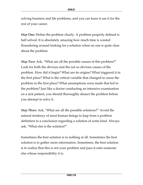solving business and life problems, and you can learn it use it for the rest of your career.

*Step One:* Define the problem clearly. A problem properly defined is half solved. It is absolutely amazing how much time is wasted floundering around looking for a solution when no one is quite clear about the problem.

*Step Two:* Ask, "What are all the possible causes of this problem?" Look for both the obvious and the not so obvious causes of the problem. How did it begin? What are its origins? What triggered it in the first place? What is the critical variable that changed to cause the problem in the first place? What assumptions were made that led to the problem? Just like a doctor conducting an intensive examination on a sick patient, you should thoroughly dissect the problem before you attempt to solve it.

*Step Three:* Ask, "What are all the possible solutions?" Avoid the natural tendency of most human beings to leap from a problem definition to a conclusion regarding a solution of some kind. Always ask, "What else is the solution?"

Sometimes the best solution is to nothing at all. Sometimes the best solution is to gather more information. Sometimes, the best solution is to realize that this is not your problem and pass it onto someone else whose responsibility it is.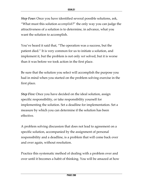*Step Four:* Once you have identified several possible solutions, ask, "What must this solution *accomplish*?" the only way you can judge the attractiveness of a solution is to determine, in advance, what you want the solution to accomplish.

You've heard it said that, "The operation was a success, but the patient died." It is very common for us to initiate a solution, and implement it, but the problem is not only *not* solved, but it is worse than it was before we took action in the first place.

Be sure that the solution you select will accomplish the purpose you had in mind when you started on the problem solving exercise in the first place.

*Step Five:* Once you have decided on the ideal solution, assign specific responsibility, or take responsibility yourself for implementing the solution. Set a deadline for implementation. Set a measure by which you can determine if the solution has been effective.

A problem solving discussion that does not lead to agreement on a specific solution, accompanied by the assignment of personal responsibility and a deadline, is a problem that will come back over and over again, without resolution.

Practice this systematic method of dealing with a problem over and over until it becomes a habit of thinking. You will be amazed at how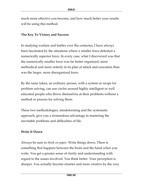much more effective you become, and how much better your results will be using this method.

### **The Key To Victory and Success**

In studying warfare and battles over the centuries, I have always been fascinated by the situations where a smaller force defeated a numerically superior force. In every case, what I discovered was that the numerically smaller force was far better organized, more methodical and more orderly in its plan of attack and execution than was the larger, more disorganized force.

By the same token, an ordinary person, with a system or recipe for problem solving, can run circles around highly intelligent or well educated people who throw themselves at their problems without a method or process for solving them.

These two methodologies, mindstorming and the systematic approach, give you a tremendous advantage in mastering the inevitable problems and difficulties of life.

#### **Write It Down**

Always be sure to *think on paper*. Write things down. There is something that happens between the brain and the hand when you write. You get a greater sense of clarity and understanding with regard to the issues involved. You think better. Your perception is sharper. You actually become smarter and more creative by the very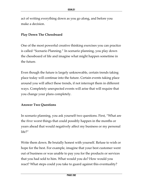act of writing everything down as you go along, and before you make a decision.

### **Play Down The Chessboard**

One of the most powerful creative thinking exercises you can practice is called "Scenario Planning." In scenario planning, you play down the chessboard of life and imagine what might happen sometime in the future.

Even though the future is largely unknowable, certain trends taking place today will continue into the future. Certain events taking place around you will affect these trends, if not interrupt them in different ways. Completely unexpected events will arise that will require that you change your plans completely.

#### **Answer Two Questions**

In scenario planning, you ask yourself two questions. First, "What are the *three* worst things that could possibly happen in the months or years ahead that would negatively affect my business or my personal life?"

Write them down. Be brutally honest with yourself. Refuse to wish or hope for the best. For example, imagine that your best customer went out of business or was unable to pay you for the products or services that you had sold to him. What would you do? How would you react? What steps could you take to guard against this eventuality?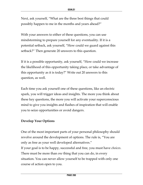Next, ask yourself, "What are the three best things that could possibly happen to me in the months and years ahead?"

With your answers to either of these questions, you can use mindstorming to prepare yourself for any eventuality. If it is a potential setback, ask yourself, "How could we guard against this setback?" Then generate 20 answers to this question.

If it is a possible opportunity, ask yourself, "How could we increase the likelihood of this opportunity taking place, or take advantage of this opportunity as it is today?" Write out 20 answers to this question, as well.

Each time you ask yourself one of these questions, like an electric spark, you will trigger ideas and insights. The more you think about these key questions, the more you will activate your superconscious mind to give you insights and flashes of inspiration that will enable you to seize opportunities or avoid dangers.

## **Develop Your Options**

One of the most important parts of your personal philosophy should revolve around the development of options. The rule is, "You are only as free as your well developed alternatives." If your goal is to be happy, successful and free, you must have *choices*. There must be more than *one* thing that you can do, in every situation. You can never allow yourself to be trapped with only one course of action open to you.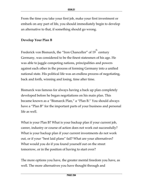From the time you take your first job, make your first investment or embark on any part of life, you should immediately begin to develop an alternative to that, if something should go wrong.

## **Develop Your Plan B**

Frederick von Bismarck, the "Iron Chancellor" of  $19^{^{\rm th}}$  century Germany, was considered to be the finest statesmen of his age. He was able to juggle competing nations, principalities and powers against each other in the process of forming Germany into a unified national state. His political life was an endless process of negotiating, back and forth, winning and losing, time after time.

Bismarck was famous for always having a back up plan completely developed before he began negotiations on his main plan. This became known as a "Bismarck Plan," a "Plan B." You should always have a "Plan B" for the important parts of your business and personal life as well.

What is your Plan B? What is your backup plan if your current job, career, industry or course of action does not work out successfully? What is your backup plan if your current investments do not work out, or if your "best laid plans" fail? What are your alternatives? What would you do if you found yourself out on the street tomorrow, or in the position of having to start over?

The more options you have, the greater mental freedom you have, as well. The more alternatives you have thought through and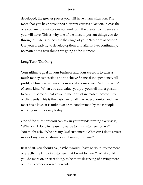developed, the greater power you will have in any situation. The more that you have developed different courses of action, in case the one you are following does not work out, the greater confidence and you will have. This is why one of the most important things you do throughout life is to increase the range of your "freedom of action." Use your creativity to develop options and alternatives continually, no matter how well things are going at the moment.

#### **Long Term Thinking**

Your ultimate goal in your business and your career is to earn as much money as possible and to achieve financial independence. All profit, all financial success in our society comes from "adding value" of some kind. When you add value, you put yourself into a position to capture some of that value in the form of increased income, profit or dividends. This is the basic law of all market economics, and like most basic laws, it is unknown or misunderstood by most people working in our society today.

One of the questions you can ask in your mindstorming exercise is, "What can I do to increase my value to my customers today?" You might ask, "Who are my *ideal* customers? What can I do to attract more of my ideal customers into buying from me?"

Best of all, you should ask, "What would I have to do to *deserve* more of exactly the kind of customers that I want to have?" What could you do more of, or start doing, to be more deserving of having more of the customers you really want?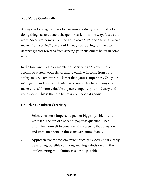## **Add Value Continually**

Always be looking for ways to use your creativity to add value by doing things faster, better, cheaper or easier in some way. Just as the word "deserve" comes from the Latin roots "de" and "servus" which mean "from service" you should always be looking for ways to deserve greater rewards from serving your customers better in some way.

In the final analysis, as a member of society, as a "player" in our economic system, your riches and rewards will come from your ability to serve other people better than your competitors. Use your intelligence and your creativity every single day to find ways to make yourself more valuable to your company, your industry and your world. This is the true hallmark of personal genius.

## **Unlock Your Inborn Creativity:**

- 1. Select your most important goal, or biggest problem, and write it at the top of a sheet of paper as question. Then discipline yourself to generate 20 answers to that question, and implement one of those answers immediately.
- 2. Approach every problem systematically by defining it clearly, developing possible solutions, making a decision and then implementing the solution as soon as possible.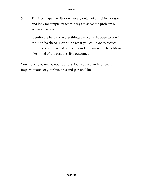- 3. Think on paper. Write down every detail of a problem or goal and look for simple, practical ways to solve the problem or achieve the goal.
- 4. Identify the best and worst things that could happen to you in the months ahead. Determine what you could do to reduce the effects of the worst outcomes and maximize the benefits or likelihood of the best possible outcomes.

You are only as free as your options. Develop a plan B for every important area of your business and personal life.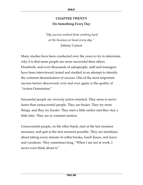# **CHAPTER TWENTY Do Something Every Day**

*"My success evolved from working hard at the business at hand every day."* Johnny Carson

Many studies have been conducted over the years to try to determine why it is that some people are more successful than others. Hundreds, and even thousands of salespeople, staff and managers have been interviewed, tested and studied in an attempt to identify the common denominators of success. One of the most important success factors discovered, over and over again, is the quality of "Action Orientation."

Successful people are *intensely* action oriented. They seem to move faster than unsuccessful people. They are busier. They try more things, and they try harder. They start a little earlier and they stay a little later. They are in constant motion.

Unsuccessful people, on the other hand, start at the last moment necessary and quit at the first moment possible. They are fastidious about taking every minute of coffee breaks, lunch hours, sick leave and vacations. They sometimes brag, "When I am not at work, I never even think about it."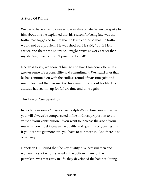#### **A Story Of Failure**

We use to have an employee who was always late. When we spoke to him about this, he explained that his reason for being late was the traffic. We suggested to him that he leave earlier so that the traffic would not be a problem. He was shocked. He said, "But if I left earlier, and there was no traffic, I might arrive at work earlier than my starting time. I couldn't possibly do that!"

Needless to say, we soon let him go and hired someone else with a greater sense of responsibility and commitment. We heard later that he has continued on with the endless round of part time jobs and unemployment that has marked his career throughout his life. His attitude has set him up for failure time and time again.

#### **The Law of Compensation**

In his famous essay *Compensation*, Ralph Waldo Emerson wrote that you will always be compensated in life in direct proportion to the value of your contribution. If you want to increase the size of your rewards, you must increase the quality and quantity of your results. If you want to get more out, you have to put more in. And there is no other way.

Napoleon Hill found that the key quality of successful men and women, most of whom started at the bottom, many of them penniless, was that early in life, they developed the habit of "going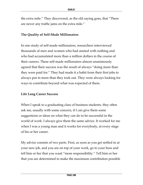the extra mile." They discovered, as the old saying goes, that "There are never any traffic jams on the extra mile."

## **The Quality of Self-Made Millionaires**

In one study of self-made millionaires, researchers interviewed thousands of men and women who had started with nothing and who had accumulated more than a million dollars in the course of their careers. These self-made millionaires almost unanimously agreed that their success was the result of always "doing more than they were paid for." They had made it a habit from their first jobs to always put in more than they took out. They were always looking for ways to contribute beyond what was expected of them.

## **Life Long Career Success**

When I speak to a graduating class of business students, they often ask me, usually with some concern, if I can give them some suggestions or ideas on what they can do to be successful in the world of work. I always give them the same advice. It worked for me when I was a young man and it works for everybody, at every stage of his or her career.

My advice consists of two parts. First, as soon as you get settled in at your new job, and you are on top of your work, go to your boss and tell him or her that you want "more responsibility." Tell him or her that you are determined to make the maximum contribution possible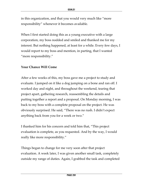in this organization, and that you would very much like "more responsibility" whenever it becomes available.

When I first started doing this as a young executive with a large corporation, my boss nodded and smiled and thanked me for my interest. But nothing happened, at least for a while. Every few days, I would report to my boss and mention, in parting, that I wanted "more responsibility."

## **Your Chance Will Come**

After a few weeks of this, my boss gave me a project to study and evaluate. I jumped on it like a dog jumping on a bone and ran off. I worked day and night, and throughout the weekend, tearing that project apart, gathering research, reassembling the details and putting together a report and a proposal. On Monday morning, I was back to my boss with a complete proposal on the project. He was obviously surprised. He said, "There was no rush. I didn't expect anything back from you for a week or two."

I thanked him for his concern and told him that, "This project evaluation is complete, as you requested. And by the way, I would really like more responsibility."

Things began to change for me very soon after that project evaluation. A week later, I was given another small task, completely outside my range of duties. Again, I grabbed the task and completed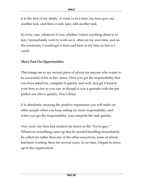it to the best of my ability. A week or two later, my boss gave me another task, and then a week later, still another task.

In every case, whatever it was, whether I knew anything about it or not, I immediately went to work on it, often on my own time, and on the weekends. I would get it done and back to my boss as fast as I could.

## **Move Fast On Opportunities**

This brings me to my second piece of advice for anyone who wants to be successful in his or her career. Once you get the responsibility that you have asked for, complete it quickly and well, and get it back to your boss as fast as you can, as though it was a grenade with the pin pulled out. Move quickly. Don't delay.

It is absolutely amazing the positive impression you will make on other people when you keep asking for more responsibility, and when you get the responsibility, you complete the task quickly.

Very soon, my boss had marked me down as the "Go-to-guy." Whenever something came up that he needed handling immediately, he called me rather than any of the other executives, some of whom had been working there for several years. In no time, I began to move up in the organization.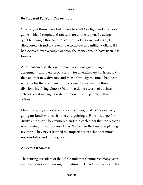## **Be Prepared For Your Opportunity**

One day, he threw me a task, like a football to a tight end in a close game, which I caught and ran with for a touchdown. By acting quickly, flying a thousand miles and working day and night, I discovered a fraud and saved the company two million dollars. If I had delayed even a couple of days, the money would have been lost forever.

After that success, the dam broke. First I was given a large assignment, and then responsibility for an entire new division, and then another new division, and then a third. By the time I had been working for that company for two years, I was running three divisions involving almost \$50 million dollars worth of business activities and managing a staff of more than 50 people in three offices.

Meanwhile, my coworkers were still coming in at 9 o'clock sharp, going for lunch with each other and quitting at 5 o'clock to go for drinks at the bar. They muttered and told each other that the reason I was moving up was because I was "lucky," or the boss was playing favorites. They never learned the importance of asking for more responsibility and moving fast.

## **A Secret Of Success**

The retiring president of the US Chamber of Commerce, many years ago, told a story at his going away dinner. He had become one of the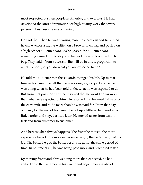most respected businesspeople in America, and overseas. He had developed the kind of reputation for high quality work that every person in business dreams of having.

He said that when he was a young man, unsuccessful and frustrated, he came across a saying written on a brown lunch bag and posted on a high school bulletin board. As he passed the bulletin board, something caused him to stop and he read the words on the lunch bag. They said, "Your success in life will be in direct proportion to what you do *after* you do what you are expected to do."

He told the audience that these words changed his life. Up to that time in his career, he felt that he was doing a good job because he was doing what he had been told to do, what he was expected to do. But from that point onward, he resolved that he would do far more than what was expected of him. He resolved that he would always go the extra mile and to do more than he was paid for. From that day onward, for the rest of his career, he got up a little earlier, worked a little harder and stayed a little later. He moved faster from task to task and from customer to customer.

And here is what always happens. The faster he moved, the more experience he got. The more experience he got, the better he got at his job. The better he got, the better results he got in the same period of time. In no time at all, he was being paid more and promoted faster.

By moving faster and always doing more than expected, he had shifted onto the fast track in his career and began moving ahead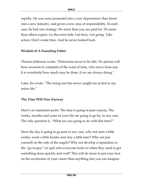rapidly. He was soon promoted into a new department, then hired into a new industry, and given a new area of responsibility. In each case, he had one strategy. Do more than you are paid for. Do more than others expect. Go the extra mile. Get busy. Get going. Take action. Don't waste time. And he never looked back.

## **Wisdom of A Founding Father**

Thomas Jefferson wrote, "Determine never to be idle. No person will have occasion to complain of the want of time, who never loses any. It is wonderful how much may be done, if we are always doing."

Later, he wrote, "The rising sun has never caught me in bed in my entire life."

#### **The Time Will Pass Anyway**

Here's an important point. The time is going to pass *anyway*. The weeks, months and years of your life are going to go by, in any case. The only question is, "What are you going to do with this time?"

Since the day is going to go past in any case, why not start a little earlier, work a little harder and stay a little later? Why not put yourself on the side of the angels? Why not develop a reputation as the "go-to-guy" (or gal) who everyone looks to when they need to get something done quickly and well? This will do more to put your foot on the accelerator of your career than anything else you can imagine.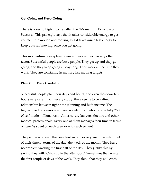## **Get Going and Keep Going**

There is a key to high income called the "Momentum Principle of Success." This principle says that it takes considerable energy to get yourself into motion and moving. But it takes much less energy to keep yourself moving, once you get going.

This momentum principle explains success as much as any other factor. Successful people are busy people. They get up and they get going, and they keep going all day long. They work all the time they work. They are constantly in motion, like moving targets.

#### **Plan Your Time Carefully**

Successful people plan their days and hours, and even their quarterhours very carefully. In every study, there seems to be a direct relationship between tight time planning and high income. The highest paid professionals in our society, from whom come fully 25% of self-made millionaires in America, are lawyers, doctors and other medical professionals. Every one of them manages their time in terms of *minutes* spent on each case, or with each patient.

The people who earn the very least in our society are those who think of their time in terms of the day, the week or the month. They have no problem wasting the first half of the day. They justify this by saying they will "Catch up in the afternoon." Sometimes they waste the first couple of days of the week. They think that they will catch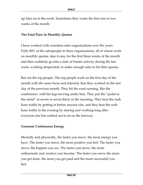up later on in the week. Sometimes they waste the first one or two weeks of the month.

#### **The Fatal Flaw In Monthly Quotas**

I have worked with countless sales organizations over the years. Fully 80% of the salespeople in these organizations, all of whom work on monthly quotas, take it easy for the first three weeks of the month and then suddenly go into a state of frantic activity during the last week, working desperately to make enough sales to hit their quotas.

But not the top people. The top people work on the first day of the month with the same focus and intensity that they worked on the last day of the previous month. They hit the road running, like the roadrunner, with his legs moving under him. They put the "pedal to the metal" at seven or seven thirty in the morning. They beat the rush hour traffic by getting in before anyone else, and they beat the rush hour traffic in the evening by staying and working long after everyone else has rushed out to sit on the freeway.

## **Generate Continuous Energy**

Mentally and physically, the faster you move, the more energy you have. The faster you move, the more positive you feel. The faster you move, the happier you are. The faster you move, the more enthusiastic and creative you become. The faster you move the more you get done, the more you get paid and the more successful you feel.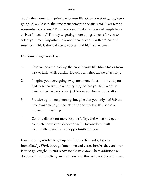Apply the momentum principle to your life. Once you start going, keep going. Allan Lakein, the time management specialist said, "Fast tempo is essential to success." Tom Peters said that all successful people have a "bias for action." The key to getting more things done is for you to select your most important task and then to start it with a "Sense of urgency." This is the real key to success and high achievement.

## **Do Something Every Day:**

- 1. Resolve today to pick up the pace in your life. Move faster from task to task. Walk quickly. Develop a higher tempo of activity.
- 2. Imagine you were going away tomorrow for a month and you had to get caught up on everything before you left. Work as hard and as fast as you do just before you leave for vacation.
- 3. Practice tight time planning. Imagine that you only had *half* the time available to get the job done and work with a sense of urgency all day long.
- 4. Continually ask for more responsibility, and when you get it, complete the task quickly and well. This one habit will continually open doors of opportunity for you.

From now on, resolve to get up one hour earlier and get going immediately. Work through lunchtime and coffee breaks. Stay an hour later to get caught up and ready for the next day. These additions will double your productivity and put you onto the fast track in your career.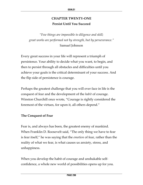# **CHAPTER TWENTY-ONE Persist Until You Succeed**

*"Few things are impossible to diligence and skill; great works are performed not by strength, but by perseverance."* Samuel Johnson

Every great success in your life will represent a triumph of persistence. Your ability to decide what you want, to begin, and then to persist through all obstacles and difficulties until you achieve your goals is the critical determinant of your success. And the flip side of persistence is courage.

Perhaps the greatest challenge that you will ever face in life is the conquest of fear and the development of the *habit* of courage. Winston Churchill once wrote, "Courage is rightly considered the foremost of the virtues, for upon it, all others depend."

#### **The Conquest of Fear**

Fear is, and always has been, the greatest enemy of mankind. When Franklin D. Roosevelt said, "The only thing we have to fear is fear itself," he was saying that the *emotion* of fear, rather than the reality of what we fear, is what causes us anxiety, stress, and unhappiness.

When you develop the habit of courage and unshakable selfconfidence, a whole new world of possibilities opens up for you.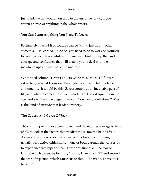Just think—what would you dare to dream, or be, or do, if you weren't afraid of anything in the whole world?

## **You Can Learn Anything You Need To Learn**

Fortunately, the habit of courage can be *learned* just as any other success skill is learned. To do so, you need to go to work on yourself to conquer your fears, while simultaneously building up the kind of courage and confidence that will enable you to deal with the inevitable ups and downs of life unafraid.

Syndicated columnist Ann Landers wrote these words: "If I were asked to give what I consider the single most useful bit of advice for all humanity, it would be this: *Expect* trouble as an inevitable part of life, and when it comes, hold your head high. Look it squarely in the eye, and say, 'I will be bigger than you. You cannot defeat me.'" *This* is the kind of attitude that leads to victory.

#### **The Causes And Cures Of Fear**

The starting point in overcoming fear and developing courage is, first of all, to look at the factors that predispose us toward being afraid. As we know, the root source of fear is childhood conditioning, usually destructive criticism from one or both parents, that causes us to experience two types of fear. These are, first of all, the fear of failure, which causes us to think, "I can't, I can't, I can't"; and second, the fear of rejection, which causes us to think, "I have to, I have to, I have to."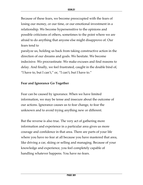Because of these fears, we become preoccupied with the fears of losing our money, or our time, or our emotional investment in a relationship. We become hypersensitive to the opinions and possible criticisms of others, sometimes to the point where we are afraid to do anything that anyone else might disapprove of. Our fears tend to

paralyze us, holding us back from taking constructive action in the direction of our dreams and goals. We hesitate. We become indecisive. We procrastinate. We make excuses and find reasons to delay. And finally, we feel frustrated, caught in the double bind of, "I have to, but I can't," or, "I can't, but I have to."

## **Fear and Ignorance Go Together**

Fear can be caused by ignorance. When we have limited information, we may be tense and insecure about the outcome of our actions. Ignorance causes us to fear change, to fear the unknown and to avoid trying anything new or different.

But the reverse is also true. The very act of gathering more information and experience in a particular area gives us more courage and confidence in that area. There are parts of your life where you have no fear at all because you have mastered that area, like driving a car, skiing or selling and managing. Because of your knowledge and experience, you feel completely capable of handling whatever happens. You have no fears.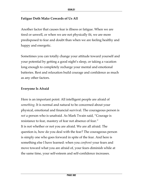## **Fatigue Doth Make Cowards of Us All**

Another factor that causes fear is illness or fatigue. When we are tired or unwell, or when we are not physically fit, we are more predisposed to fear and doubt than when we are feeling healthy and happy and energetic.

Sometimes you can totally change your attitude toward yourself and your potential by getting a good night's sleep, or taking a vacation long enough to completely recharge your mental and emotional batteries. Rest and relaxation build courage and confidence as much as any other factors.

## **Everyone Is Afraid**

Here is an important point: All intelligent people are afraid of *something*. It is normal and natural to be concerned about your physical, emotional and financial survival. The courageous person is *not* a person who is unafraid. As Mark Twain said, "Courage is resistance to fear, mastery of fear not absence of fear." It is not whether or not you are afraid. We are all afraid. The question is, how do you deal with the fear? The courageous person is simply one who goes forward in spite of the fear. And here is something else I have learned: when you *confront* your fears and move toward what you are afraid of, your fears diminish while at the same time, your self-esteem and self-confidence increases.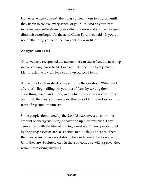However, when you *avoid* the thing you fear, your fears grow until they begin to control every aspect of your life. And as your fears increase, your self-esteem, your self-confidence and your self-respect diminish accordingly. As the actor Glenn Ford once said, "If you do not do the thing you fear, the fear controls your life."

#### **Analyze Your Fears**

Once we have recognized the factors that can cause fear, the next step in overcoming fear is to sit down and take the time to objectively identify, define and analyze your own personal fears.

At the top of a clean sheet of paper, write the question, "What am I afraid of?" Begin filling out your list of fears by writing down everything, major and minor, over which you experience any anxiety. Start with the most common fears, the fears of failure or loss and the fears of rejection or criticism.

Some people, dominated by the *fear of failure*, invest an enormous amount of energy justifying or covering up their mistakes. They cannot deal with the idea of making a mistake. Others, preoccupied by the *fear of rejection*, are so sensitive to how they appear to others that they seem to have no ability to take independent action at all. Until they are absolutely certain that someone else will approve, they refrain from doing anything.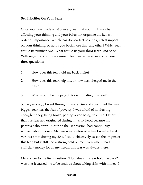#### **Set Priorities On Your Fears**

Once you have made a list of every fear that you think may be affecting your thinking and your behavior, organize the items in order of importance. Which fear do you feel has the greatest impact on your thinking, or holds you back more than any other? Which fear would be number two? What would be your third fear? And so on. With regard to your predominant fear, write the answers to these three questions:

- 1. How does this fear hold me back in life?
- 2. How does this fear help me, or how has it helped me in the past?
- 3. What would be my pay-off for eliminating this fear?

Some years ago, I went through this exercise and concluded that my biggest fear was the fear of poverty. I was afraid of not having enough money, being broke, perhaps even being destitute. I knew that this fear had originated during my childhood because my parents, who grew up during the Depression, had continually worried about money. My fear was reinforced when I was broke at various times during my 20's. I could objectively assess the origins of this fear, but it still had a strong hold on me. Even when I had sufficient money for all my needs, this fear was always there.

My answer to the first question, "How does this fear hold me back?" was that it caused me to be anxious about taking risks with money. It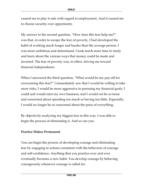caused me to play it safe with regard to employment. And it caused me to choose security over opportunity.

My answer to the second question, "How does this fear help me?" was that, in order to escape the fear of poverty, I had developed the habit of working much longer and harder than the average person. I was more ambitious and determined. I took much more time to study and learn about the various ways that money could be made and invested. The fear of poverty was, in effect, driving me toward financial independence.

When I answered the third question, "What would be my pay-off for overcoming this fear?" I immediately saw that I would be willing to take more risks, I would be more aggressive in pursuing my financial goals, I could and would start my own business, and I would not be so tense and concerned about spending too much or having too little. Especially, I would no longer be so concerned about the price of everything.

By objectively analyzing my biggest fear in this way, I was able to begin the process of eliminating it. And so can you.

#### **Practice Makes Permanent**

You can begin the process of developing courage and eliminating fear by engaging in actions consistent with the behaviors of courage and self-confidence. Anything that you practice over and over eventually becomes a new habit. You develop courage by behaving courageously whenever courage is called for.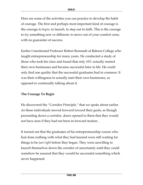Here are some of the activities you can practice to develop the habit of courage. The first and perhaps most important kind of courage is the courage to *begin*, to launch, to step out in faith. This is the courage to try something new or different, to move out of your comfort zone, with no guarantee of success.

Earlier I mentioned Professor Robert Ronstadt of Babson College who taught entrepreneurship for many years. He conducted a study of those who took his class and found that only 10% actually started their own businesses and became successful later in life. He could only find one quality that the successful graduates had in common. It was their willingness to actually start their own businesses, as opposed to continually talking about it.

## **The Courage To Begin**

He discovered the "Corridor Principle," that we spoke about earlier. As these individuals moved forward toward their goals, as though proceeding down a corridor, doors opened to them that they would not have seen if they had not been in forward motion.

It turned out that the graduates of his entrepreneurship course who had done nothing with what they had learned were still waiting for things to be *just right* before they began. They were unwilling to launch themselves down the corridor of uncertainty until they could somehow be assured that they would be successful something which never happened.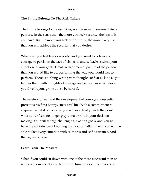### **The Future Belongs To The Risk Takers**

The future belongs to the *risk takers*, not the security seekers. Life is perverse in the sense that, the more you seek security, the less of it you have. But the more you seek opportunity, the more likely it is that you will achieve the security that you desire.

Whenever you feel fear or anxiety, and you need to bolster your courage to persist in the face of obstacles and setbacks, switch your attention to your goals. Create a clear mental picture of the person that you would like to be, performing the way you would like to perform. There is nothing wrong with thoughts of fear as long as you temper them with thoughts of courage and self-reliance. Whatever you dwell upon, grows . . . so be careful.

The mastery of fear and the development of courage are essential prerequisites for a happy, successful life. With a commitment to acquire the habit of courage, you will eventually reach the point where your fears no longer play a major role in your decisionmaking. You will set big, challenging, exciting goals, and you will have the confidence of knowing that you can attain them. You will be able to face every situation with calmness and self-assurance. And the key is courage.

## **Learn From The Masters**

What if you could sit down with one of the most successful men or women in our society and learn from him or her all the lessons of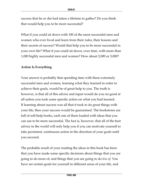success that he or she had taken a lifetime to gather? Do you think that would help you to be more successful?

What if you could sit down with 100 of the most successful men and women who ever lived and learn from their rules, their lessons and their secrets of success? Would that help you to be more successful in your own life? What if you could sit down, over time, with more than 1,000 highly successful men and women? How about 2,000 or 3,000?

## **Action Is Everything**

Your answer is probably that spending time with these extremely successful men and women, learning what they learned in order to achieve their goals, would be of great help to you. The truth is however, is that all of this advice and input would do you no good at all unless you took some specific action on what you had learned. If learning about success was all that it took to do great things with your life, then your success would be guaranteed. The bookstores are full of self-help books, each one of them loaded with ideas that you can use to be more successful. The fact is, however, that all of the best advice in the world will only help you if you can motivate yourself to take persistent, continuous action in the direction of your goals until you succeed.

The probable result of your reading the ideas in this book has been that you have made some specific decisions about things that you are going to do more of, and things that you are going to do *less of*. You have set certain goals for yourself in different areas of your life, and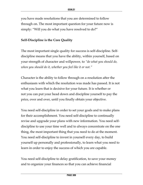you have made resolutions that you are determined to follow through on. The most important question for your future now is simply: "Will you do what you have resolved to do?"

# **Self-Discipline is the Core Quality**

The most important single quality for success is self-discipline. Selfdiscipline means that you have the ability, within yourself, based on your strength of character and willpower, to *"do what you should do, when you should do it, whether you feel like it or not."*

Character is the ability to follow through on a resolution after the enthusiasm with which the resolution was made has passed. It is not what you learn that is decisive for your future. It is whether or not you can put your head down and discipline yourself to pay the price, over and over, until you finally obtain your objective.

You need self-discipline in order to set your goals and to make plans for their accomplishment. You need self-discipline to continually revise and upgrade your plans with new information. You need selfdiscipline to use your time well and to always concentrate on the one thing, the most important thing that you need to do at the moment. You need self-discipline to invest in yourself every day, to build yourself up personally and professionally, to learn what you need to learn in order to enjoy the success of which you are capable.

You need self-discipline to delay gratification, to save your money and to organize your finances so that you can achieve financial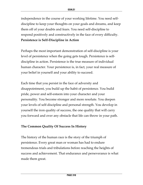independence in the course of your working lifetime. You need selfdiscipline to keep your thoughts on your goals and dreams, and keep them off of your doubts and fears. You need self-discipline to respond positively and constructively in the face of every difficulty. **Persistence is Self-Discipline in Action**

Perhaps the most important demonstration of self-discipline is your level of persistence when the going gets tough. Persistence is selfdiscipline in action. Persistence is the true measure of individual human character. Your persistence is, in fact, your real measure of your belief in yourself and your ability to succeed.

Each time that you persist in the face of adversity and disappointment, you build up the habit of persistence. You build pride, power and self-esteem into your character and your personality. You become stronger and more resolute. You deepen your levels of self-discipline and personal strength. You develop in yourself the iron quality of success, the one quality that will carry you forward and over any obstacle that life can throw in your path.

# **The Common Quality Of Success In History**

The history of the human race is the story of the triumph of persistence. Every great man or woman has had to endure tremendous trials and tribulations before reaching the heights of success and achievement. That endurance and perseverance is what made them great.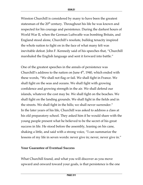Winston Churchill is considered by many to have been the greatest statesman of the  $20<sup>th</sup>$  century. Throughout his life he was known and respected for his courage and persistence. During the darkest hours of World War II, when the German Luftwaffe was bombing Britain, and England stood alone, Churchill's resolute, bulldog tenacity inspired the whole nation to fight on in the face of what many felt was inevitable defeat. John F. Kennedy said of his speeches that, "Churchill marshaled the English language and sent it forward into battle."

One of the greatest speeches in the annals of persistence was Churchill's address to the nation on June  $4<sup>th</sup>$ , 1940, which ended with these words, "We shall not flag or fail. We shall fight in France. We shall fight on the seas and oceans. We shall fight with growing confidence and growing strength in the air. We shall defend our islands, whatever the cost may be. We shall fight on the beaches. We shall fight on the landing grounds. We shall fight in the fields and in the streets. We shall fight in the hills; we shall never surrender." In the later years of his life, Churchill was asked to address a class at his old preparatory school. They asked him if he would share with the young people present what he believed to be the secret of his great success in life. He stood before the assembly, leaning on his cane, shaking a little, and said with a strong voice, "I can summarize the lessons of my life in seven words: never give in; never, never give in."

#### **Your Guarantee of Eventual Success**

What Churchill found, and what you will discover as you move upward and onward toward your goals, is that persistence is the one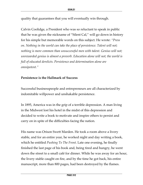quality that guarantees that you will eventually win through.

Calvin Coolidge, a President who was so reluctant to speak in public that he was given the nickname of "Silent Cal," will go down in history for his simple but memorable words on this subject. He wrote: *"Press on. Nothing in the world can take the place of persistence. Talent will not; nothing is more common than unsuccessful men with talent. Genius will not; unrewarded genius is almost a proverb. Education alone will not; the world is full of educated derelicts. Persistence and determination alone are omnipotent."*

## **Persistence is the Hallmark of Success**

Successful businesspeople and entrepreneurs are all characterized by indomitable willpower and unshakable persistence.

In 1895, America was in the grip of a terrible depression. A man living in the Midwest lost his hotel in the midst of this depression and decided to write a book to motivate and inspire others to persist and carry on in spite of the difficulties facing the nation.

His name was Orison Swett Marden. He took a room above a livery stable, and for an entire year, he worked night and day writing a book, which he entitled *Pushing To The Front*. Late one evening, he finally finished the last page of his book and, being tired and hungry, he went down the street to a small café for dinner. While he was away for an hour, the livery stable caught on fire, and by the time he got back, his entire manuscript, more than 800 pages, had been destroyed by the flames.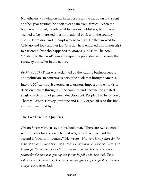Nonetheless, drawing on his inner resources, he sat down and spent another year writing the book over again from scratch. When the book was finished, he offered it to various publishers, but no one seemed to be interested in a motivational book with the country in such a depression and unemployment so high. He then moved to Chicago and took another job. One day he mentioned this manuscript to a friend of his who happened to know a publisher. The book, "Pushing to the Front" was subsequently published and became the runaway bestseller in the nation.

*Pushing To The Front* was acclaimed by the leading businesspeople and politicians in America as being the book that brought America into the 20 $^{\rm th}$  century. It exerted an enormous impact on the minds of decision makers throughout the country, and became the greatest single classic in all of personal development. People like Henry Ford, Thomas Edison, Harvey Firestone and J. P. Morgan all read this book and were inspired by it.

#### **The Two Essential Qualities**

Orison Swett Marden says in his book that, "There are two essential requirements for success. The first is 'get-to-it-iveness,' and the second is 'stick-to-it-iveness.'" He wrote, *"No, there is no failure for the man who realizes his power, who never knows when he is beaten; there is no failure for the determined endeavor; the unconquerable will. There is no failure for the man who gets up every time he falls, who rebounds like a rubber ball, who persists when everyone else gives up, who pushes on when everyone else turns back."*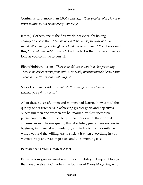Confucius said, more than 4,000 years ago, *"Our greatest glory is not in never falling, but in rising every time we fall."*

James J. Corbett, one of the first world heavyweight boxing champions, said that, *"You become a champion by fighting one more round. When things are tough, you fight one more round."* Yogi Berra said this, *"It's not over until it's over."* And the fact is that it's never over as long as you continue to persist.

Elbert Hubbard wrote, *"There is no failure except in no longer trying. There is no defeat except from within, no really insurmountable barrier save our own inherent weakness of purpose."*

Vince Lombardi said, *"It's not whether you get knocked down. It's whether you get up again."*

All of these successful men and women had learned how critical the quality of persistence is in achieving greater goals and objectives. Successful men and women are hallmarked by their incredible persistence, by their refusal to quit, no matter what the external circumstances. The one quality that absolutely guarantees success in business, in financial accumulation, and in life is this indomitable willpower and the willingness to stick at it when everything in you wants to stop and rest or go back and do something else.

#### **Persistence is Your Greatest Asset**

Perhaps your greatest asset is simply your ability to keep at it longer than anyone else. B. C. Forbes, the founder of *Forbes* Magazine, who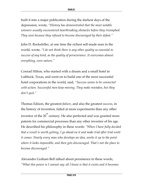built it into a major publication during the darkest days of the depression, wrote, *"History has demonstrated that the most notable winners usually encountered heartbreaking obstacles before they triumphed. They won because they refused to become discouraged by their defeat."*

John D. Rockefeller, at one time the richest self-made man in the world, wrote, *"I do not think there is any other quality so essential to success of any kind, as the quality of perseverance. It overcomes almost everything, even nature."*

Conrad Hilton, who started with a dream and a small hotel in Lubbock, Texas, and went on to build one of the most successful hotel corporations in the world, said, *"Success seems to be connected with action. Successful men keep moving. They make mistakes, but they don't quit."*

Thomas Edison, the greatest *failure*, and also the greatest *success*, in the history of invention, failed at more experiments than any other inventor of the 20 $^{\rm th}$  century. He also perfected and was granted more patents for commercial processes than any other inventor of his age. He described his philosophy in these words: *"When I have fully decided that a result is worth getting, I go ahead on it and make trial after trial until it comes. Nearly every man who develops an idea, works it up to the point where it looks impossible, and then gets discouraged. That's not the place to become discouraged."*

Alexander Graham Bell talked about persistence in these words, *"What this power is I cannot say; all I know is that it exists and it becomes*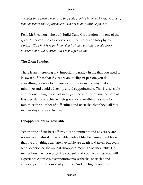*available only when a man is in that state of mind in which he knows exactly what he wants and is fully determined not to quit until he finds it."*

Rene McPhearson, who built build Dana Corporation into one of the great American success stories, summarized his philosophy by saying, *"You just keep pushing. You just keep pushing. I made every mistake that could be made, but I just kept pushing."*

#### **The Great Paradox**

There is an interesting and important paradox in life that you need to be aware of. It is that if you are an intelligent person, you do everything possible to organize your life in such a way that you minimize and avoid adversity and disappointment. This is a sensible and rational thing to do. All intelligent people, following the path of least resistance to achieve their goals, do everything possible to minimize the number of difficulties and obstacles that they will face in their day-to-day activities.

## **Disappointment is Inevitable**

Yet, in spite of our best efforts, disappointments and adversity are normal and natural, unavoidable parts of life. Benjamin Franklin said that the only things that are inevitable are death and taxes, but every bit of experience shows that disappointment is also inevitable. No matter how well you organize yourself and your activities, you will experience countless disappointments, setbacks, obstacles and adversity over the course of your life. And the higher and more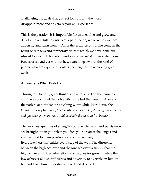challenging the goals that you set for yourself, the more disappointment and adversity you will experience.

This is the paradox. It is impossible for us to evolve and grow and develop to our full potentials except to the degree to which we face adversity and learn from it. All of the great lessons of life come as the result of setbacks and temporary defeats which we have done our utmost to avoid. Adversity therefore comes *unbidden*, in spite of our best efforts. And yet without it, we cannot grow into the kind of people who are capable of scaling the heights and achieving great goals.

#### **Adversity is What Tests Us**

Throughout history, great thinkers have reflected on this paradox and have concluded that adversity is the test that you must pass on the path to accomplishing anything worthwhile. Herodotus, the Greek philosopher, said, *"Adversity has the effect of drawing out strength and qualities of a man that would have lain dormant in its absence."*

The very best qualities of strength, courage, character and persistence are brought out in you when you face your greatest challenges and you respond to them positively and constructively. Everyone faces difficulties every step of the way. The difference between the high achiever and the low achiever is simply that the high achiever utilizes adversity and struggles for growth, while the low achiever allows difficulties and adversity to overwhelm him or her and leave him or her discouraged and dejected.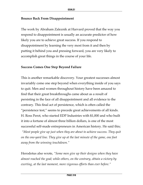#### **Bounce Back From Disappointment**

The work by Abraham Zaleznik at Harvard proved that the way you respond to disappointment is usually an accurate predictor of how likely you are to achieve great success. If you respond to disappointment by learning the very most from it and then by putting it behind you and pressing forward, you are very likely to accomplish great things in the course of your life.

#### **Success Comes One Step Beyond Failure**

This is another remarkable discovery. Your greatest successes almost invariably come one step beyond when everything inside of you says to quit. Men and women throughout history have been amazed to find that their great breakthroughs came about as a result of persisting in the face of all disappointment and all evidence to the contrary. This final act of persistence, which is often called the "persistence test," seems to precede great achievements of all kinds. H. Ross Perot, who started EDP Industries with \$1,000 and who built it into a fortune of almost three billion dollars, is one of the most successful self-made entrepreneurs in American history. He said this;  *"Most people give up just when they are about to achieve success. They quit on the one-yard line. They give up at the last minute of the game, one foot away from the winning touchdown."*

Herodotus also wrote, *"Some men give up their designs when they have almost reached the goal; while others, on the contrary, obtain a victory by exerting, at the last moment, more vigorous efforts than ever before."*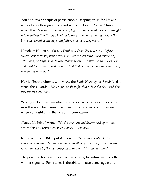You find this principle of persistence, of keeping on, in the life and work of countless great men and women. Florence Scovel Shinn wrote that, *"Every great work, every big accomplishment, has been brought into manifestation through holding to the vision, and often just before the big achievement comes apparent failure and discouragement."*

Napoleon Hill, in his classic, *Think and Grow Rich*, wrote, *"Before success comes in any man's life, he is sure to meet with much temporary defeat and, perhaps, some failure. When defeat overtakes a man, the easiest and most logical thing to do is quit. And that is exactly what the majority of men and women do."*

Harriet Beecher Stowe, who wrote the *Battle Hymn of the Republic*, also wrote these words, *"Never give up then, for that is just the place and time that the tide will turn."*

What you do not see — what most people never suspect of existing — is the silent but irresistible power which comes to your rescue when you fight on in the face of discouragement.

Claude M. Bristol wrote, *"It's the constant and determined effort that breaks down all resistance, sweeps away all obstacles."*

James Whitcome Riley put it this way, *"The most essential factor is persistence — the determination never to allow your energy or enthusiasm to be dampened by the discouragement that must inevitably come."*

The power to hold on, in spite of everything, to endure — this is the winner's quality. Persistence is the ability to face defeat again and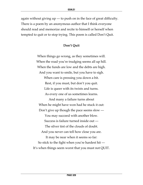again without giving up — to push on in the face of great difficulty. There is a poem by an anonymous author that I think everyone should read and memorize and recite to himself or herself when tempted to quit or to stop trying. This poem is called Don't Quit.

## **Don't Quit**

When things go wrong, as they sometimes will. When the road you're trudging seems all up hill. When the funds are low and the debts are high. And you want to smile, but you have to sigh. When care is pressing you down a bit. Rest, if you must, but don't you quit. Life is queer with its twists and turns. As every one of us sometimes learns. And many a failure turns about When he might have won had he stuck it out: Don't give up though the pace seems slow — You may succeed with another blow. Success is failure turned inside out — The silver tint of the clouds of doubt. And you never can tell how close you are. It may be near when it seems so far: So stick to the fight when you're hardest hit — It's when things seem worst that you must not QUIT.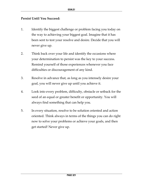## **Persist Until You Succeed:**

- 1. Identify the biggest challenge or problem facing you today on the way to achieving your biggest goal. Imagine that it has been sent to test your resolve and desire. Decide that you will never give up.
- 2. Think back over your life and identify the occasions where your determination to persist was the key to your success. Remind yourself of those experiences whenever you face difficulties or discouragement of any kind.
- 3. Resolve in advance that, as long as you intensely desire your goal, you will never give up until you achieve it.
- 4. Look into every problem, difficulty, obstacle or setback for the seed of an equal or greater benefit or opportunity. You will always find something that can help you.
- 5. In every situation, resolve to be solution oriented and action oriented. Think always in terms of the things you can do right now to solve your problems or achieve your goals, and then get started! Never give up.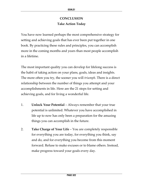## **CONCLUSION Take Action Today**

You have now learned perhaps the most comprehensive strategy for setting and achieving goals that has ever been put together in one book. By practicing these rules and principles, you can accomplish more in the coming months and years than most people accomplish in a lifetime.

The most important quality you can develop for lifelong success is the habit of taking action on your plans, goals, ideas and insights. The more often you try, the sooner you will *triumph.* There is a direct relationship between the number of things you attempt and your accomplishments in life. Here are the 21 steps for setting and achieving goals, and for living a wonderful life.

- 1. **Unlock Your Potential**  Always remember that your true potential is unlimited. Whatever you have accomplished in life up to now has only been a preparation for the amazing things you can accomplish in the future.
- 2. **Take Charge of Your Life**  You are completely responsible for everything you are today, for everything you think, say and do, and for everything you become from this moment forward. Refuse to make excuses or to blame others. Instead, make progress toward your goals every day.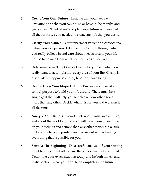- 3. **Create Your Own Future**  Imagine that you have no limitations on what you can do, be or have in the months and years ahead. Think about and plan your future as if you had all the resources you needed to create any life that you desire.
- 4. **Clarify Your Values**  Your innermost values and convictions define you as a person. Take the time to think through what you really believe in and care about in each area of your life. Refuse to deviate from what you feel is right for you.
- 5. **Determine Your True Goals**  Decide for yourself what you really want to accomplish in every area of your life. Clarity is essential for happiness and high performance living.
- 6. **Decide Upon Your Major Definite Purpose**  You need a central purpose to build your life around. There must be a single goal that will help you to achieve your other goals more than any other. Decide what it is for you and work on it all the time.
- 7. **Analyze Your Beliefs**  Your beliefs about your own abilities, and about the world around you, will have more of an impact on your feelings and actions than any other factor. Make sure that your beliefs are positive and consistent with achieving everything that is possible for you.
- 8. **Start At The Beginning**  Do a careful analysis of your starting point before you set off toward the achievement of your goal. Determine your exact situation today and be both honest and realistic about what you want to accomplish in the future.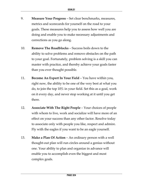- 9. **Measure Your Progress**  Set clear benchmarks, measures, metrics and scorecards for yourself on the road to your goals. These measures help you to assess how well you are doing and enable you to make necessary adjustments and corrections as you go along.
- 10. **Remove The Roadblocks**  Success boils down to the ability to solve problems and remove obstacles on the path to your goal. Fortunately, problem solving is a skill you can master with practice, and thereby achieve your goals faster than you ever thought possible.
- 11. **Become An Expert In Your Field**  You have within you, right now, the ability to be one of the very best at what you do, to join the top 10% in your field. Set this as a goal, work on it every day, and never stop working at it until you get there.
- 12. **Associate With The Right People**  Your choices of people with whom to live, work and socialize will have more of an effect on your success than any other factor. Resolve today to associate only with people you like, respect and admire. Fly with the eagles if you want to be an eagle yourself.
- 13. **Make a Plan Of Action** An ordinary person with a well thought-out plan will run circles around a genius without one. Your ability to plan and organize in advance will enable you to accomplish even the biggest and most complex goals.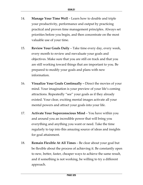- 14. **Manage Your Time Well**  Learn how to double and triple your productivity, performance and output by practicing practical and proven time management principles. Always set priorities before you begin, and then concentrate on the most valuable use of your time.
- 15. **Review Your Goals Daily** Take time every day, every week, every month to review and reevaluate your goals and objectives. Make sure that you are still on track and that you are still working toward things that are important to you. Be prepared to modify your goals and plans with new information.
- 16. **Visualize Your Goals Continually** Direct the movies of your mind. Your imagination is your preview of your life's coming attractions. Repeatedly "see" your goals as if they already existed. Your clear, exciting mental images activate all your mental powers and attract your goals into your life.
- 17. **Activate Your Superconscious Mind**  You have within you and around you an incredible power that will bring you everything and anything you want or need. Take the time regularly to tap into this amazing source of ideas and insights for goal attainment.
- 18. **Remain Flexible At All Times**  Be clear about your goal but be flexible about the process of achieving it. Be constantly open to new, better, faster, cheaper ways to achieve the same result, and if something is not working, be willing to try a different approach.